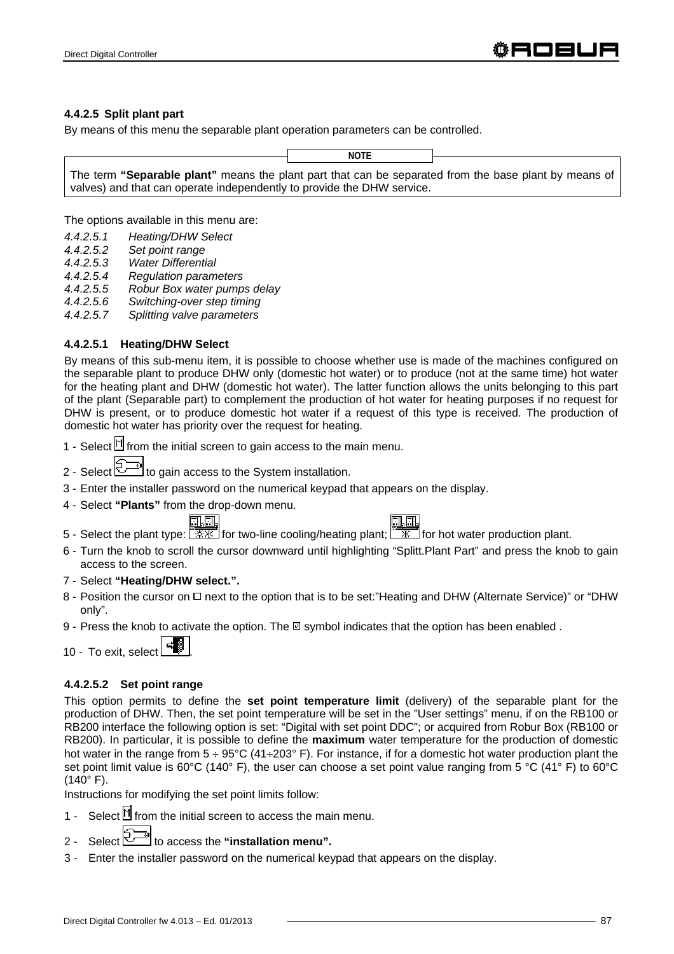#### **4.4.2.5 Split plant part**

By means of this menu the separable plant operation parameters can be controlled.

**NOTE**

The term **"Separable plant"** means the plant part that can be separated from the base plant by means of valves) and that can operate independently to provide the DHW service.

The options available in this menu are:

- *4.4.2.5.1 Heating/DHW Select*
- *4.4.2.5.2 Set point range*
- *4.4.2.5.3 Water Differential*
- *4.4.2.5.4 Regulation parameters*
- *4.4.2.5.5 Robur Box water pumps delay*
- *4.4.2.5.6 Switching-over step timing*
- *4.4.2.5.7 Splitting valve parameters*

### **4.4.2.5.1 Heating/DHW Select**

By means of this sub-menu item, it is possible to choose whether use is made of the machines configured on the separable plant to produce DHW only (domestic hot water) or to produce (not at the same time) hot water for the heating plant and DHW (domestic hot water). The latter function allows the units belonging to this part of the plant (Separable part) to complement the production of hot water for heating purposes if no request for DHW is present, or to produce domestic hot water if a request of this type is received. The production of domestic hot water has priority over the request for heating.

- 1 Select  $\mathbb H$  from the initial screen to gain access to the main menu.
- 2 Select to gain access to the System installation.
- 3 Enter the installer password on the numerical keypad that appears on the display.
- 4 Select **"Plants"** from the drop-down menu.

- 5 Select the plant type:  $\frac{11}{100}$  for two-line cooling/heating plant;  $\frac{11}{100}$  for hot water production plant.
- 6 Turn the knob to scroll the cursor downward until highlighting "Splitt.Plant Part" and press the knob to gain access to the screen.
- 7 Select **"Heating/DHW select.".**
- 8 Position the cursor on  $\Box$  next to the option that is to be set:"Heating and DHW (Alternate Service)" or "DHW only".
- 9 Press the knob to activate the option. The  $\boxtimes$  symbol indicates that the option has been enabled.

10 - To exit, select

### **4.4.2.5.2 Set point range**

This option permits to define the **set point temperature limit** (delivery) of the separable plant for the production of DHW. Then, the set point temperature will be set in the "User settings" menu, if on the RB100 or RB200 interface the following option is set: "Digital with set point DDC"; or acquired from Robur Box (RB100 or RB200). In particular, it is possible to define the **maximum** water temperature for the production of domestic hot water in the range from  $5 \div 95^{\circ}C$  (41 $\div 203^{\circ}$  F). For instance, if for a domestic hot water production plant the set point limit value is 60°C (140° F), the user can choose a set point value ranging from 5 °C (41° F) to 60°C  $(140^{\circ} \text{ F}).$ 

Instructions for modifying the set point limits follow:

- 1 Select  $\mathbb N$  from the initial screen to access the main menu.
- 2 Select  $\mathbb{Z}^n$  to access the "installation menu".
- 3 Enter the installer password on the numerical keypad that appears on the display.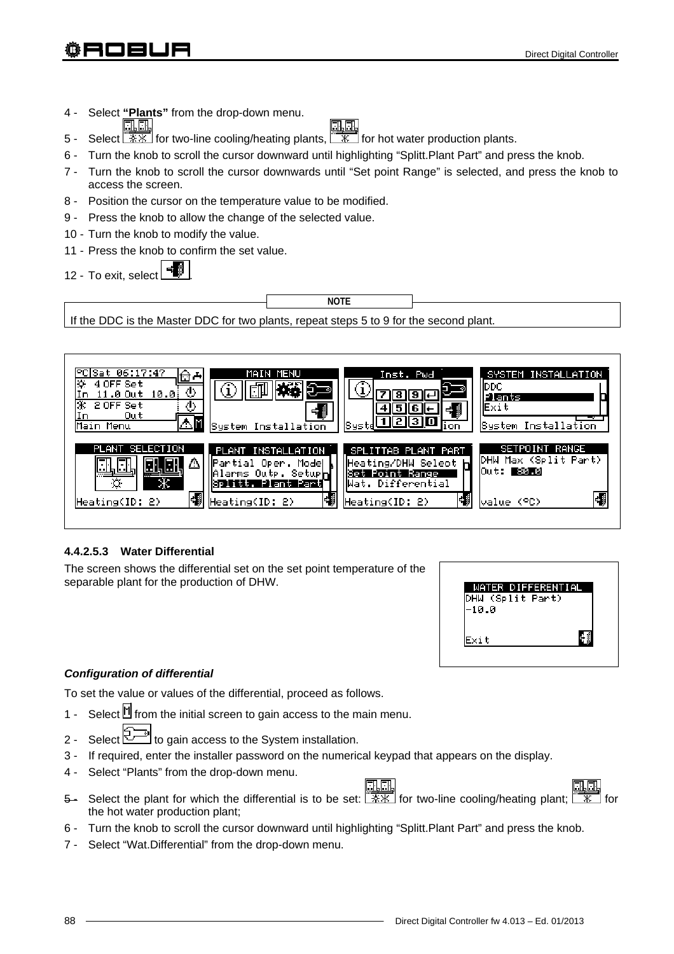- 4 Select **"Plants"** from the drop-down menu. 31. SF
- 5 Select  $\sqrt{\frac{2K}{K}}$  for two-line cooling/heating plants,  $\sqrt{\frac{K}{K}}$  for hot water production plants.
- 6 Turn the knob to scroll the cursor downward until highlighting "Splitt.Plant Part" and press the knob.
- 7 Turn the knob to scroll the cursor downwards until "Set point Range" is selected, and press the knob to access the screen.
- 8 Position the cursor on the temperature value to be modified.
- 9 Press the knob to allow the change of the selected value.
- 10 Turn the knob to modify the value.
- 11 Press the knob to confirm the set value.
- 12 To exit, select





# **4.4.2.5.3 Water Differential**

The screen shows the differential set on the set point temperature of the separable plant for the production of DHW.



# *Configuration of differential*

To set the value or values of the differential, proceed as follows.

- 1 Select  $\mathbb{I}$  from the initial screen to gain access to the main menu.
- 2 Select  $\mathbb{Z}^n$  to gain access to the System installation.
- 3 If required, enter the installer password on the numerical keypad that appears on the display.
- 4 Select "Plants" from the drop-down menu.
- 5- Select the plant for which the differential is to be set:  $\sqrt{2 \cdot x}$  for two-line cooling/heating plant;  $\sqrt{2 \cdot x}$  for the hot water production plant;
- 6 Turn the knob to scroll the cursor downward until highlighting "Splitt.Plant Part" and press the knob.
- 7 Select "Wat.Differential" from the drop-down menu.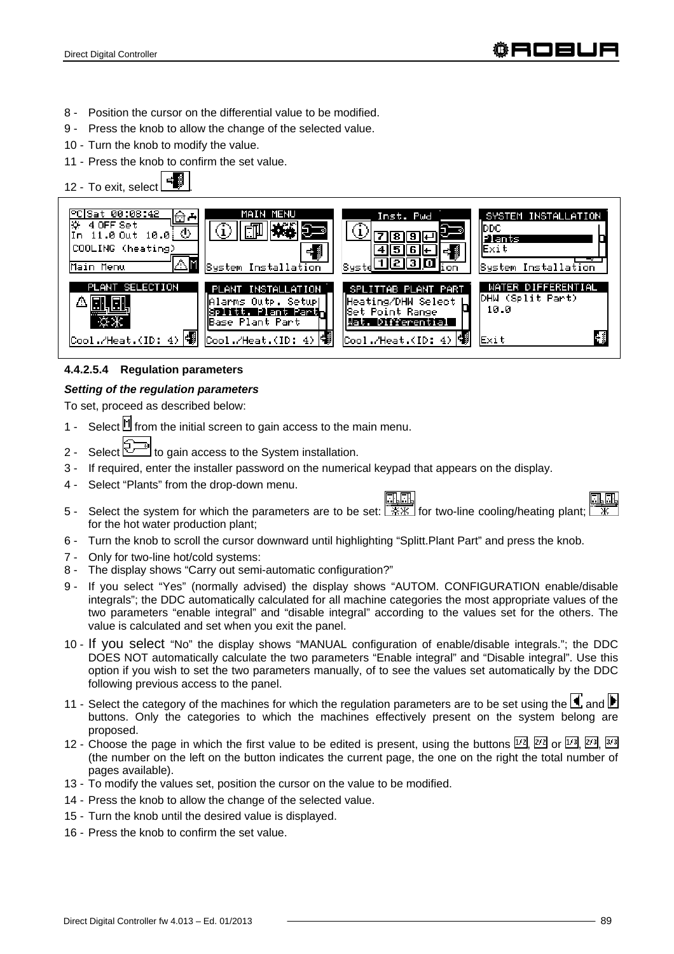- 8 Position the cursor on the differential value to be modified.
- 9 Press the knob to allow the change of the selected value.
- 10 Turn the knob to modify the value.
- 11 Press the knob to confirm the set value.

12 - To exit, select °C|Sat 00:08:42 MAIN MENU Inst. Pwd SYSTEM INSTALLATION ਿਦਿ 4 OFF Set bpc 小 (i) (i) In 11.0 Out 10.0 ত্ৰ ख Plant COOLING (heating) ∣ का बाह्य बा Fxit 4.≸ ााशशान Main Menu System Installation ustem Installation oп WATER DIFFERENTIAL ANT SELECTION PLANT INSTALLATION SPLITTAB PLANT PART DHW (Split Part) Alarms Outp. Setup| Heating/DHW Select  $10.0$ Splitt. Plant Part lSet Point Range Base Plant Part Wat. Differential НŚ 4) 幡 /Heat.(ID: Cool./Heat.(ID:  $4)$ Cool./Heat.(ID:  $4)$ Exit

# **4.4.2.5.4 Regulation parameters**

# *Setting of the regulation parameters*

To set, proceed as described below:

- 1 Select  $\mathbb N$  from the initial screen to gain access to the main menu.
- 2 Select  $\mathbb{Z}^n$  to gain access to the System installation.
- 3 If required, enter the installer password on the numerical keypad that appears on the display.
- 4 Select "Plants" from the drop-down menu.





- 5 Select the system for which the parameters are to be set:  $\sqrt{2 \cdot x}$  for two-line cooling/heating plant; for the hot water production plant;
- 6 Turn the knob to scroll the cursor downward until highlighting "Splitt.Plant Part" and press the knob.
- 7 Only for two-line hot/cold systems:
- 8 The display shows "Carry out semi-automatic configuration?"
- 9 If you select "Yes" (normally advised) the display shows "AUTOM. CONFIGURATION enable/disable integrals"; the DDC automatically calculated for all machine categories the most appropriate values of the two parameters "enable integral" and "disable integral" according to the values set for the others. The value is calculated and set when you exit the panel.
- 10 If you select "No" the display shows "MANUAL configuration of enable/disable integrals."; the DDC DOES NOT automatically calculate the two parameters "Enable integral" and "Disable integral". Use this option if you wish to set the two parameters manually, of to see the values set automatically by the DDC following previous access to the panel.
- 11 Select the category of the machines for which the regulation parameters are to be set using the  $\Box$  and  $\Box$ buttons. Only the categories to which the machines effectively present on the system belong are proposed.
- 12 Choose the page in which the first value to be edited is present, using the buttons  $\boxed{1/2}$ ,  $\boxed{2/2}$  or  $\boxed{1/3}$ ,  $\boxed{2/3}$ ,  $\boxed{3/3}$ (the number on the left on the button indicates the current page, the one on the right the total number of pages available).
- 13 To modify the values set, position the cursor on the value to be modified.
- 14 Press the knob to allow the change of the selected value.
- 15 Turn the knob until the desired value is displayed.
- 16 Press the knob to confirm the set value.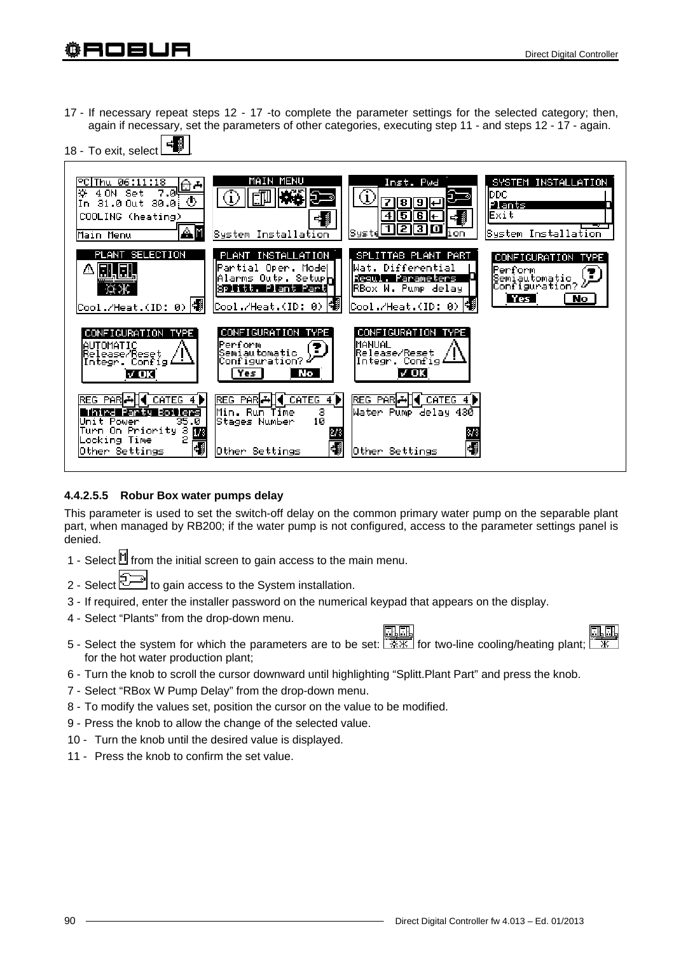17 - If necessary repeat steps 12 - 17 -to complete the parameter settings for the selected category; then, again if necessary, set the parameters of other categories, executing step 11 - and steps 12 - 17 - again.



### **4.4.2.5.5 Robur Box water pumps delay**

This parameter is used to set the switch-off delay on the common primary water pump on the separable plant part, when managed by RB200; if the water pump is not configured, access to the parameter settings panel is denied.

- 1 Select  $\mathbb M$  from the initial screen to gain access to the main menu.
- 2 Select  $\mathbb{Z}$  to gain access to the System installation.
- 3 If required, enter the installer password on the numerical keypad that appears on the display.
- 4 Select "Plants" from the drop-down menu.
- e, 5 - Select the system for which the parameters are to be set:  $\frac{1}{2}$  for two-line cooling/heating plant; for the hot water production plant;
- 6 Turn the knob to scroll the cursor downward until highlighting "Splitt.Plant Part" and press the knob.
- 7 Select "RBox W Pump Delay" from the drop-down menu.
- 8 To modify the values set, position the cursor on the value to be modified.
- 9 Press the knob to allow the change of the selected value.
- 10 Turn the knob until the desired value is displayed.
- 11 Press the knob to confirm the set value.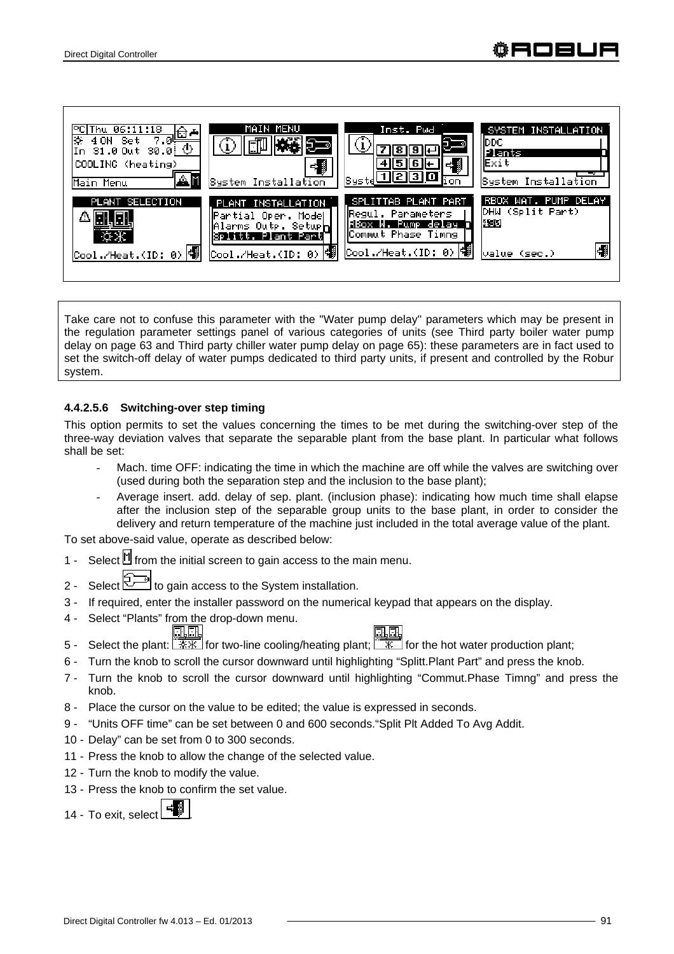

Take care not to confuse this parameter with the "Water pump delay" parameters which may be present in the regulation parameter settings panel of various categories of units (see Third party boiler water pump delay on page 63 and Third party chiller water pump delay on page 65): these parameters are in fact used to set the switch-off delay of water pumps dedicated to third party units, if present and controlled by the Robur system.

#### **4.4.2.5.6 Switching-over step timing**

This option permits to set the values concerning the times to be met during the switching-over step of the three-way deviation valves that separate the separable plant from the base plant. In particular what follows shall be set:

- Mach, time OFF: indicating the time in which the machine are off while the valves are switching over (used during both the separation step and the inclusion to the base plant);
- Average insert. add. delay of sep. plant. (inclusion phase): indicating how much time shall elapse after the inclusion step of the separable group units to the base plant, in order to consider the delivery and return temperature of the machine just included in the total average value of the plant.

To set above-said value, operate as described below:

- 1 Select  $\mathbb H$  from the initial screen to gain access to the main menu.
- 2 Select  $\mathbb{Z}^{\square}$  to gain access to the System installation.
- 3 If required, enter the installer password on the numerical keypad that appears on the display.
- 4 Select "Plants" from the drop-down menu.
- <u>cia di</u> 5 - Select the plant:  $\sqrt{7\}\times\mathbb{R}$  for two-line cooling/heating plant;  $\sqrt{7\}\times\mathbb{R}$  for the hot water production plant;
- 6 Turn the knob to scroll the cursor downward until highlighting "Splitt.Plant Part" and press the knob.
- 7 Turn the knob to scroll the cursor downward until highlighting "Commut.Phase Timng" and press the knob.
- 8 Place the cursor on the value to be edited; the value is expressed in seconds.
- 9 "Units OFF time" can be set between 0 and 600 seconds."Split Plt Added To Avg Addit.
- 10 Delay" can be set from 0 to 300 seconds.
- 11 Press the knob to allow the change of the selected value.
- 12 Turn the knob to modify the value.
- 13 Press the knob to confirm the set value.
- 14 To exit, select .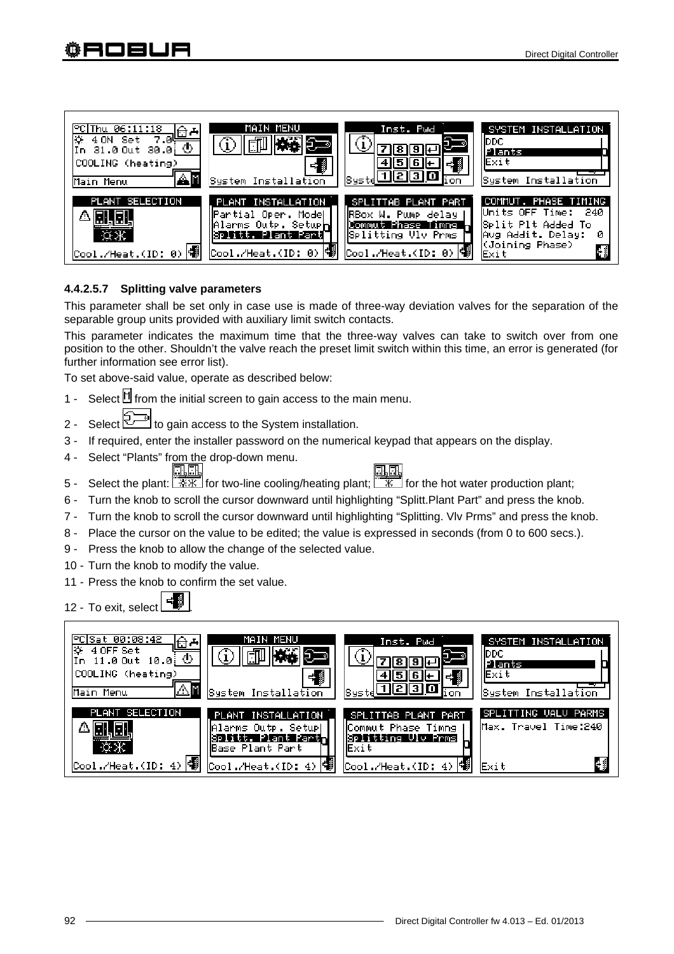

# **4.4.2.5.7 Splitting valve parameters**

This parameter shall be set only in case use is made of three-way deviation valves for the separation of the separable group units provided with auxiliary limit switch contacts.

This parameter indicates the maximum time that the three-way valves can take to switch over from one position to the other. Shouldn't the valve reach the preset limit switch within this time, an error is generated (for further information see error list).

To set above-said value, operate as described below:

- 1 Select  $\mathbb H$  from the initial screen to gain access to the main menu.
- 2 Select to gain access to the System installation.
- 3 If required, enter the installer password on the numerical keypad that appears on the display.
- 4 Select "Plants" from the drop-down menu. 电压

- 5 Select the plant:  $\sqrt{7\cdot 8\cdot 8}$  for two-line cooling/heating plant;  $\sqrt{8\cdot 8}$  for the hot water production plant;
- 6 Turn the knob to scroll the cursor downward until highlighting "Splitt.Plant Part" and press the knob.
- 7 Turn the knob to scroll the cursor downward until highlighting "Splitting. Vlv Prms" and press the knob.
- 8 Place the cursor on the value to be edited; the value is expressed in seconds (from 0 to 600 secs.).
- 9 Press the knob to allow the change of the selected value.
- 10 Turn the knob to modify the value.
- 11 Press the knob to confirm the set value.

12 - To exit, select

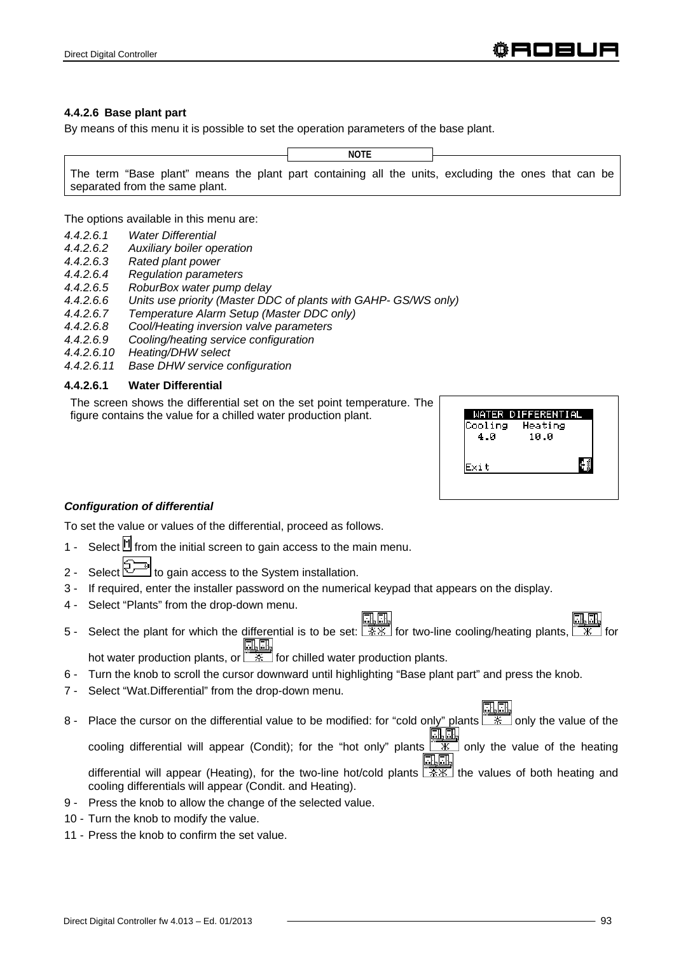#### **4.4.2.6 Base plant part**

By means of this menu it is possible to set the operation parameters of the base plant.

**NOTE**

The term "Base plant" means the plant part containing all the units, excluding the ones that can be separated from the same plant.

The options available in this menu are:

- *4.4.2.6.1 Water Differential*
- *4.4.2.6.2 Auxiliary boiler operation*
- *4.4.2.6.3 Rated plant power*
- *4.4.2.6.4 Regulation parameters*
- *4.4.2.6.5 RoburBox water pump delay*
- *4.4.2.6.6 Units use priority (Master DDC of plants with GAHP- GS/WS only)*
- *4.4.2.6.7 Temperature Alarm Setup (Master DDC only)*
- *4.4.2.6.8 Cool/Heating inversion valve parameters*
- *4.4.2.6.9 Cooling/heating service configuration*
- *4.4.2.6.10 Heating/DHW select*
- *4.4.2.6.11 Base DHW service configuration*

### **4.4.2.6.1 Water Differential**

The screen shows the differential set on the set point temperature. The figure contains the value for a chilled water production plant.



### *Configuration of differential*

To set the value or values of the differential, proceed as follows.

- 1 Select  $\mathbb H$  from the initial screen to gain access to the main menu.
- 2 Select  $\mathbb{Z}^{\mathbb{Z}}$  to gain access to the System installation.
- 3 If required, enter the installer password on the numerical keypad that appears on the display.
- 4 Select "Plants" from the drop-down menu.
- 5 Select the plant for which the differential is to be set:  $\frac{1}{100}$  for two-line cooling/heating plants, <u>ilin il</u>

hot water production plants, or  $\sqrt{1+1}$  for chilled water production plants.

- 6 Turn the knob to scroll the cursor downward until highlighting "Base plant part" and press the knob.
- 7 Select "Wat.Differential" from the drop-down menu.
- 8 Place the cursor on the differential value to be modified: for "cold only" plants  $\frac{1}{\sqrt{2}}$  only the value of the <u> Ell</u>

cooling differential will appear (Condit); for the "hot only" plants  $\overline{\mathbb{R}}$  only the value of the heating an an

differential will appear (Heating), for the two-line hot/cold plants  $\sqrt{3x}$  the values of both heating and cooling differentials will appear (Condit. and Heating).

- 9 Press the knob to allow the change of the selected value.
- 10 Turn the knob to modify the value.
- 11 Press the knob to confirm the set value.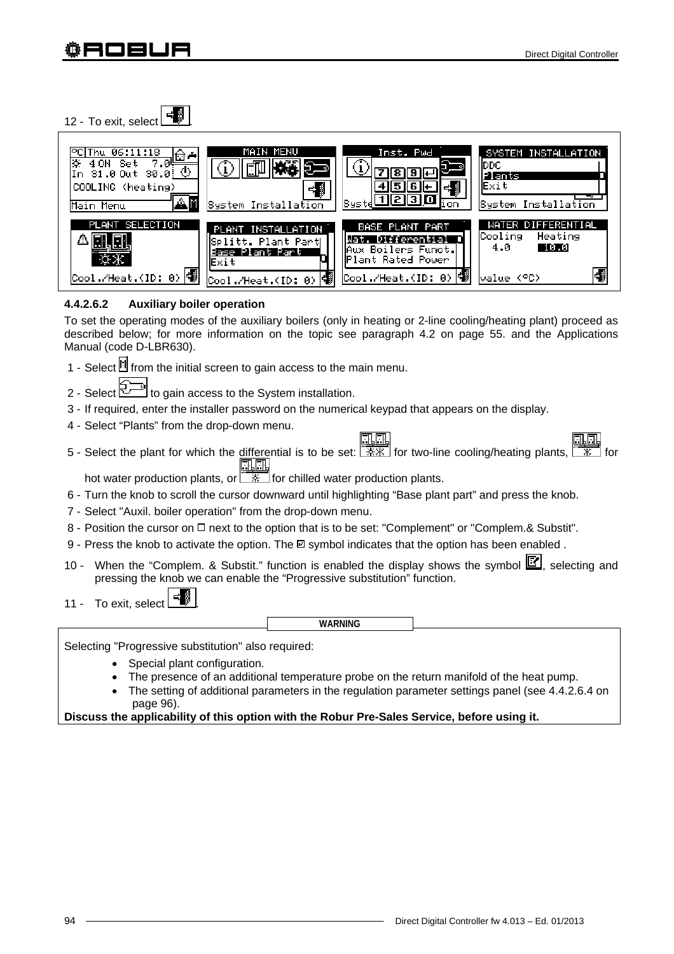12 - To exit, select  $\begin{array}{|c|c|} \hline \cdots \end{array}$ 



# **4.4.2.6.2 Auxiliary boiler operation**

To set the operating modes of the auxiliary boilers (only in heating or 2-line cooling/heating plant) proceed as described below; for more information on the topic see paragraph 4.2 on page 55. and the Applications Manual (code D-LBR630).

- 1 Select  $\mathbb H$  from the initial screen to gain access to the main menu.
- 2 Select  $\leq$  to gain access to the System installation.
- 3 If required, enter the installer password on the numerical keypad that appears on the display.
- 4 Select "Plants" from the drop-down menu.
- FIFEL **ELET**<br>5 Select the plant for which the differential is to be set: FAK for two-line cooling/heating plants, FAK <u>il</u>i

hot water production plants, or  $\sqrt{a^*}$  for chilled water production plants.

- 6 Turn the knob to scroll the cursor downward until highlighting "Base plant part" and press the knob.
- 7 Select "Auxil. boiler operation" from the drop-down menu.
- 8 Position the cursor on □ next to the option that is to be set: "Complement" or "Complem.& Substit".
- 9 Press the knob to activate the option. The  $\boxtimes$  symbol indicates that the option has been enabled.
- 10 When the "Complem. & Substit." function is enabled the display shows the symbol  $\mathbb{E}$ , selecting and pressing the knob we can enable the "Progressive substitution" function.
- 11 To exit, select

**WARNING**

Selecting "Progressive substitution" also required:

- Special plant configuration.
- The presence of an additional temperature probe on the return manifold of the heat pump.
- The setting of additional parameters in the regulation parameter settings panel (see 4.4.2.6.4 on page 96).

**Discuss the applicability of this option with the Robur Pre-Sales Service, before using it.**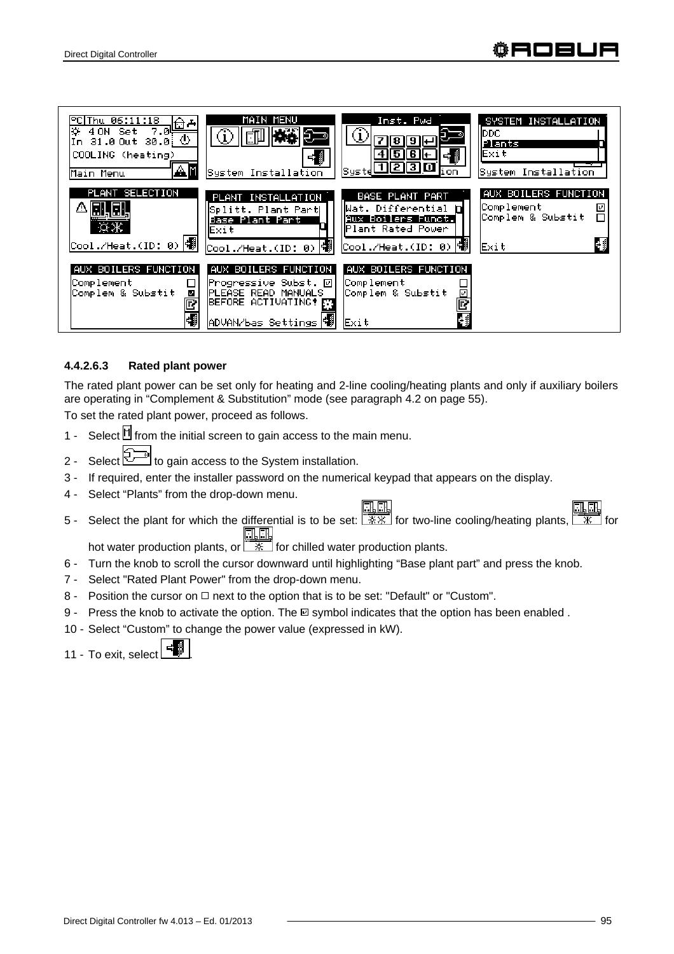

# **4.4.2.6.3 Rated plant power**

The rated plant power can be set only for heating and 2-line cooling/heating plants and only if auxiliary boilers are operating in "Complement & Substitution" mode (see paragraph 4.2 on page 55).

To set the rated plant power, proceed as follows.

- 1 Select  $\mathbb H$  from the initial screen to gain access to the main menu.
- 2 Select  $\mathbb{Z}$  to gain access to the System installation.
- 3 If required, enter the installer password on the numerical keypad that appears on the display.
- 4 Select "Plants" from the drop-down menu.
- 5 Select the plant for which the differential is to be set:  $\sqrt{3 \times x}$  for two-line cooling/heating plants,  $\sqrt{3x}$  for 風風

hot water production plants, or  $\sqrt{2\pi}$  for chilled water production plants.

- 6 Turn the knob to scroll the cursor downward until highlighting "Base plant part" and press the knob.
- 7 Select "Rated Plant Power" from the drop-down menu.
- 8 Position the cursor on  $\Box$  next to the option that is to be set: "Default" or "Custom".
- 9 Press the knob to activate the option. The  $\Box$  symbol indicates that the option has been enabled.
- 10 Select "Custom" to change the power value (expressed in kW).
- 11 To exit, select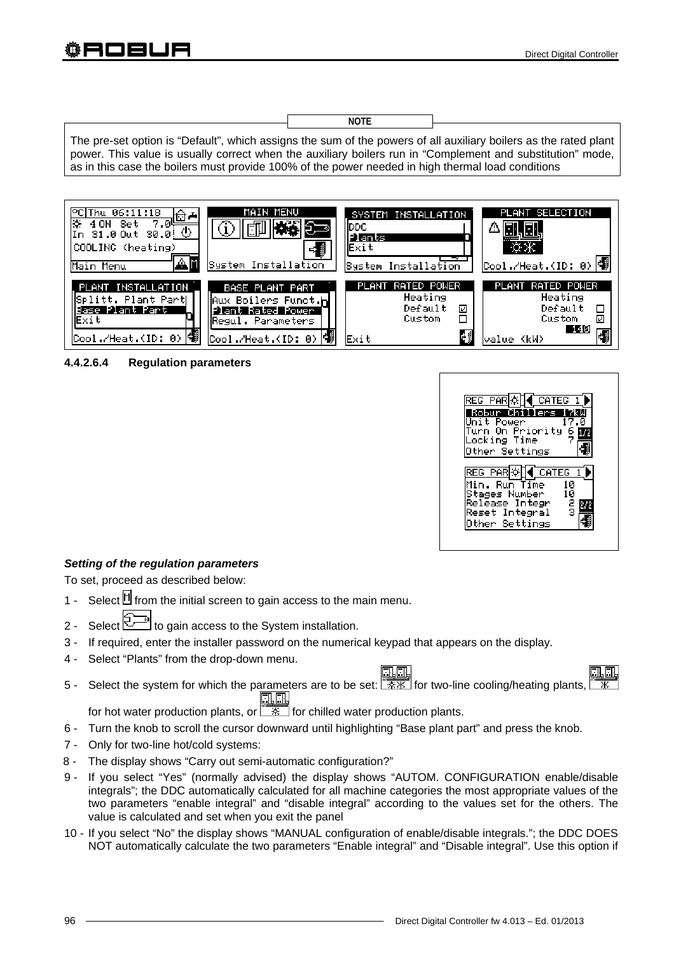**NOTE**

The pre-set option is "Default", which assigns the sum of the powers of all auxiliary boilers as the rated plant power. This value is usually correct when the auxiliary boilers run in "Complement and substitution" mode, as in this case the boilers must provide 100% of the power needed in high thermal load conditions



**4.4.2.6.4 Regulation parameters** 



# *Setting of the regulation parameters*

To set, proceed as described below:

- 1 Select  $\mathbb H$  from the initial screen to gain access to the main menu.
- 2 Select  $\boxed{2}$  to gain access to the System installation.
- 3 If required, enter the installer password on the numerical keypad that appears on the display.
- 4 Select "Plants" from the drop-down menu.
- <u>ili</u> 5 - Select the system for which the parameters are to be set:  $\sqrt{2 \cdot x}$  for two-line cooling/heating plants, <u>olo</u>
- for hot water production plants, or  $\sqrt{X}$  for chilled water production plants.
- 6 Turn the knob to scroll the cursor downward until highlighting "Base plant part" and press the knob.
- 7 Only for two-line hot/cold systems:
- 8 The display shows "Carry out semi-automatic configuration?"
- 9 If you select "Yes" (normally advised) the display shows "AUTOM. CONFIGURATION enable/disable integrals"; the DDC automatically calculated for all machine categories the most appropriate values of the two parameters "enable integral" and "disable integral" according to the values set for the others. The value is calculated and set when you exit the panel
- 10 If you select "No" the display shows "MANUAL configuration of enable/disable integrals."; the DDC DOES NOT automatically calculate the two parameters "Enable integral" and "Disable integral". Use this option if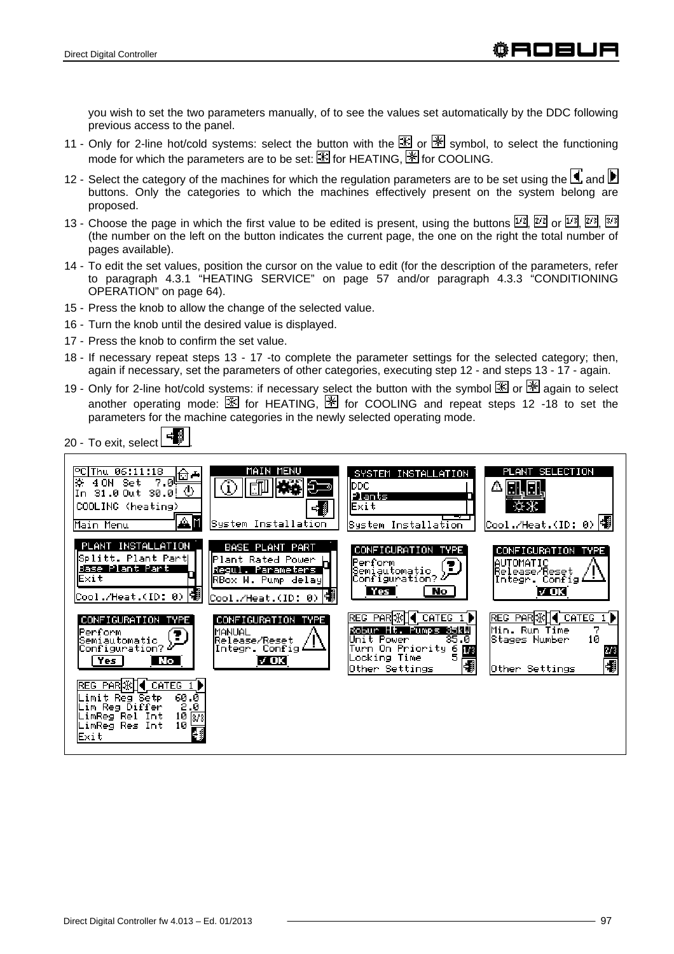you wish to set the two parameters manually, of to see the values set automatically by the DDC following previous access to the panel.

- 11 Only for 2-line hot/cold systems: select the button with the  $\mathbb{X}$  or  $\mathbb{X}$  symbol, to select the functioning mode for which the parameters are to be set:  $\mathbb{F}$  for HEATING.  $\mathbb{F}$  for COOLING.
- 12 Select the category of the machines for which the regulation parameters are to be set using the  $\Box$  and  $\Box$ buttons. Only the categories to which the machines effectively present on the system belong are proposed.
- 13 Choose the page in which the first value to be edited is present, using the buttons  $\boxed{1/2}$ ,  $\boxed{2/2}$  or  $\boxed{1/3}$ ,  $\boxed{2/3}$ ,  $\boxed{3/3}$ (the number on the left on the button indicates the current page, the one on the right the total number of pages available).
- 14 To edit the set values, position the cursor on the value to edit (for the description of the parameters, refer to paragraph 4.3.1 "HEATING SERVICE" on page 57 and/or paragraph 4.3.3 "CONDITIONING OPERATION" on page 64).
- 15 Press the knob to allow the change of the selected value.
- 16 Turn the knob until the desired value is displayed.
- 17 Press the knob to confirm the set value.
- 18 If necessary repeat steps 13 17 -to complete the parameter settings for the selected category; then, again if necessary, set the parameters of other categories, executing step 12 - and steps 13 - 17 - again.
- 19 Only for 2-line hot/cold systems: if necessary select the button with the symbol  $\mathbb{X}$  or  $\mathbb{X}$  again to select another operating mode:  $\mathbb K$  for HEATING,  $\mathbb K$  for COOLING and repeat steps 12 -18 to set the parameters for the machine categories in the newly selected operating mode.



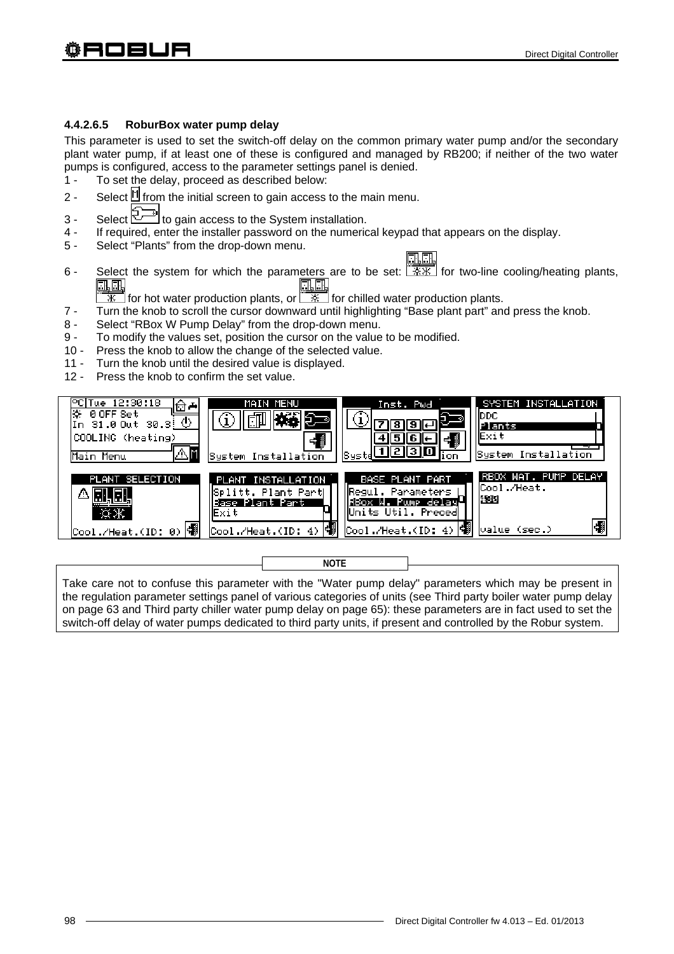# **4.4.2.6.5 RoburBox water pump delay**

This parameter is used to set the switch-off delay on the common primary water pump and/or the secondary plant water pump, if at least one of these is configured and managed by RB200; if neither of the two water pumps is configured, access to the parameter settings panel is denied.

- 1 To set the delay, proceed as described below:
- 2 Select  $\mathbb N$  from the initial screen to gain access to the main menu.
- 3 Select  $\mathbb{Z}^n$  to gain access to the System installation.
- 4 If required, enter the installer password on the numerical keypad that appears on the display.
- 5 Select "Plants" from the drop-down menu.

- 6 Select the system for which the parameters are to be set:  $\sqrt{2 \cdot x}$  for two-line cooling/heating plants,  $\begin{array}{c} \boxed{\frac{1}{\sqrt{11}} \boxed{\frac{1}{\sqrt{11}}}}\\ \boxed{\frac{1}{\sqrt{11}} \boxed{\frac{1}{\sqrt{11}}}}\\ \boxed{\frac{1}{\sqrt{11}} \boxed{\frac{1}{\sqrt{11}}}}\\ \boxed{\frac{1}{\sqrt{11}} \boxed{\frac{1}{\sqrt{11}}}}\\ \boxed{\frac{1}{\sqrt{11}} \boxed{\frac{1}{\sqrt{11}}}}\\ \boxed{\frac{1}{\sqrt{11}} \boxed{\frac{1}{\sqrt{11}}}}\\ \boxed{\frac{1}{\sqrt{11}} \boxed{\frac{1}{\sqrt{11}}}}\\ \boxed{\frac{1}{\sqrt{11}} \boxed{\frac$ 
	-
- 7 Turn the knob to scroll the cursor downward until highlighting "Base plant part" and press the knob.
- 8 Select "RBox W Pump Delay" from the drop-down menu.
- 9 To modify the values set, position the cursor on the value to be modified.
- 10 Press the knob to allow the change of the selected value.
- 11 Turn the knob until the desired value is displayed.
- 12 Press the knob to confirm the set value.



**NOTE**

Take care not to confuse this parameter with the "Water pump delay" parameters which may be present in the regulation parameter settings panel of various categories of units (see Third party boiler water pump delay on page 63 and Third party chiller water pump delay on page 65): these parameters are in fact used to set the switch-off delay of water pumps dedicated to third party units, if present and controlled by the Robur system.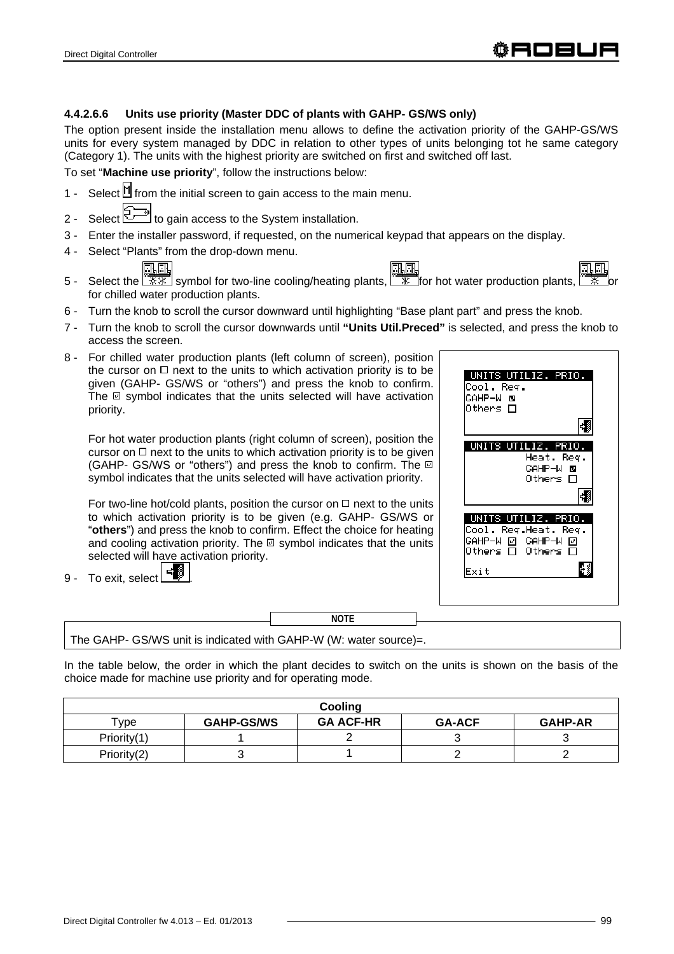### **4.4.2.6.6 Units use priority (Master DDC of plants with GAHP- GS/WS only)**

The option present inside the installation menu allows to define the activation priority of the GAHP-GS/WS units for every system managed by DDC in relation to other types of units belonging tot he same category (Category 1). The units with the highest priority are switched on first and switched off last.

To set "**Machine use priority**", follow the instructions below:

- 1 Select  $\mathbb H$  from the initial screen to gain access to the main menu.
- 2 Select  $\overline{\bigcirc^{2n}}$  to gain access to the System installation.
- 3 Enter the installer password, if requested, on the numerical keypad that appears on the display.
- 4 Select "Plants" from the drop-down menu.

風風



- 5 Select the  $\sqrt{3\pi}$  symbol for two-line cooling/heating plants,  $\sqrt{3\pi}$  for hot water production plants, for chilled water production plants.
- 6 Turn the knob to scroll the cursor downward until highlighting "Base plant part" and press the knob.
- 7 Turn the knob to scroll the cursor downwards until **"Units Util.Preced"** is selected, and press the knob to access the screen.
- 8 For chilled water production plants (left column of screen), position the cursor on  $\Box$  next to the units to which activation priority is to be given (GAHP- GS/WS or "others") and press the knob to confirm. The  $\Xi$  symbol indicates that the units selected will have activation priority.

 For hot water production plants (right column of screen), position the cursor on  $\Box$  next to the units to which activation priority is to be given (GAHP- GS/WS or "others") and press the knob to confirm. The symbol indicates that the units selected will have activation priority.

For two-line hot/cold plants, position the cursor on  $\Box$  next to the units to which activation priority is to be given (e.g. GAHP- GS/WS or "**others**") and press the knob to confirm. Effect the choice for heating and cooling activation priority. The  $\Box$  symbol indicates that the units selected will have activation priority.

9 - To exit, select



**NOTE**

The GAHP- GS/WS unit is indicated with GAHP-W (W: water source)=.

In the table below, the order in which the plant decides to switch on the units is shown on the basis of the choice made for machine use priority and for operating mode.

| Cooling         |                   |                  |               |                |  |
|-----------------|-------------------|------------------|---------------|----------------|--|
| $\mathsf{Type}$ | <b>GAHP-GS/WS</b> | <b>GA ACF-HR</b> | <b>GA-ACF</b> | <b>GAHP-AR</b> |  |
| Priority(1)     |                   |                  |               |                |  |
| Priority(2)     |                   |                  |               |                |  |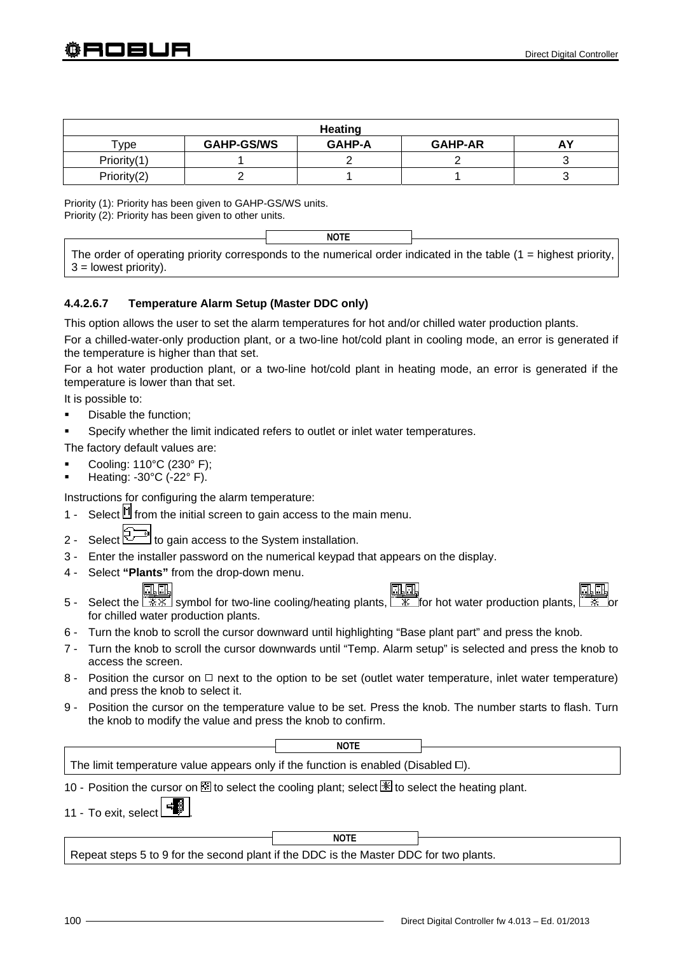| <b>Heating</b> |                   |               |                |  |  |  |
|----------------|-------------------|---------------|----------------|--|--|--|
| $\mathsf{vpe}$ | <b>GAHP-GS/WS</b> | <b>GAHP-A</b> | <b>GAHP-AR</b> |  |  |  |
| Priority(1)    |                   |               |                |  |  |  |
| Priority(2)    |                   |               |                |  |  |  |

Priority (1): Priority has been given to GAHP-GS/WS units.

Priority (2): Priority has been given to other units.

**NOTE**

The order of operating priority corresponds to the numerical order indicated in the table  $(1 =$  highest priority, 3 = lowest priority).

# **4.4.2.6.7 Temperature Alarm Setup (Master DDC only)**

This option allows the user to set the alarm temperatures for hot and/or chilled water production plants.

For a chilled-water-only production plant, or a two-line hot/cold plant in cooling mode, an error is generated if the temperature is higher than that set.

For a hot water production plant, or a two-line hot/cold plant in heating mode, an error is generated if the temperature is lower than that set.

It is possible to:

- **•** Disable the function:
- Specify whether the limit indicated refers to outlet or inlet water temperatures.

The factory default values are:

- Cooling: 110°C (230° F);
- Heating: -30°C (-22° F).

Instructions for configuring the alarm temperature:

- 1 Select  $\mathbb H$  from the initial screen to gain access to the main menu.
- 2 Select  $\mathbb{Z}^{\mathbb{Z}}$  to gain access to the System installation.
- 3 Enter the installer password on the numerical keypad that appears on the display.
- 4 Select **"Plants"** from the drop-down menu.

- 5 Select the  $\frac{11}{20}$  symbol for two-line cooling/heating plants,  $\frac{11}{20}$  for hot water production plants, for chilled water production plants.
- 6 Turn the knob to scroll the cursor downward until highlighting "Base plant part" and press the knob.
- 7 Turn the knob to scroll the cursor downwards until "Temp. Alarm setup" is selected and press the knob to access the screen.
- 8 Position the cursor on  $\Box$  next to the option to be set (outlet water temperature, inlet water temperature) and press the knob to select it.
- 9 Position the cursor on the temperature value to be set. Press the knob. The number starts to flash. Turn the knob to modify the value and press the knob to confirm.

The limit temperature value appears only if the function is enabled (Disabled  $\square$ ). 10 - Position the cursor on  $\boxtimes$  to select the cooling plant; select  $\mathbb K$  to select the heating plant. 11 - To exit, select Repeat steps 5 to 9 for the second plant if the DDC is the Master DDC for two plants. **NOTE NOTE**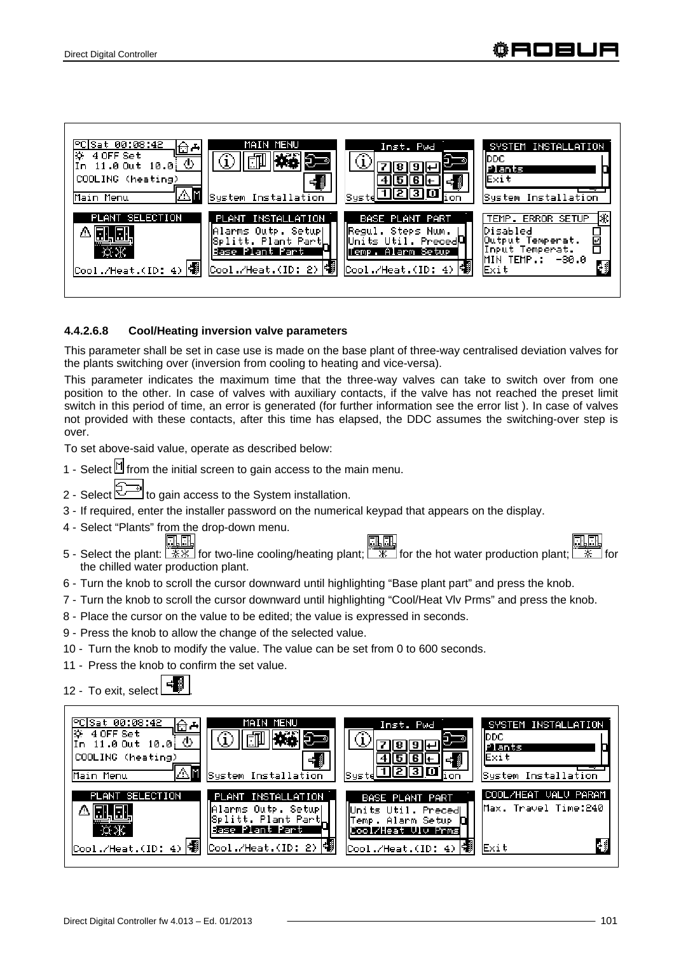

### **4.4.2.6.8 Cool/Heating inversion valve parameters**

This parameter shall be set in case use is made on the base plant of three-way centralised deviation valves for the plants switching over (inversion from cooling to heating and vice-versa).

This parameter indicates the maximum time that the three-way valves can take to switch over from one position to the other. In case of valves with auxiliary contacts, if the valve has not reached the preset limit switch in this period of time, an error is generated (for further information see the error list ). In case of valves not provided with these contacts, after this time has elapsed, the DDC assumes the switching-over step is over.

To set above-said value, operate as described below:

- 1 Select  $\mathbb N$  from the initial screen to gain access to the main menu.
- 2 Select  $\mathbb{Z}$  to gain access to the System installation.
- 3 If required, enter the installer password on the numerical keypad that appears on the display.
- 4 Select "Plants" from the drop-down menu.
- 5 Select the plant: for two-line cooling/heating plant; for the hot water production plant; for the chilled water production plant.
- 6 Turn the knob to scroll the cursor downward until highlighting "Base plant part" and press the knob.
- 7 Turn the knob to scroll the cursor downward until highlighting "Cool/Heat Vlv Prms" and press the knob.
- 8 Place the cursor on the value to be edited; the value is expressed in seconds.
- 9 Press the knob to allow the change of the selected value.
- 10 Turn the knob to modify the value. The value can be set from 0 to 600 seconds.
- 11 Press the knob to confirm the set value.

12 - To exit, select  $\Box$ 

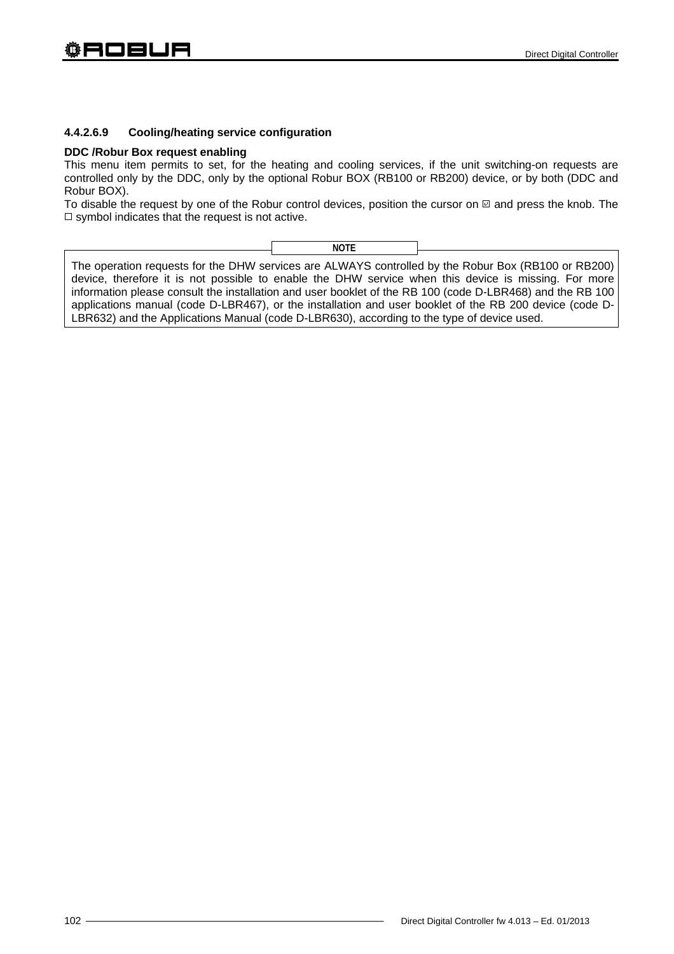### **4.4.2.6.9 Cooling/heating service configuration**

#### **DDC /Robur Box request enabling**

This menu item permits to set, for the heating and cooling services, if the unit switching-on requests are controlled only by the DDC, only by the optional Robur BOX (RB100 or RB200) device, or by both (DDC and Robur BOX).

To disable the request by one of the Robur control devices, position the cursor on  $\boxtimes$  and press the knob. The  $\square$  symbol indicates that the request is not active.

| NOTE |  |
|------|--|
| ____ |  |
|      |  |

The operation requests for the DHW services are ALWAYS controlled by the Robur Box (RB100 or RB200) device, therefore it is not possible to enable the DHW service when this device is missing. For more information please consult the installation and user booklet of the RB 100 (code D-LBR468) and the RB 100 applications manual (code D-LBR467), or the installation and user booklet of the RB 200 device (code D-LBR632) and the Applications Manual (code D-LBR630), according to the type of device used.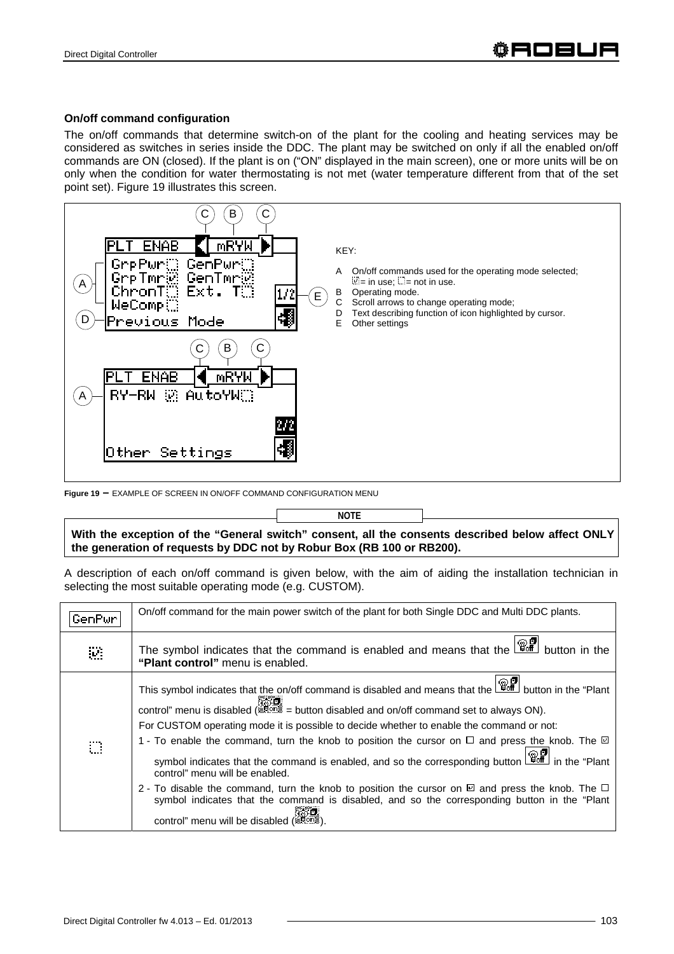### **On/off command configuration**

The on/off commands that determine switch-on of the plant for the cooling and heating services may be considered as switches in series inside the DDC. The plant may be switched on only if all the enabled on/off commands are ON (closed). If the plant is on ("ON" displayed in the main screen), one or more units will be on only when the condition for water thermostating is not met (water temperature different from that of the set point set). Figure 19 illustrates this screen.



**Figure 19 –** EXAMPLE OF SCREEN IN ON/OFF COMMAND CONFIGURATION MENU

**NOTE**

**With the exception of the "General switch" consent, all the consents described below affect ONLY the generation of requests by DDC not by Robur Box (RB 100 or RB200).** 

A description of each on/off command is given below, with the aim of aiding the installation technician in selecting the most suitable operating mode (e.g. CUSTOM).

| GenPur-                     | On/off command for the main power switch of the plant for both Single DDC and Multi DDC plants.                                                                                                                                                                                                                                                                                                                                                                                                                                                                                                                                                                                                                                                                                                                                                    |
|-----------------------------|----------------------------------------------------------------------------------------------------------------------------------------------------------------------------------------------------------------------------------------------------------------------------------------------------------------------------------------------------------------------------------------------------------------------------------------------------------------------------------------------------------------------------------------------------------------------------------------------------------------------------------------------------------------------------------------------------------------------------------------------------------------------------------------------------------------------------------------------------|
| $\mathbf{W}$                | The symbol indicates that the command is enabled and means that the $\boxed{\mathbb{CP}}$ button in the<br>"Plant control" menu is enabled.                                                                                                                                                                                                                                                                                                                                                                                                                                                                                                                                                                                                                                                                                                        |
| $\mathcal{C}^{\mathcal{C}}$ | This symbol indicates that the on/off command is disabled and means that the $\Box$ button in the "Plant"<br>control" menu is disabled ( $\frac{1}{2000}$ = button disabled and on/off command set to always ON).<br>For CUSTOM operating mode it is possible to decide whether to enable the command or not:<br>1 - To enable the command, turn the knob to position the cursor on $\Box$ and press the knob. The $\boxtimes$<br>symbol indicates that the command is enabled, and so the corresponding button $\boxed{\mathbb{G}^{\square}$ in the "Plant<br>control" menu will be enabled.<br>2 - To disable the command, turn the knob to position the cursor on $\boxtimes$ and press the knob. The $\Box$<br>symbol indicates that the command is disabled, and so the corresponding button in the "Plant"<br>control" menu will be disabled |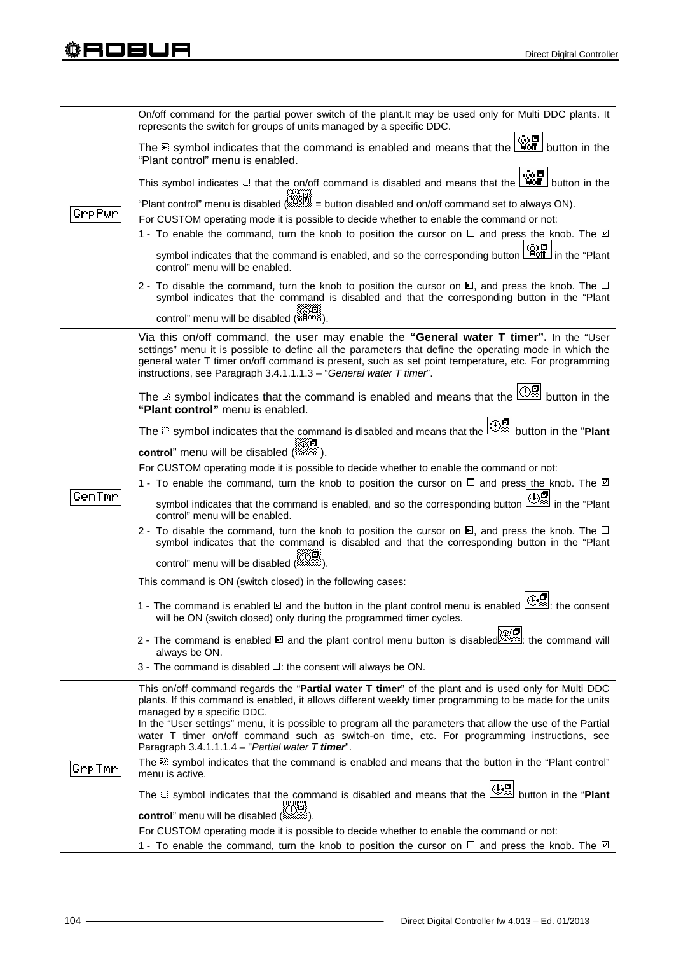|        | On/off command for the partial power switch of the plant. It may be used only for Multi DDC plants. It<br>represents the switch for groups of units managed by a specific DDC.                                    |
|--------|-------------------------------------------------------------------------------------------------------------------------------------------------------------------------------------------------------------------|
|        | The $\cong$ symbol indicates that the command is enabled and means that the $\left[\begin{array}{c}\mathbb{Q} \\ \mathbb{R}\end{array}\right]$ button in the<br>"Plant control" menu is enabled.                  |
|        | This symbol indicates $\Box$ that the on/off command is disabled and means that the $\Box$ button in the                                                                                                          |
| GrpPwr | "Plant control" menu is disabled (ﷺ = button disabled and on/off command set to always ON).                                                                                                                       |
|        | For CUSTOM operating mode it is possible to decide whether to enable the command or not:                                                                                                                          |
|        | 1 - To enable the command, turn the knob to position the cursor on $\Box$ and press the knob. The $\Box$                                                                                                          |
|        | symbol indicates that the command is enabled, and so the corresponding button $\boxed{\overset{\textcircled{\small an}}{\text{Hoff}}}$ in the "Plant"<br>control" menu will be enabled.                           |
|        | 2 - To disable the command, turn the knob to position the cursor on $\boxtimes$ , and press the knob. The $\Box$<br>symbol indicates that the command is disabled and that the corresponding button in the "Plant |
|        | control" menu will be disabled (stams)                                                                                                                                                                            |
|        | Via this on/off command, the user may enable the "General water T timer". In the "User                                                                                                                            |
|        | settings" menu it is possible to define all the parameters that define the operating mode in which the<br>general water T timer on/off command is present, such as set point temperature, etc. For programming    |
|        | instructions, see Paragraph 3.4.1.1.1.3 - "General water T timer".                                                                                                                                                |
|        |                                                                                                                                                                                                                   |
|        | The a symbol indicates that the command is enabled and means that the $\mathbb{E}$ button in the<br>"Plant control" menu is enabled.                                                                              |
|        | The $\Box$ symbol indicates that the command is disabled and means that the $\Box$ button in the "Plant                                                                                                           |
|        | control" menu will be disabled (                                                                                                                                                                                  |
|        | For CUSTOM operating mode it is possible to decide whether to enable the command or not:                                                                                                                          |
|        | 1 - To enable the command, turn the knob to position the cursor on $\Box$ and press the knob. The $\Box$                                                                                                          |
| GenTmr |                                                                                                                                                                                                                   |
|        | in the "Plant" symbol indicates that the command is enabled, and so the corresponding button $\mathbb{E}$ in the "Plant"<br>control" menu will be enabled.                                                        |
|        | 2 - To disable the command, turn the knob to position the cursor on $\boxtimes$ , and press the knob. The $\Box$<br>symbol indicates that the command is disabled and that the corresponding button in the "Plant |
|        |                                                                                                                                                                                                                   |
|        | ﷺ<br>(ﷺ) control" menu will be disabled                                                                                                                                                                           |
|        | This command is ON (switch closed) in the following cases:                                                                                                                                                        |
|        | 1 - The command is enabled $\Box$ and the button in the plant control menu is enabled $\Box$ . the consent                                                                                                        |
|        | will be ON (switch closed) only during the programmed timer cycles.                                                                                                                                               |
|        | 2 - The command is enabled @ and the plant control menu button is disabled                                                                                                                                        |
|        | always be ON.                                                                                                                                                                                                     |
|        | 3 - The command is disabled $\Box$ : the consent will always be ON.                                                                                                                                               |
|        | This on/off command regards the "Partial water T timer" of the plant and is used only for Multi DDC<br>plants. If this command is enabled, it allows different weekly timer programming to be made for the units  |
|        | managed by a specific DDC.                                                                                                                                                                                        |
|        | In the "User settings" menu, it is possible to program all the parameters that allow the use of the Partial                                                                                                       |
|        | water T timer on/off command such as switch-on time, etc. For programming instructions, see<br>Paragraph 3.4.1.1.1.4 - "Partial water T timer".                                                                   |
| GrpTmr | The $\mathbb Z$ symbol indicates that the command is enabled and means that the button in the "Plant control"                                                                                                     |
|        | menu is active.                                                                                                                                                                                                   |
|        | The $\Box$ symbol indicates that the command is disabled and means that the $\Box$ button in the "Plant"                                                                                                          |
|        | control" menu will be disabled (                                                                                                                                                                                  |
|        | For CUSTOM operating mode it is possible to decide whether to enable the command or not:                                                                                                                          |
|        | 1 - To enable the command, turn the knob to position the cursor on $\Box$ and press the knob. The $\Box$                                                                                                          |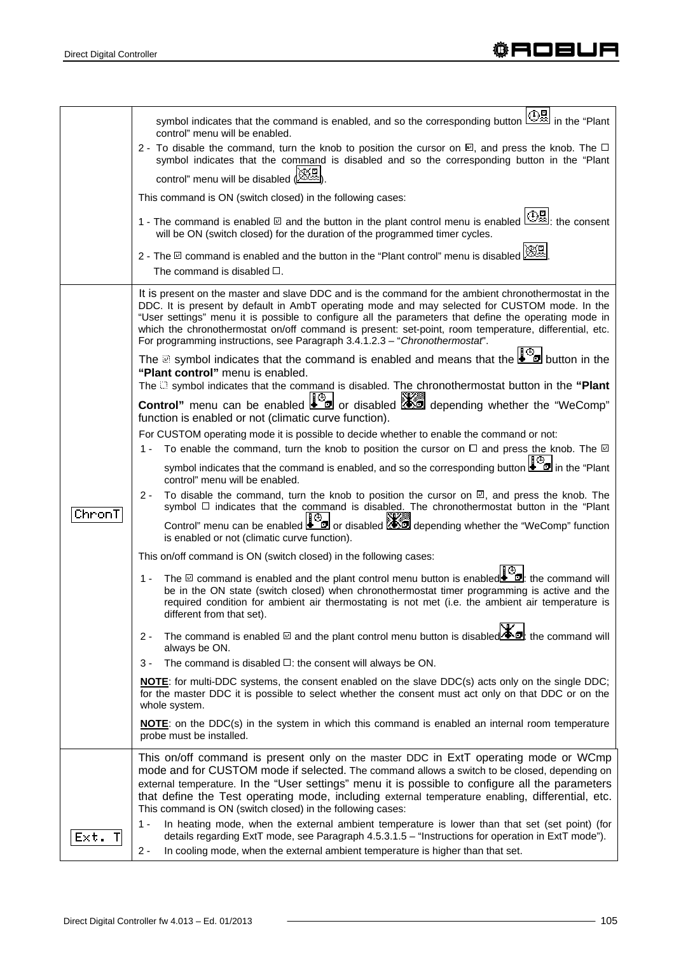|           | in the "Plant" symbol indicates that the command is enabled, and so the corresponding button $\Box$ in the "Plant<br>control" menu will be enabled.                                                                                                                                                                                                                                                                                                                                                    |
|-----------|--------------------------------------------------------------------------------------------------------------------------------------------------------------------------------------------------------------------------------------------------------------------------------------------------------------------------------------------------------------------------------------------------------------------------------------------------------------------------------------------------------|
|           | 2 - To disable the command, turn the knob to position the cursor on $\Box$ , and press the knob. The $\Box$<br>symbol indicates that the command is disabled and so the corresponding button in the "Plant                                                                                                                                                                                                                                                                                             |
|           | control" menu will be disabled (                                                                                                                                                                                                                                                                                                                                                                                                                                                                       |
|           | This command is ON (switch closed) in the following cases:                                                                                                                                                                                                                                                                                                                                                                                                                                             |
|           | 1 - The command is enabled $\Box$ and the button in the plant control menu is enabled $\Box$ . the consent<br>will be ON (switch closed) for the duration of the programmed timer cycles.                                                                                                                                                                                                                                                                                                              |
|           | 2 - The $\Xi$ command is enabled and the button in the "Plant control" menu is disabled $\boxtimes$<br>The command is disabled $\Box$ .                                                                                                                                                                                                                                                                                                                                                                |
|           | It is present on the master and slave DDC and is the command for the ambient chronothermostat in the<br>DDC. It is present by default in AmbT operating mode and may selected for CUSTOM mode. In the<br>"User settings" menu it is possible to configure all the parameters that define the operating mode in<br>which the chronothermostat on/off command is present: set-point, room temperature, differential, etc.<br>For programming instructions, see Paragraph 3.4.1.2.3 - "Chronothermostat". |
|           | The symbol indicates that the command is enabled and means that the $\bigcup_{n=1}^{\infty}$ button in the<br>"Plant control" menu is enabled.                                                                                                                                                                                                                                                                                                                                                         |
|           | The $\Box$ symbol indicates that the command is disabled. The chronothermostat button in the "Plant<br>Control" menu can be enabled or disabled <b>As depending whether the "WeComp"</b>                                                                                                                                                                                                                                                                                                               |
|           | function is enabled or not (climatic curve function).                                                                                                                                                                                                                                                                                                                                                                                                                                                  |
|           | For CUSTOM operating mode it is possible to decide whether to enable the command or not:                                                                                                                                                                                                                                                                                                                                                                                                               |
|           | 1 - To enable the command, turn the knob to position the cursor on $\Box$ and press the knob. The $\Box$                                                                                                                                                                                                                                                                                                                                                                                               |
|           | symbol indicates that the command is enabled, and so the corresponding button $\Box$ in the "Plant"<br>control" menu will be enabled.                                                                                                                                                                                                                                                                                                                                                                  |
| ChronT    | To disable the command, turn the knob to position the cursor on $\mathbb{Z}$ , and press the knob. The<br>$2 -$<br>symbol $\Box$ indicates that the command is disabled. The chronothermostat button in the "Plant                                                                                                                                                                                                                                                                                     |
|           | Control" menu can be enabled $\bullet$ or disabled $\bullet$ depending whether the "WeComp" function<br>is enabled or not (climatic curve function).                                                                                                                                                                                                                                                                                                                                                   |
|           | This on/off command is ON (switch closed) in the following cases:                                                                                                                                                                                                                                                                                                                                                                                                                                      |
|           | 1 - The <b>onmand is enabled and the plant control menu</b> button is enabled <b>e d</b> : the command will<br>be in the ON state (switch closed) when chronothermostat timer programming is active and the<br>required condition for ambient air thermostating is not met (i.e. the ambient air temperature is<br>different from that set).                                                                                                                                                           |
|           | The command is enabled $\boxtimes$ and the plant control menu button is disabled $\blacksquare$ : the command will<br>2 -<br>always be ON.                                                                                                                                                                                                                                                                                                                                                             |
|           | The command is disabled $\Box$ : the consent will always be ON.<br>3 -                                                                                                                                                                                                                                                                                                                                                                                                                                 |
|           | NOTE: for multi-DDC systems, the consent enabled on the slave DDC(s) acts only on the single DDC;<br>for the master DDC it is possible to select whether the consent must act only on that DDC or on the<br>whole system.                                                                                                                                                                                                                                                                              |
|           | <b>NOTE:</b> on the DDC(s) in the system in which this command is enabled an internal room temperature<br>probe must be installed.                                                                                                                                                                                                                                                                                                                                                                     |
|           | This on/off command is present only on the master DDC in ExtT operating mode or WCmp<br>mode and for CUSTOM mode if selected. The command allows a switch to be closed, depending on<br>external temperature. In the "User settings" menu it is possible to configure all the parameters<br>that define the Test operating mode, including external temperature enabling, differential, etc.<br>This command is ON (switch closed) in the following cases:                                             |
| Ext.<br>Т | In heating mode, when the external ambient temperature is lower than that set (set point) (for<br>1 -<br>details regarding ExtT mode, see Paragraph 4.5.3.1.5 - "Instructions for operation in ExtT mode").<br>In cooling mode, when the external ambient temperature is higher than that set.<br>$2 -$                                                                                                                                                                                                |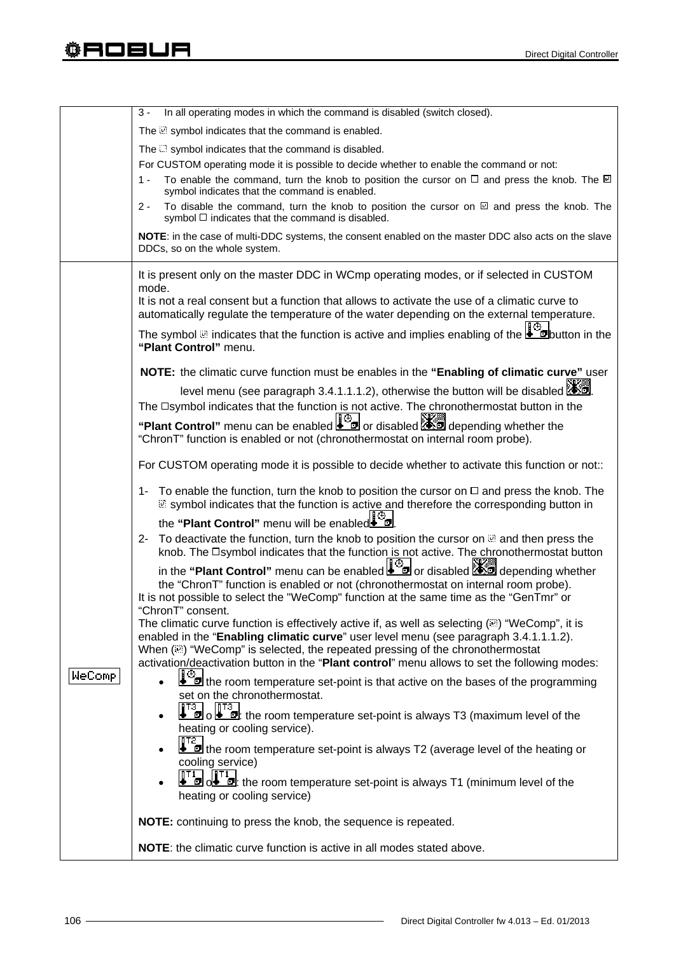|               | In all operating modes in which the command is disabled (switch closed).<br>3 -                                                                                                                                                                                                                                                                                                                                       |
|---------------|-----------------------------------------------------------------------------------------------------------------------------------------------------------------------------------------------------------------------------------------------------------------------------------------------------------------------------------------------------------------------------------------------------------------------|
|               | The <b>Solution</b> symbol indicates that the command is enabled.                                                                                                                                                                                                                                                                                                                                                     |
|               | The $\Box$ symbol indicates that the command is disabled.                                                                                                                                                                                                                                                                                                                                                             |
|               | For CUSTOM operating mode it is possible to decide whether to enable the command or not:                                                                                                                                                                                                                                                                                                                              |
|               | To enable the command, turn the knob to position the cursor on $\Box$ and press the knob. The $\Box$<br>1 -<br>symbol indicates that the command is enabled.                                                                                                                                                                                                                                                          |
|               | To disable the command, turn the knob to position the cursor on $\boxtimes$ and press the knob. The<br>2 -<br>symbol □ indicates that the command is disabled.                                                                                                                                                                                                                                                        |
|               | NOTE: in the case of multi-DDC systems, the consent enabled on the master DDC also acts on the slave<br>DDCs, so on the whole system.                                                                                                                                                                                                                                                                                 |
|               | It is present only on the master DDC in WCmp operating modes, or if selected in CUSTOM<br>mode.                                                                                                                                                                                                                                                                                                                       |
|               | It is not a real consent but a function that allows to activate the use of a climatic curve to<br>automatically regulate the temperature of the water depending on the external temperature.                                                                                                                                                                                                                          |
|               | The symbol a indicates that the function is active and implies enabling of the $\frac{16}{20}$ button in the<br>"Plant Control" menu.                                                                                                                                                                                                                                                                                 |
|               | NOTE: the climatic curve function must be enables in the "Enabling of climatic curve" user                                                                                                                                                                                                                                                                                                                            |
|               | level menu (see paragraph 3.4.1.1.1.2), otherwise the button will be disabled <b>ASS</b> .                                                                                                                                                                                                                                                                                                                            |
|               | The <b>Isymbol</b> indicates that the function is not active. The chronothermostat button in the<br>"Plant Control" menu can be enabled $\Box$ or disabled $\Box$ depending whether the                                                                                                                                                                                                                               |
|               | "ChronT" function is enabled or not (chronothermostat on internal room probe).                                                                                                                                                                                                                                                                                                                                        |
|               | For CUSTOM operating mode it is possible to decide whether to activate this function or not::                                                                                                                                                                                                                                                                                                                         |
|               | 1- To enable the function, turn the knob to position the cursor on $\Box$ and press the knob. The<br>symbol indicates that the function is active and therefore the corresponding button in                                                                                                                                                                                                                           |
|               | the "Plant Control" menu will be enabled                                                                                                                                                                                                                                                                                                                                                                              |
|               | 2- To deactivate the function, turn the knob to position the cursor on and then press the<br>knob. The Dsymbol indicates that the function is not active. The chronothermostat button                                                                                                                                                                                                                                 |
|               | in the "Plant Control" menu can be enabled <b>the product of the control</b> " menu can be enabled <b>the product of the control</b> "<br>the "ChronT" function is enabled or not (chronothermostat on internal room probe).<br>It is not possible to select the "WeComp" function at the same time as the "GenTmr" or                                                                                                |
|               | "ChronT" consent.<br>The climatic curve function is effectively active if, as well as selecting $(\mathbb{R})$ "WeComp", it is<br>enabled in the "Enabling climatic curve" user level menu (see paragraph 3.4.1.1.1.2).<br>When ( $\mathbb{E}$ ) "WeComp" is selected, the repeated pressing of the chronothermostat<br>activation/deactivation button in the "Plant control" menu allows to set the following modes: |
| <b>WeComp</b> | the room temperature set-point is that active on the bases of the programming<br>set on the chronothermostat.                                                                                                                                                                                                                                                                                                         |
|               | T <sub>3</sub> o <b>F</b> <sub>3</sub> c <b>F</b> <sub>3</sub> the room temperature set-point is always T3 (maximum level of the<br>heating or cooling service).                                                                                                                                                                                                                                                      |
|               | the room temperature set-point is always T2 (average level of the heating or<br>cooling service)                                                                                                                                                                                                                                                                                                                      |
|               | $\overline{\mathbf{F}}$ of $\overline{\mathbf{B}}$ : the room temperature set-point is always T1 (minimum level of the<br>heating or cooling service)                                                                                                                                                                                                                                                                 |
|               | NOTE: continuing to press the knob, the sequence is repeated.                                                                                                                                                                                                                                                                                                                                                         |
|               | <b>NOTE:</b> the climatic curve function is active in all modes stated above.                                                                                                                                                                                                                                                                                                                                         |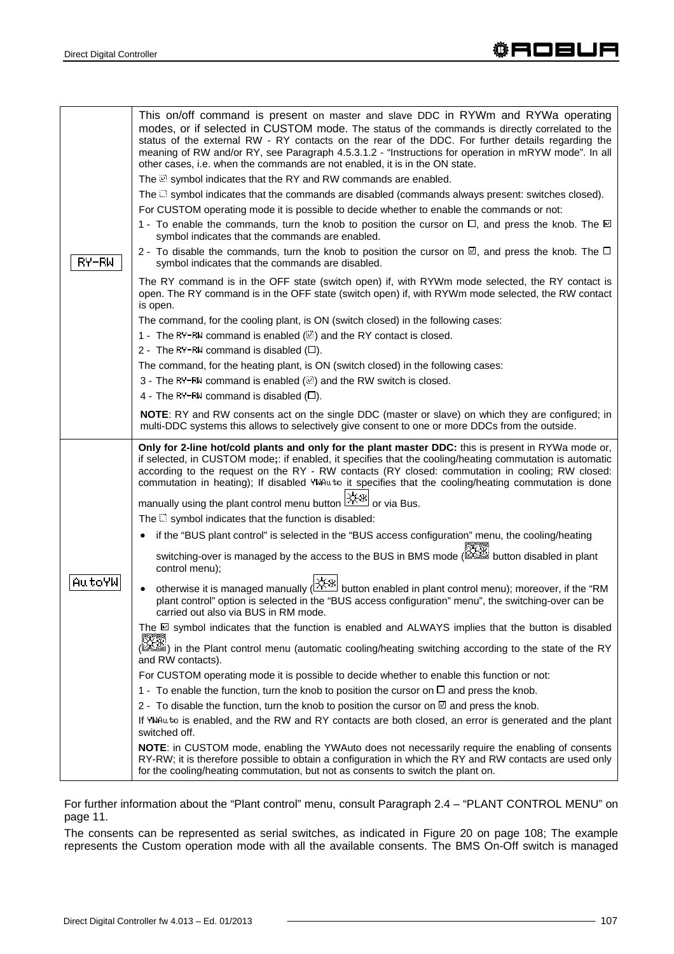This on/off command is present on master and slave DDC in RYWm and RYWa operating modes, or if selected in CUSTOM mode. The status of the commands is directly correlated to the status of the external RW - RY contacts on the rear of the DDC. For further details regarding the meaning of RW and/or RY, see Paragraph 4.5.3.1.2 - "Instructions for operation in mRYW mode". In all other cases, i.e. when the commands are not enabled, it is in the ON state. The  $\mathbb{Z}$  symbol indicates that the RY and RW commands are enabled. The  $\Box$  symbol indicates that the commands are disabled (commands always present: switches closed). For CUSTOM operating mode it is possible to decide whether to enable the commands or not: 1 - To enable the commands, turn the knob to position the cursor on  $\Box$ , and press the knob. The  $\Box$ symbol indicates that the commands are enabled. 2 - To disable the commands, turn the knob to position the cursor on  $\mathbb{D}$ , and press the knob. The  $\Box$ RY-RW symbol indicates that the commands are disabled. The RY command is in the OFF state (switch open) if, with RYWm mode selected, the RY contact is open. The RY command is in the OFF state (switch open) if, with RYWm mode selected, the RW contact is open. The command, for the cooling plant, is ON (switch closed) in the following cases: 1 - The RY-RW command is enabled (.) and the RY contact is closed. 2 - The RY-RW command is disabled  $(\Box)$ . The command, for the heating plant, is ON (switch closed) in the following cases: 3 - The RY-RW command is enabled (.) and the RW switch is closed. 4 - The RY-RW command is disabled  $(D)$ . **NOTE**: RY and RW consents act on the single DDC (master or slave) on which they are configured; in multi-DDC systems this allows to selectively give consent to one or more DDCs from the outside. **Only for 2-line hot/cold plants and only for the plant master DDC:** this is present in RYWa mode or, if selected, in CUSTOM mode**;**: if enabled, it specifies that the cooling/heating commutation is automatic according to the request on the RY - RW contacts (RY closed: commutation in cooling; RW closed: commutation in heating); If disabled YWAuto it specifies that the cooling/heating commutation is done manually using the plant control menu button  $\mathbb{R}^4$  or via Bus. The  $\Box$  symbol indicates that the function is disabled: • if the "BUS plant control" is selected in the "BUS access configuration" menu, the cooling/heating switching-over is managed by the access to the BUS in BMS mode ( button disabled in plant control menu); |AutoYW otherwise it is managed manually ( $\frac{1+\frac{1}{2}x}{1+\frac{1}{2}}$  button enabled in plant control menu); moreover, if the "RM plant control" option is selected in the "BUS access configuration" menu", the switching-over can be carried out also via BUS in RM mode. The  $\boxdot$  symbol indicates that the function is enabled and ALWAYS implies that the button is disabled ( ) in the Plant control menu (automatic cooling/heating switching according to the state of the RY and RW contacts). For CUSTOM operating mode it is possible to decide whether to enable this function or not: 1 - To enable the function, turn the knob to position the cursor on  $\Box$  and press the knob. 2 - To disable the function, turn the knob to position the cursor on  $\boxtimes$  and press the knob. If YWAuto is enabled, and the RW and RY contacts are both closed, an error is generated and the plant switched off. **NOTE**: in CUSTOM mode, enabling the YWAuto does not necessarily require the enabling of consents RY-RW; it is therefore possible to obtain a configuration in which the RY and RW contacts are used only for the cooling/heating commutation, but not as consents to switch the plant on.

For further information about the "Plant control" menu, consult Paragraph 2.4 – "PLANT CONTROL MENU" on page 11.

The consents can be represented as serial switches, as indicated in Figure 20 on page 108; The example represents the Custom operation mode with all the available consents. The BMS On-Off switch is managed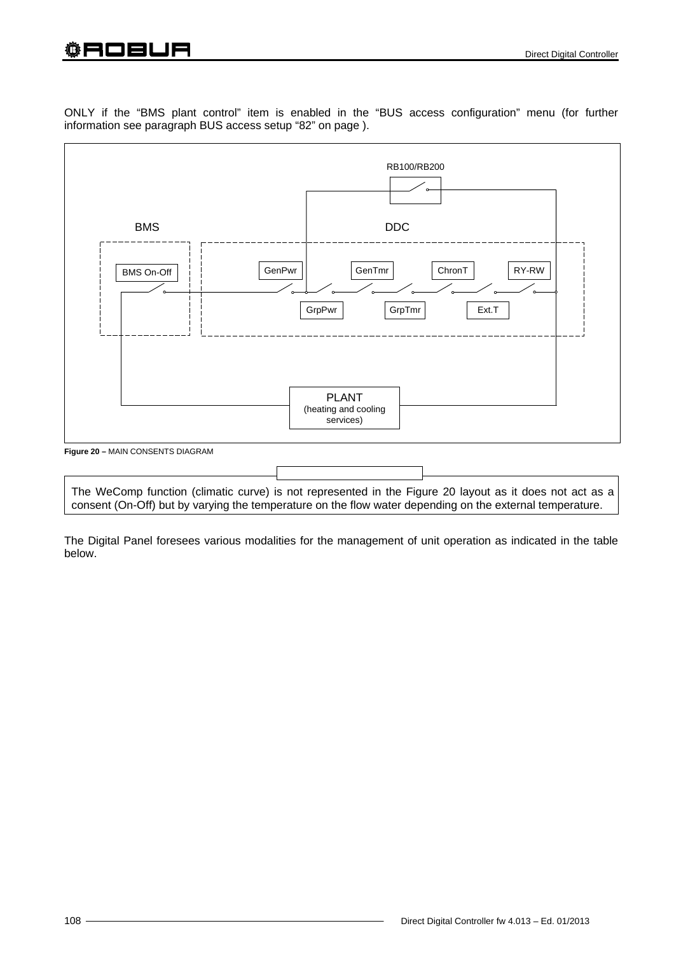# ҈ AOBUR

ONLY if the "BMS plant control" item is enabled in the "BUS access configuration" menu (for further information see paragraph BUS access setup "82" on page ).



The WeComp function (climatic curve) is not represented in the Figure 20 layout as it does not act as a consent (On-Off) but by varying the temperature on the flow water depending on the external temperature.

The Digital Panel foresees various modalities for the management of unit operation as indicated in the table below.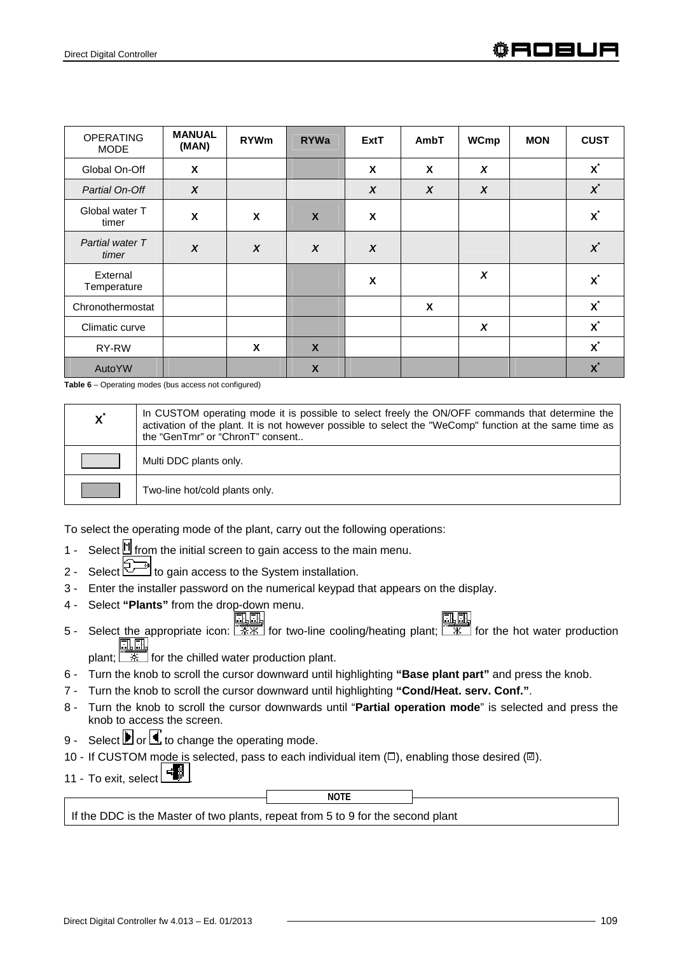| <b>OPERATING</b><br><b>MODE</b> | <b>MANUAL</b><br>(MAN) | <b>RYWm</b>      | <b>RYWa</b>      | <b>ExtT</b>      | AmbT                      | <b>WCmp</b> | <b>MON</b> | <b>CUST</b>    |
|---------------------------------|------------------------|------------------|------------------|------------------|---------------------------|-------------|------------|----------------|
| Global On-Off                   | X                      |                  |                  | X                | $\boldsymbol{\mathsf{x}}$ | X           |            | $\mathbf{x}^*$ |
| Partial On-Off                  | $\boldsymbol{x}$       |                  |                  | $\boldsymbol{X}$ | $\boldsymbol{x}$          | X           |            | $\chi^*$       |
| Global water T<br>timer         | X                      | X                | $\boldsymbol{X}$ | X                |                           |             |            | $\mathbf{x}^*$ |
| Partial water T<br>timer        | $\boldsymbol{x}$       | $\boldsymbol{x}$ | $\boldsymbol{x}$ | $\boldsymbol{x}$ |                           |             |            | $\chi^*$       |
| External<br>Temperature         |                        |                  |                  | X                |                           | X           |            | $\mathbf{x}^*$ |
| Chronothermostat                |                        |                  |                  |                  | $\boldsymbol{\mathsf{x}}$ |             |            | $\mathbf{X}^*$ |
| Climatic curve                  |                        |                  |                  |                  |                           | X           |            | $\mathbf{x}^*$ |
| RY-RW                           |                        | X                | $\boldsymbol{X}$ |                  |                           |             |            | $\mathbf{X}^*$ |
| AutoYW                          |                        |                  | $\boldsymbol{X}$ |                  |                           |             |            | $\mathbf{x}^*$ |

**Table 6** – Operating modes (bus access not configured)

| $\mathbf{X}^*$ | In CUSTOM operating mode it is possible to select freely the ON/OFF commands that determine the<br>activation of the plant. It is not however possible to select the "WeComp" function at the same time as<br>the "GenTmr" or "ChronT" consent |
|----------------|------------------------------------------------------------------------------------------------------------------------------------------------------------------------------------------------------------------------------------------------|
|                | Multi DDC plants only.                                                                                                                                                                                                                         |
|                | Two-line hot/cold plants only.                                                                                                                                                                                                                 |

To select the operating mode of the plant, carry out the following operations:

- 1 Select  $\mathbb H$  from the initial screen to gain access to the main menu.
- 2 Select  $\mathbb{Z}^{\mathbb{Z}}$  to gain access to the System installation.
- 3 Enter the installer password on the numerical keypad that appears on the display.
- 4 Select **"Plants"** from the drop-down menu.
- **FEET**<br>5 Select the appropriate icon:  $\frac{1}{2}$  for two-line cooling/heating plant;  $\frac{1}{2}$  for the hot water production 風風

plant;  $\sqrt{2\pi}$  for the chilled water production plant.

- 6 Turn the knob to scroll the cursor downward until highlighting **"Base plant part"** and press the knob.
- 7 Turn the knob to scroll the cursor downward until highlighting **"Cond/Heat. serv. Conf."**.
- 8 Turn the knob to scroll the cursor downwards until "**Partial operation mode**" is selected and press the knob to access the screen.
- 9 Select  $\blacksquare$  or  $\blacksquare$  to change the operating mode.
- 10 If CUSTOM mode is selected, pass to each individual item  $(\Box)$ , enabling those desired  $(\boxtimes)$ .
- 11 To exit, select  $\Box$

**NOTE**

If the DDC is the Master of two plants, repeat from 5 to 9 for the second plant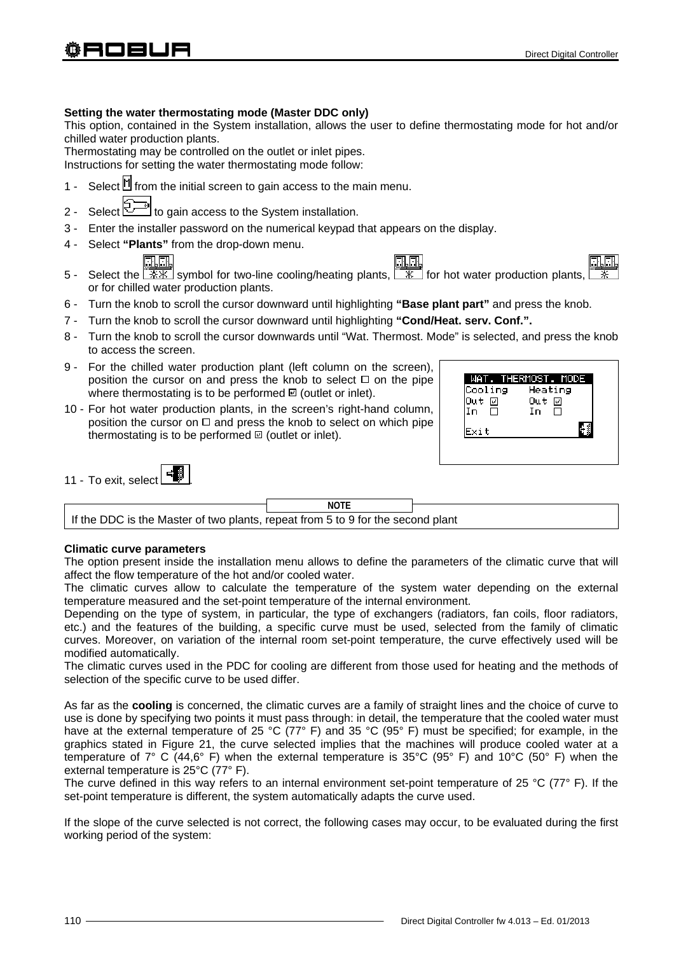# **Setting the water thermostating mode (Master DDC only)**

This option, contained in the System installation, allows the user to define thermostating mode for hot and/or chilled water production plants.

Thermostating may be controlled on the outlet or inlet pipes. Instructions for setting the water thermostating mode follow:

- 1 Select  $\mathbb{I}$  from the initial screen to gain access to the main menu.
- 2 Select  $\overline{\mathbb{R}^{2n}}$  to gain access to the System installation.
- 3 Enter the installer password on the numerical keypad that appears on the display.
- 4 Select **"Plants"** from the drop-down menu.

- 5 Select the  $\sqrt{\frac{1}{12}x}$  symbol for two-line cooling/heating plants,  $\sqrt{\frac{1}{12}x}$  for hot water production plants, or for chilled water production plants.
- 6 Turn the knob to scroll the cursor downward until highlighting **"Base plant part"** and press the knob.
- 7 Turn the knob to scroll the cursor downward until highlighting **"Cond/Heat. serv. Conf.".**
- 8 Turn the knob to scroll the cursor downwards until "Wat. Thermost. Mode" is selected, and press the knob to access the screen.
- 9 For the chilled water production plant (left column on the screen), position the cursor on and press the knob to select  $\Box$  on the pipe where thermostating is to be performed  $\boxtimes$  (outlet or inlet).
- 10 For hot water production plants, in the screen's right-hand column, position the cursor on  $\Box$  and press the knob to select on which pipe thermostating is to be performed  $\mathbb{E}$  (outlet or inlet).

| Cooling      | Heating |
|--------------|---------|
| Out ⊡        | Out 回   |
| $\Box$<br>In | Ô<br>In |
| Fxit         |         |

| 11 - To exit, select |  |
|----------------------|--|
|                      |  |

|                                                                                 | <b>NOTE</b> |  |
|---------------------------------------------------------------------------------|-------------|--|
| If the DDC is the Master of two plants, repeat from 5 to 9 for the second plant |             |  |

# **Climatic curve parameters**

The option present inside the installation menu allows to define the parameters of the climatic curve that will affect the flow temperature of the hot and/or cooled water.

The climatic curves allow to calculate the temperature of the system water depending on the external temperature measured and the set-point temperature of the internal environment.

Depending on the type of system, in particular, the type of exchangers (radiators, fan coils, floor radiators, etc.) and the features of the building, a specific curve must be used, selected from the family of climatic curves. Moreover, on variation of the internal room set-point temperature, the curve effectively used will be modified automatically.

The climatic curves used in the PDC for cooling are different from those used for heating and the methods of selection of the specific curve to be used differ.

As far as the **cooling** is concerned, the climatic curves are a family of straight lines and the choice of curve to use is done by specifying two points it must pass through: in detail, the temperature that the cooled water must have at the external temperature of 25 °C (77° F) and 35 °C (95° F) must be specified; for example, in the graphics stated in Figure 21, the curve selected implies that the machines will produce cooled water at a temperature of 7° C (44,6° F) when the external temperature is 35°C (95° F) and 10°C (50° F) when the external temperature is 25°C (77° F).

The curve defined in this way refers to an internal environment set-point temperature of 25 °C (77° F). If the set-point temperature is different, the system automatically adapts the curve used.

If the slope of the curve selected is not correct, the following cases may occur, to be evaluated during the first working period of the system: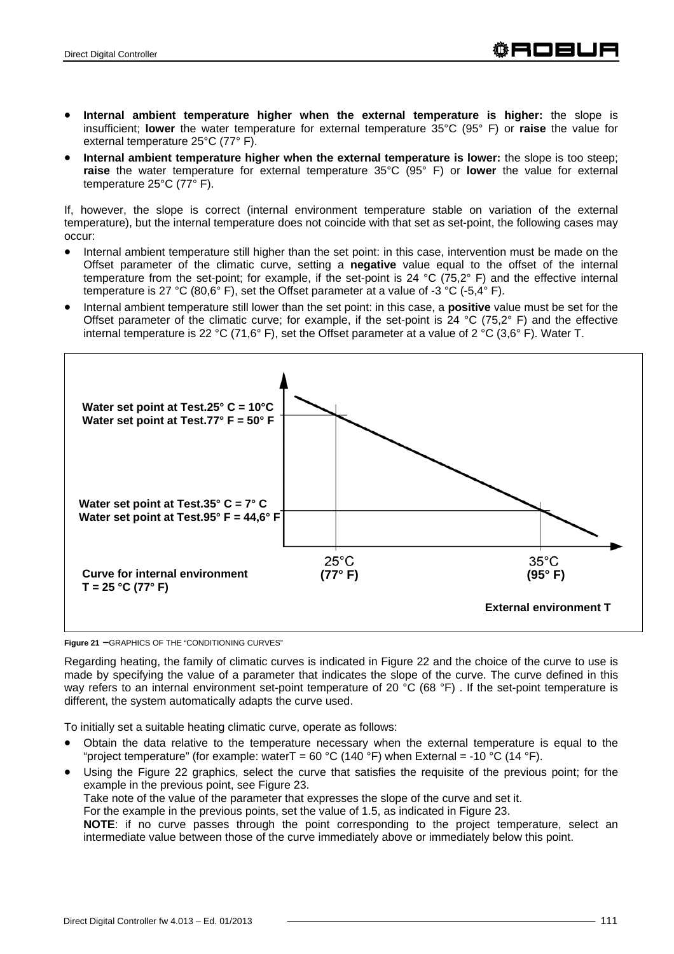- **Internal ambient temperature higher when the external temperature is higher:** the slope is insufficient; **lower** the water temperature for external temperature 35°C (95° F) or **raise** the value for external temperature 25°C (77° F).
- **Internal ambient temperature higher when the external temperature is lower:** the slope is too steep; **raise** the water temperature for external temperature 35°C (95° F) or **lower** the value for external temperature 25°C (77° F).

If, however, the slope is correct (internal environment temperature stable on variation of the external temperature), but the internal temperature does not coincide with that set as set-point, the following cases may occur:

- Internal ambient temperature still higher than the set point: in this case, intervention must be made on the Offset parameter of the climatic curve, setting a **negative** value equal to the offset of the internal temperature from the set-point; for example, if the set-point is 24 °C (75,2° F) and the effective internal temperature is 27 °C (80,6° F), set the Offset parameter at a value of -3 °C (-5,4° F).
- Internal ambient temperature still lower than the set point: in this case, a **positive** value must be set for the Offset parameter of the climatic curve; for example, if the set-point is 24 °C (75.2° F) and the effective internal temperature is 22 °C (71,6° F), set the Offset parameter at a value of 2 °C (3,6° F). Water T.



**Figure 21 –**GRAPHICS OF THE "CONDITIONING CURVES"

Regarding heating, the family of climatic curves is indicated in Figure 22 and the choice of the curve to use is made by specifying the value of a parameter that indicates the slope of the curve. The curve defined in this way refers to an internal environment set-point temperature of 20 °C (68 °F). If the set-point temperature is different, the system automatically adapts the curve used.

To initially set a suitable heating climatic curve, operate as follows:

- Obtain the data relative to the temperature necessary when the external temperature is equal to the "project temperature" (for example: waterT =  $60 °C$  (140 °F) when External = -10 °C (14 °F).
- Using the Figure 22 graphics, select the curve that satisfies the requisite of the previous point; for the example in the previous point, see Figure 23. Take note of the value of the parameter that expresses the slope of the curve and set it.

For the example in the previous points, set the value of 1.5, as indicated in Figure 23.

**NOTE**: if no curve passes through the point corresponding to the project temperature, select an intermediate value between those of the curve immediately above or immediately below this point.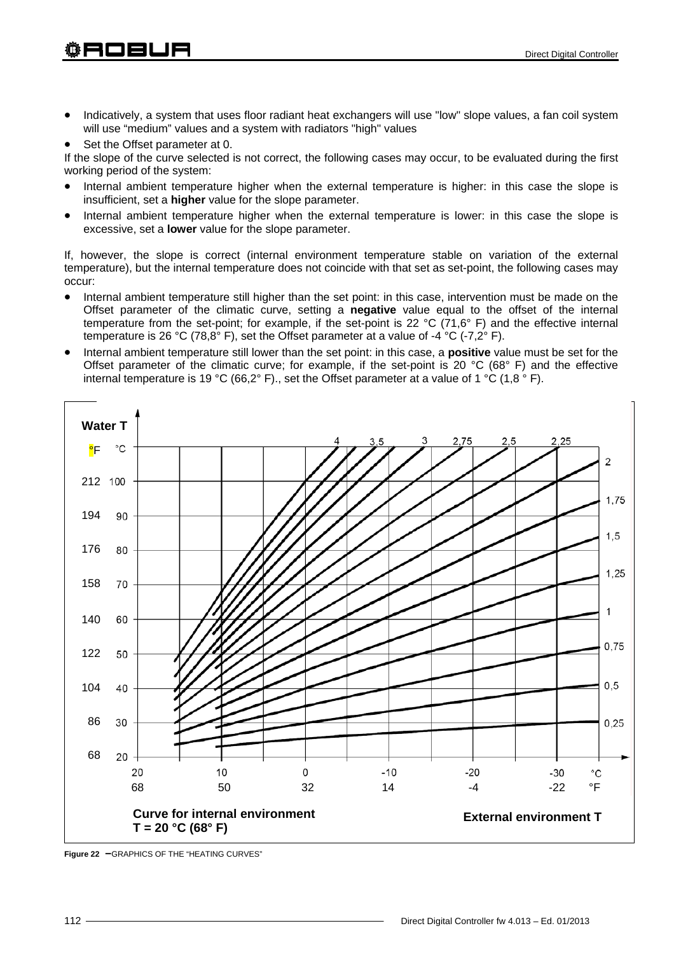- Indicatively, a system that uses floor radiant heat exchangers will use "low" slope values, a fan coil system will use "medium" values and a system with radiators "high" values
- Set the Offset parameter at 0.

If the slope of the curve selected is not correct, the following cases may occur, to be evaluated during the first working period of the system:

- Internal ambient temperature higher when the external temperature is higher: in this case the slope is insufficient, set a **higher** value for the slope parameter.
- Internal ambient temperature higher when the external temperature is lower: in this case the slope is excessive, set a **lower** value for the slope parameter.

If, however, the slope is correct (internal environment temperature stable on variation of the external temperature), but the internal temperature does not coincide with that set as set-point, the following cases may occur:

- Internal ambient temperature still higher than the set point: in this case, intervention must be made on the Offset parameter of the climatic curve, setting a **negative** value equal to the offset of the internal temperature from the set-point; for example, if the set-point is 22 °C (71,6° F) and the effective internal temperature is 26 °C (78,8° F), set the Offset parameter at a value of -4 °C (-7,2° F).
- Internal ambient temperature still lower than the set point: in this case, a **positive** value must be set for the Offset parameter of the climatic curve; for example, if the set-point is 20 °C (68° F) and the effective internal temperature is 19 °C (66,2° F)., set the Offset parameter at a value of 1 °C (1,8  $\degree$  F).



**Figure 22 –**GRAPHICS OF THE "HEATING CURVES"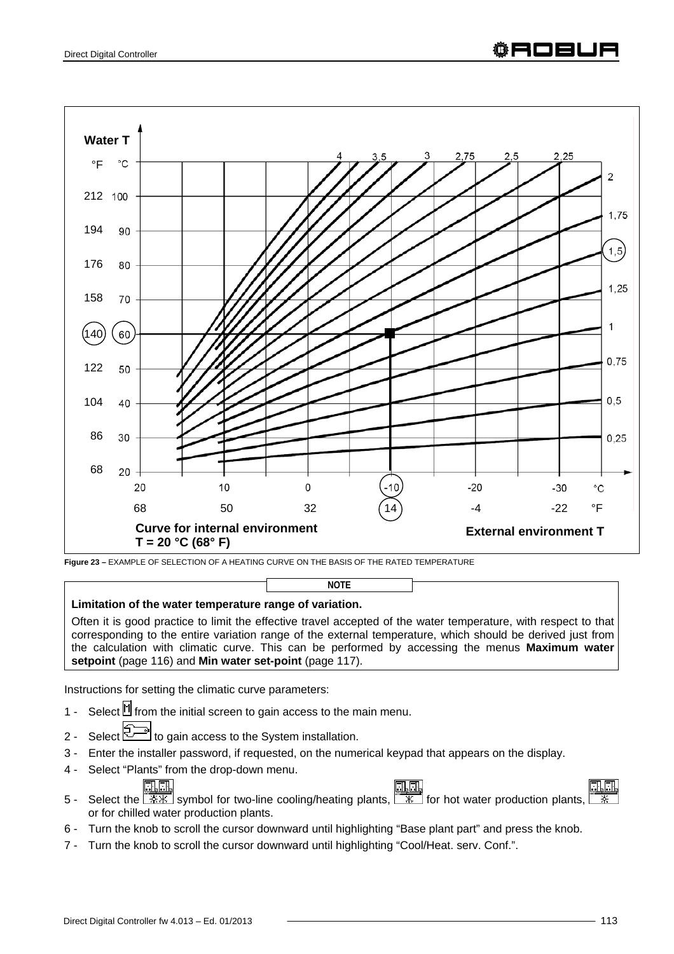

**Figure 23 –** EXAMPLE OF SELECTION OF A HEATING CURVE ON THE BASIS OF THE RATED TEMPERATURE

# **Limitation of the water temperature range of variation.**

Often it is good practice to limit the effective travel accepted of the water temperature, with respect to that corresponding to the entire variation range of the external temperature, which should be derived just from the calculation with climatic curve. This can be performed by accessing the menus **Maximum water setpoint** (page 116) and **Min water set-point** (page 117).

**NOTE**

Instructions for setting the climatic curve parameters:

- 1 Select  $\mathbb H$  from the initial screen to gain access to the main menu.
- 2 Select  $\mathbb{Z}^{\mathbb{Z}}$  to gain access to the System installation.
- 3 Enter the installer password, if requested, on the numerical keypad that appears on the display.
- 4 Select "Plants" from the drop-down menu.
	-
- 5 Select the  $\sqrt{\frac{1}{1+\frac{1}{2}}}\sqrt{\frac{1}{1+\frac{1}{2}}\sqrt{\frac{1}{1+\frac{1}{2}}}}$  Symbol for two-line cooling/heating plants,  $\sqrt{\frac{1}{1+\frac{1}{2}}}\sqrt{\frac{1}{1+\frac{1}{2}}}\sqrt{\frac{1}{1+\frac{1}{2}}\sqrt{\frac{1}{1+\frac{1}{2}}\sqrt{\frac{1}{2}}}}$  for hot water production plants, or for chilled water production plants.
- 6 Turn the knob to scroll the cursor downward until highlighting "Base plant part" and press the knob.
- 7 Turn the knob to scroll the cursor downward until highlighting "Cool/Heat. serv. Conf.".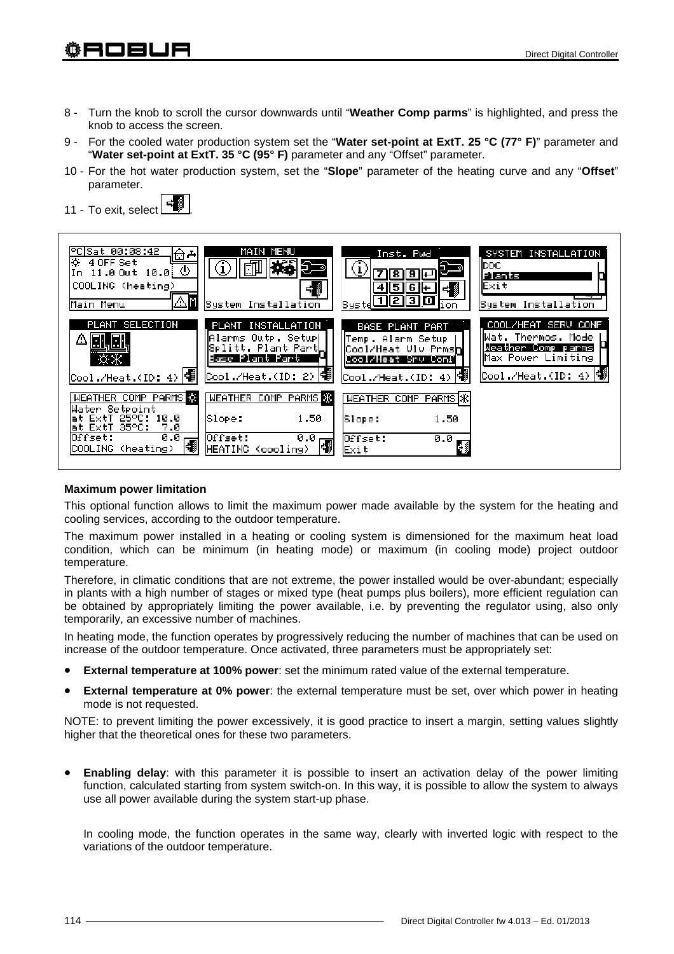# 翁日口曰□曰

- 8 Turn the knob to scroll the cursor downwards until "**Weather Comp parms**" is highlighted, and press the knob to access the screen.
- 9 For the cooled water production system set the "**Water set-point at ExtT. 25 °C (77° F)**" parameter and "**Water set-point at ExtT. 35 °C (95° F)** parameter and any "Offset" parameter.
- 10 For the hot water production system, set the "**Slope**" parameter of the heating curve and any "**Offset**" parameter.





#### **Maximum power limitation**

This optional function allows to limit the maximum power made available by the system for the heating and cooling services, according to the outdoor temperature.

The maximum power installed in a heating or cooling system is dimensioned for the maximum heat load condition, which can be minimum (in heating mode) or maximum (in cooling mode) project outdoor temperature.

Therefore, in climatic conditions that are not extreme, the power installed would be over-abundant; especially in plants with a high number of stages or mixed type (heat pumps plus boilers), more efficient regulation can be obtained by appropriately limiting the power available, i.e. by preventing the regulator using, also only temporarily, an excessive number of machines.

In heating mode, the function operates by progressively reducing the number of machines that can be used on increase of the outdoor temperature. Once activated, three parameters must be appropriately set:

- **External temperature at 100% power**: set the minimum rated value of the external temperature.
- **External temperature at 0% power**: the external temperature must be set, over which power in heating mode is not requested.

NOTE: to prevent limiting the power excessively, it is good practice to insert a margin, setting values slightly higher that the theoretical ones for these two parameters.

**Enabling delay**: with this parameter it is possible to insert an activation delay of the power limiting function, calculated starting from system switch-on. In this way, it is possible to allow the system to always use all power available during the system start-up phase.

In cooling mode, the function operates in the same way, clearly with inverted logic with respect to the variations of the outdoor temperature.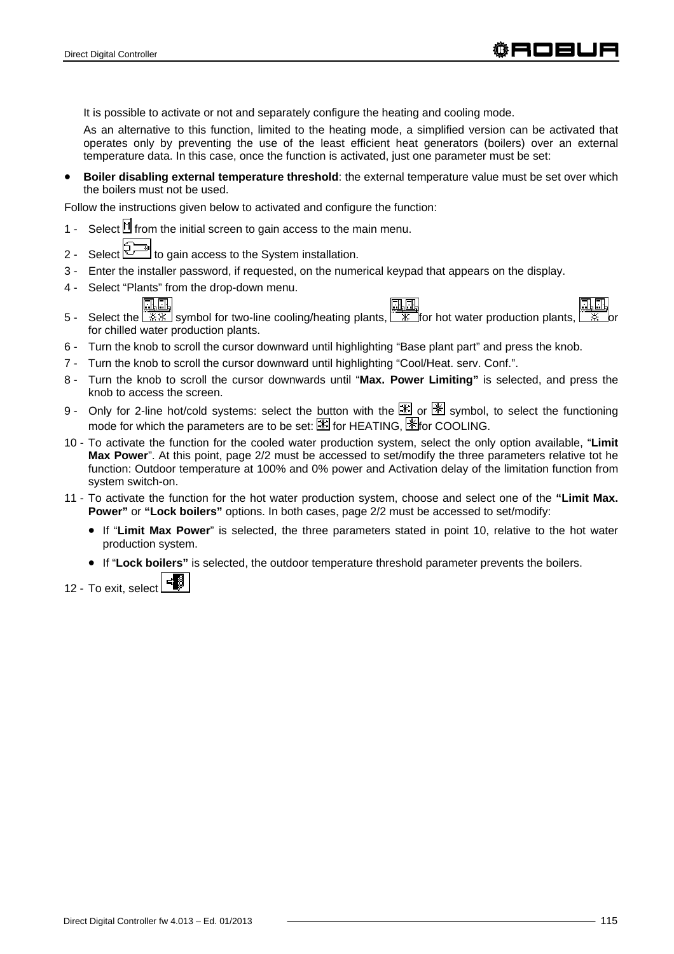It is possible to activate or not and separately configure the heating and cooling mode.

As an alternative to this function, limited to the heating mode, a simplified version can be activated that operates only by preventing the use of the least efficient heat generators (boilers) over an external temperature data. In this case, once the function is activated, just one parameter must be set:

**Boiler disabling external temperature threshold**: the external temperature value must be set over which the boilers must not be used.

Follow the instructions given below to activated and configure the function:

- 1 Select  $\mathbb H$  from the initial screen to gain access to the main menu.
- 2 Select  $\mathbb{Z}^{\mathbb{Z}}$  to gain access to the System installation.
- 3 Enter the installer password, if requested, on the numerical keypad that appears on the display.
- 4 Select "Plants" from the drop-down menu.
- 5 Select the  $\sqrt{2\cdot\frac{1}{2\cdot\frac{1}{2\cdot\frac{1}{2\cdot\cdot\cdot}}}}$  symbol for two-line cooling/heating plants,  $\sqrt{2\cdot\frac{1}{2\cdot\frac{1}{2\cdot\cdot\cdot}}}\$  for hot water production plants, for chilled water production plants.
- 6 Turn the knob to scroll the cursor downward until highlighting "Base plant part" and press the knob.
- 7 Turn the knob to scroll the cursor downward until highlighting "Cool/Heat. serv. Conf.".
- 8 Turn the knob to scroll the cursor downwards until "**Max. Power Limiting"** is selected, and press the knob to access the screen.
- 9 Only for 2-line hot/cold systems: select the button with the  $\mathbb{X}$  or  $\mathbb{X}$  symbol, to select the functioning mode for which the parameters are to be set:  $\mathbb{E}$  for HEATING,  $\mathbb{E}$  for COOLING.
- 10 To activate the function for the cooled water production system, select the only option available, "**Limit Max Power**". At this point, page 2/2 must be accessed to set/modify the three parameters relative tot he function: Outdoor temperature at 100% and 0% power and Activation delay of the limitation function from system switch-on.
- 11 To activate the function for the hot water production system, choose and select one of the **"Limit Max. Power"** or "Lock boilers" options. In both cases, page  $2/2$  must be accessed to set/modify:
	- If "**Limit Max Power**" is selected, the three parameters stated in point 10, relative to the hot water production system.
	- If "**Lock boilers"** is selected, the outdoor temperature threshold parameter prevents the boilers.
- 12 To exit, select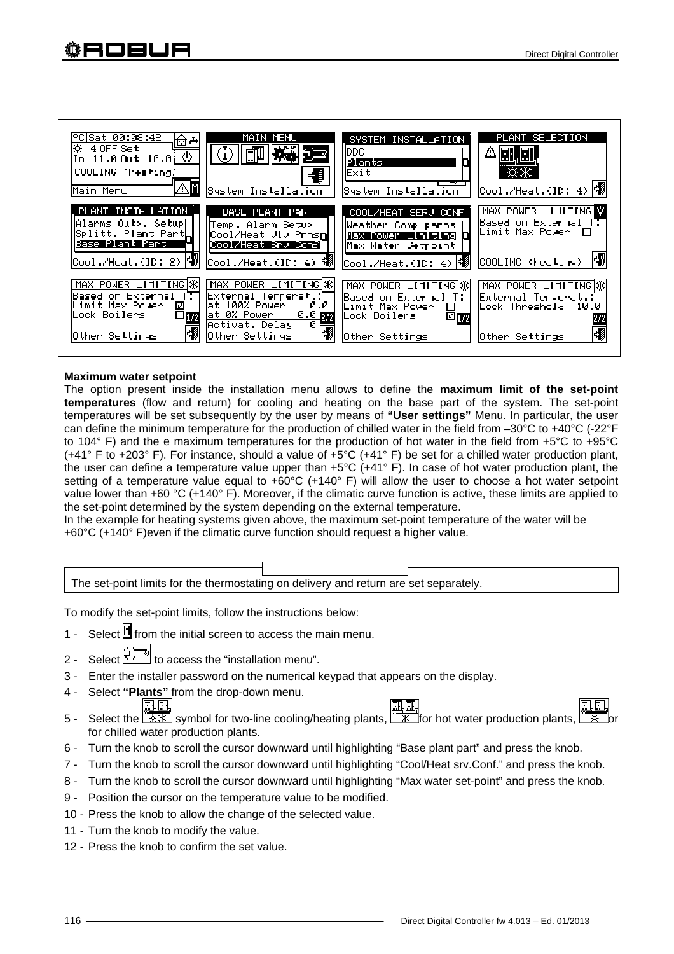

#### **Maximum water setpoint**

The option present inside the installation menu allows to define the **maximum limit of the set-point temperatures** (flow and return) for cooling and heating on the base part of the system. The set-point temperatures will be set subsequently by the user by means of **"User settings"** Menu. In particular, the user can define the minimum temperature for the production of chilled water in the field from –30°C to +40°C (-22°F to 104° F) and the e maximum temperatures for the production of hot water in the field from +5°C to +95°C (+41° F to +203° F). For instance, should a value of +5°C (+41° F) be set for a chilled water production plant, the user can define a temperature value upper than +5°C (+41° F). In case of hot water production plant, the setting of a temperature value equal to  $+60^{\circ}$ C ( $+140^{\circ}$  F) will allow the user to choose a hot water setpoint value lower than +60 °C (+140° F). Moreover, if the climatic curve function is active, these limits are applied to the set-point determined by the system depending on the external temperature.

In the example for heating systems given above, the maximum set-point temperature of the water will be +60°C (+140° F)even if the climatic curve function should request a higher value.



To modify the set-point limits, follow the instructions below:

- 1 Select  $\mathbb H$  from the initial screen to access the main menu.
- 2 Select  $\leq$  10 access the "installation menu".
- 3 Enter the installer password on the numerical keypad that appears on the display.
- 4 Select **"Plants"** from the drop-down menu.
- n.c <u>in in</u> 5 - Select the  $\frac{11}{20}$  symbol for two-line cooling/heating plants,  $\frac{11}{20}$  for hot water production plants,  $\frac{11}{20}$ for chilled water production plants.
- 6 Turn the knob to scroll the cursor downward until highlighting "Base plant part" and press the knob.
- 7 Turn the knob to scroll the cursor downward until highlighting "Cool/Heat srv.Conf." and press the knob.
- 8 Turn the knob to scroll the cursor downward until highlighting "Max water set-point" and press the knob.
- 9 Position the cursor on the temperature value to be modified.
- 10 Press the knob to allow the change of the selected value.
- 11 Turn the knob to modify the value.
- 12 Press the knob to confirm the set value.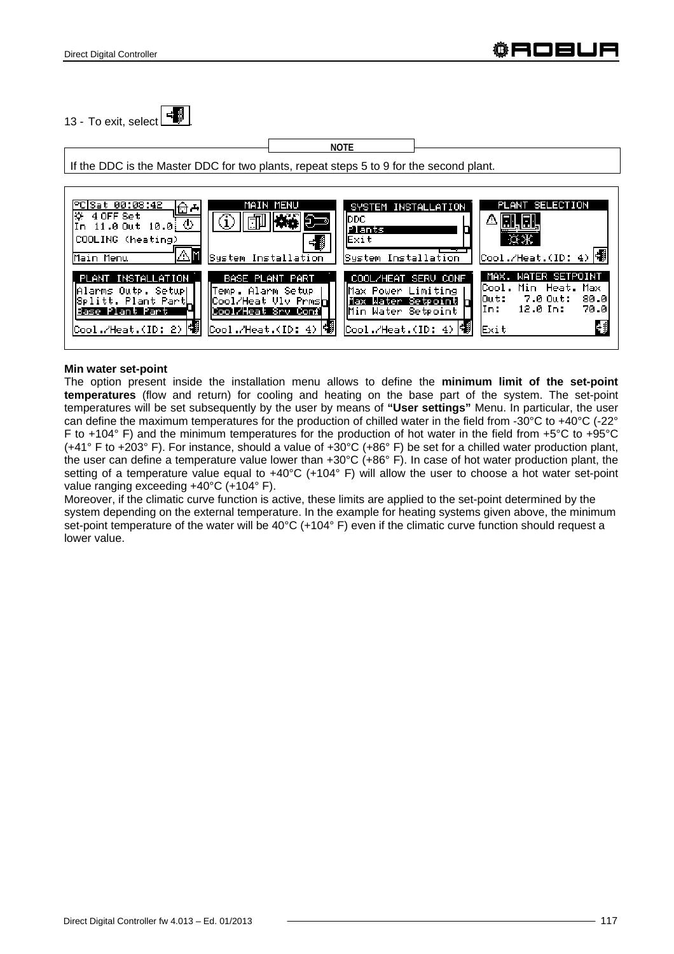13 - To exit, select  $\begin{array}{|c|c|} \hline \cdots \end{array}$ 

If the DDC is the Master DDC for two plants, repeat steps 5 to 9 for the second plant. **NOTE** 



#### **Min water set-point**

The option present inside the installation menu allows to define the **minimum limit of the set-point temperatures** (flow and return) for cooling and heating on the base part of the system. The set-point temperatures will be set subsequently by the user by means of **"User settings"** Menu. In particular, the user can define the maximum temperatures for the production of chilled water in the field from -30°C to +40°C (-22° F to +104° F) and the minimum temperatures for the production of hot water in the field from +5°C to +95°C (+41° F to +203° F). For instance, should a value of +30°C (+86° F) be set for a chilled water production plant, the user can define a temperature value lower than +30°C (+86° F). In case of hot water production plant, the setting of a temperature value equal to +40°C (+104° F) will allow the user to choose a hot water set-point value ranging exceeding +40°C (+104° F).

Moreover, if the climatic curve function is active, these limits are applied to the set-point determined by the system depending on the external temperature. In the example for heating systems given above, the minimum set-point temperature of the water will be 40°C (+104° F) even if the climatic curve function should request a lower value.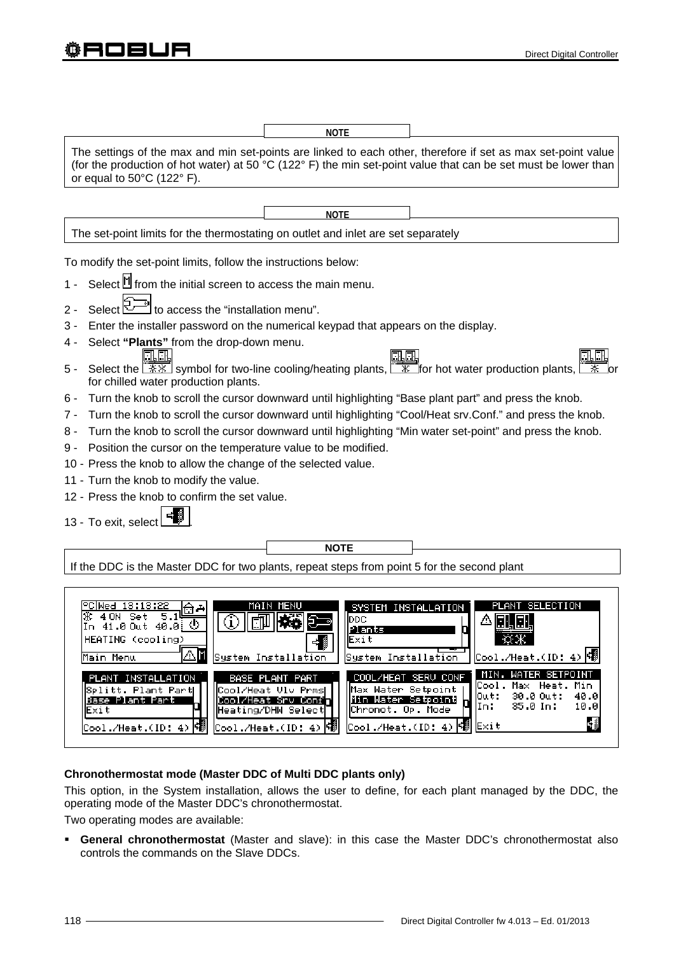**NOTE**

The settings of the max and min set-points are linked to each other, therefore if set as max set-point value (for the production of hot water) at 50 °C (122° F) the min set-point value that can be set must be lower than or equal to 50°C (122° F).

**NOTE**

The set-point limits for the thermostating on outlet and inlet are set separately

To modify the set-point limits, follow the instructions below:

- 1 Select  $\mathbb H$  from the initial screen to access the main menu.
- 2 Select  $\boxed{2}$  to access the "installation menu".
- 3 Enter the installer password on the numerical keypad that appears on the display.
- 4 Select **"Plants"** from the drop-down menu. m r
- 5 Select the  $\frac{1}{2}$  symbol for two-line cooling/heating plants,  $\frac{1}{2}$  for hot water production plants, for chilled water production plants.
- 6 Turn the knob to scroll the cursor downward until highlighting "Base plant part" and press the knob.
- 7 Turn the knob to scroll the cursor downward until highlighting "Cool/Heat srv.Conf." and press the knob.
- 8 Turn the knob to scroll the cursor downward until highlighting "Min water set-point" and press the knob.

**NOTE** 

- 9 Position the cursor on the temperature value to be modified.
- 10 Press the knob to allow the change of the selected value.
- 11 Turn the knob to modify the value.
- 12 Press the knob to confirm the set value.
- 13 To exit, select

If the DDC is the Master DDC for two plants, repeat steps from point 5 for the second plant



### **Chronothermostat mode (Master DDC of Multi DDC plants only)**

This option, in the System installation, allows the user to define, for each plant managed by the DDC, the operating mode of the Master DDC's chronothermostat.

Two operating modes are available:

 **General chronothermostat** (Master and slave): in this case the Master DDC's chronothermostat also controls the commands on the Slave DDCs.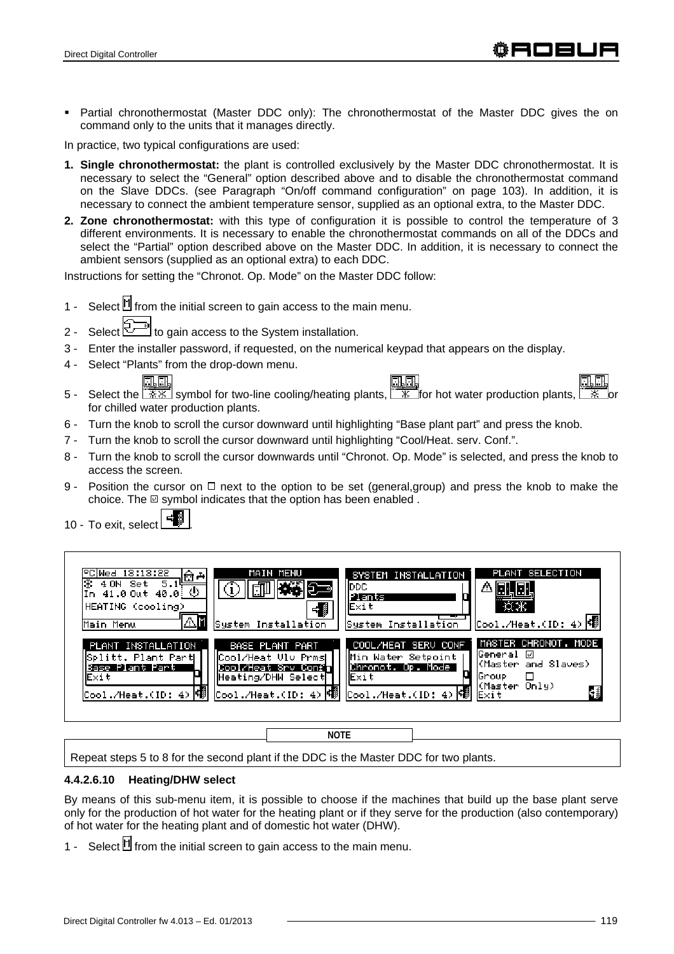Partial chronothermostat (Master DDC only): The chronothermostat of the Master DDC gives the on command only to the units that it manages directly.

In practice, two typical configurations are used:

- **1. Single chronothermostat:** the plant is controlled exclusively by the Master DDC chronothermostat. It is necessary to select the "General" option described above and to disable the chronothermostat command on the Slave DDCs. (see Paragraph "On/off command configuration" on page 103). In addition, it is necessary to connect the ambient temperature sensor, supplied as an optional extra, to the Master DDC.
- **2. Zone chronothermostat:** with this type of configuration it is possible to control the temperature of 3 different environments. It is necessary to enable the chronothermostat commands on all of the DDCs and select the "Partial" option described above on the Master DDC. In addition, it is necessary to connect the ambient sensors (supplied as an optional extra) to each DDC.

Instructions for setting the "Chronot. Op. Mode" on the Master DDC follow:

- 1 Select  $\mathbb H$  from the initial screen to gain access to the main menu.
- 2 Select to gain access to the System installation.
- 3 Enter the installer password, if requested, on the numerical keypad that appears on the display.
- 4 Select "Plants" from the drop-down menu.
- 5 Select the  $\sqrt{2\pi}\sqrt{8\pi}$  symbol for two-line cooling/heating plants,  $\sqrt{8\pi}$  for hot water production plants, for chilled water production plants.
- 6 Turn the knob to scroll the cursor downward until highlighting "Base plant part" and press the knob.
- 7 Turn the knob to scroll the cursor downward until highlighting "Cool/Heat. serv. Conf.".
- 8 Turn the knob to scroll the cursor downwards until "Chronot. Op. Mode" is selected, and press the knob to access the screen.
- 9 Position the cursor on  $\Box$  next to the option to be set (general, group) and press the knob to make the choice. The  $\boxdot$  symbol indicates that the option has been enabled.
- 10 To exit, select .



**NOTE**

Repeat steps 5 to 8 for the second plant if the DDC is the Master DDC for two plants.

#### **4.4.2.6.10 Heating/DHW select**

By means of this sub-menu item, it is possible to choose if the machines that build up the base plant serve only for the production of hot water for the heating plant or if they serve for the production (also contemporary) of hot water for the heating plant and of domestic hot water (DHW).

1 - Select  $\mathbb H$  from the initial screen to gain access to the main menu.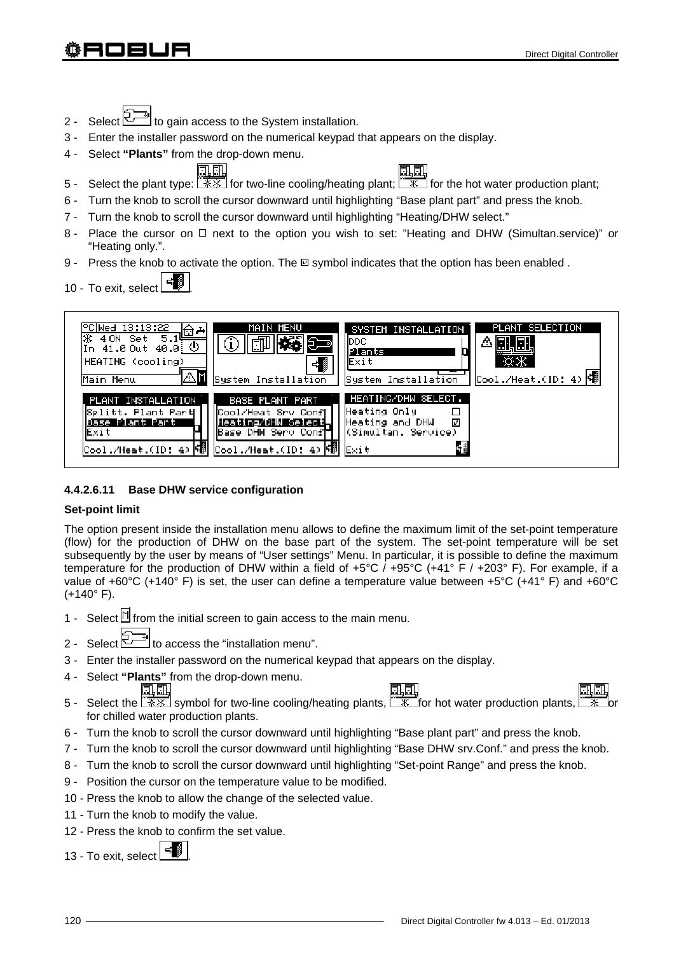- 2 Select  $\mathbb{Z}^{\mathbb{Z}}$  to gain access to the System installation.
- 3 Enter the installer password on the numerical keypad that appears on the display.
- 4 Select **"Plants"** from the drop-down menu.
- 5 Select the plant type:  $\frac{13.16}{12.16}$  for two-line cooling/heating plant;  $\frac{18.16}{16}$  for the hot water production plant;
- 6 Turn the knob to scroll the cursor downward until highlighting "Base plant part" and press the knob.
- 7 Turn the knob to scroll the cursor downward until highlighting "Heating/DHW select."
- 8 Place the cursor on  $\Box$  next to the option you wish to set: "Heating and DHW (Simultan.service)" or "Heating only.".
- 9 Press the knob to activate the option. The  $\square$  symbol indicates that the option has been enabled.

10 - To exit, select



# **4.4.2.6.11 Base DHW service configuration**

### **Set-point limit**

The option present inside the installation menu allows to define the maximum limit of the set-point temperature (flow) for the production of DHW on the base part of the system. The set-point temperature will be set subsequently by the user by means of "User settings" Menu. In particular, it is possible to define the maximum temperature for the production of DHW within a field of +5°C / +95°C (+41° F / +203° F). For example, if a value of +60°C (+140° F) is set, the user can define a temperature value between +5°C (+41° F) and +60°C  $(+140° F)$ .

- 1 Select  $\mathbb N$  from the initial screen to gain access to the main menu.
- 2 Select  $\leq$   $\leq$  to access the "installation menu".
- 3 Enter the installer password on the numerical keypad that appears on the display.
- 4 Select **"Plants"** from the drop-down menu. 孔原
- 5 Select the  $\frac{120}{120}$  symbol for two-line cooling/heating plants,  $\frac{120}{120}$  for hot water production plants, for chilled water production plants.
- 6 Turn the knob to scroll the cursor downward until highlighting "Base plant part" and press the knob.
- 7 Turn the knob to scroll the cursor downward until highlighting "Base DHW srv.Conf." and press the knob.
- 8 Turn the knob to scroll the cursor downward until highlighting "Set-point Range" and press the knob.
- 9 Position the cursor on the temperature value to be modified.
- 10 Press the knob to allow the change of the selected value.
- 11 Turn the knob to modify the value.
- 12 Press the knob to confirm the set value.

13 - To exit, select l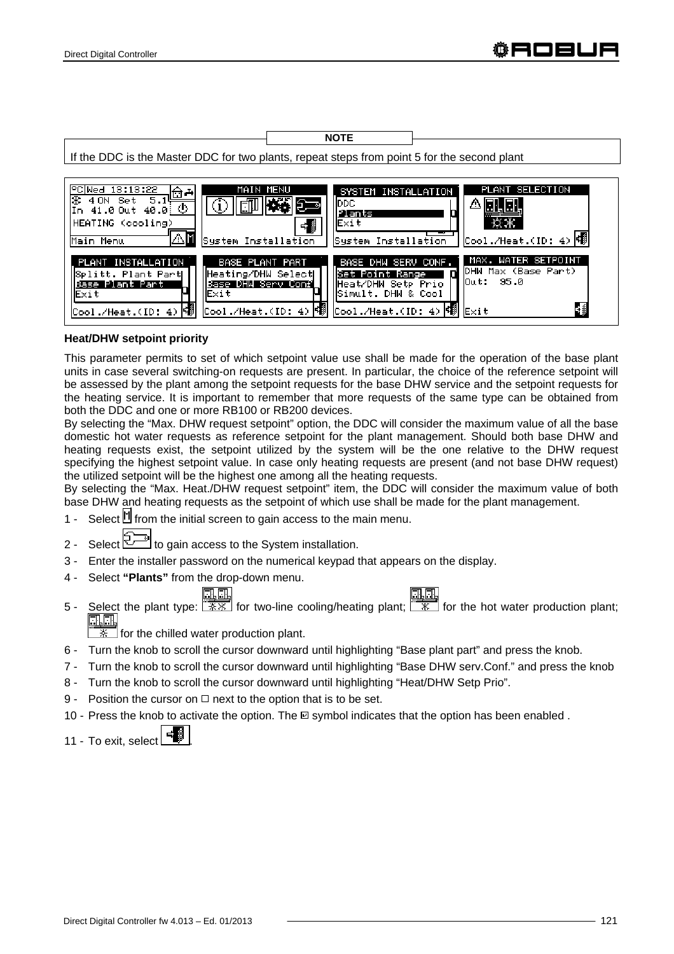If the DDC is the Master DDC for two plants, repeat steps from point 5 for the second plant

**NOTE** 

| PC Wed 13:13:22<br>MAIN MENU<br><u>ਹਿ ਦ</u><br>5.14<br>4 ON Set<br>♨<br>In 41.0 Out 40.0:<br> HEATING (cooling)<br>Main Menu<br>System Installation                                                                                       | PLANT SELECTION<br>SYSTEM INSTALLATION<br>IDDC.<br>D<br>Plants<br>lExit<br>$\text{Cool}$ ./Heat.(ID: 4)<br>System Installation                                                       |
|-------------------------------------------------------------------------------------------------------------------------------------------------------------------------------------------------------------------------------------------|--------------------------------------------------------------------------------------------------------------------------------------------------------------------------------------|
| BASE PLANT PART<br>PLANT INSTALLATION<br>Heating/DHW Select<br>∥Splitt. Plant Partk<br>Base DHW Serv Confl<br>Base Plant Part<br>lExit.<br>lExit<br>$\frac{\text{Cool}.\text{/Heat}.}{\text{ID: 4}}$<br>Cool./Heat.(ID: 4) <sup>[</sup> 劉 | MAX. WATER SETPOINT<br>BASE DHM SERU CONF.<br>DHW Max (Base Part)<br>Set Point Range<br>$0$ ut: 95.0<br>Heat/DHW Setp Prio<br>lSimult. DHW & Cool<br>Cool./Heat.(ID: 4)   19<br>Exit |

# **Heat/DHW setpoint priority**

This parameter permits to set of which setpoint value use shall be made for the operation of the base plant units in case several switching-on requests are present. In particular, the choice of the reference setpoint will be assessed by the plant among the setpoint requests for the base DHW service and the setpoint requests for the heating service. It is important to remember that more requests of the same type can be obtained from both the DDC and one or more RB100 or RB200 devices.

By selecting the "Max. DHW request setpoint" option, the DDC will consider the maximum value of all the base domestic hot water requests as reference setpoint for the plant management. Should both base DHW and heating requests exist, the setpoint utilized by the system will be the one relative to the DHW request specifying the highest setpoint value. In case only heating requests are present (and not base DHW request) the utilized setpoint will be the highest one among all the heating requests.

By selecting the "Max. Heat./DHW request setpoint" item, the DDC will consider the maximum value of both base DHW and heating requests as the setpoint of which use shall be made for the plant management.

- 1 Select  $\mathbb H$  from the initial screen to gain access to the main menu.
- 2 Select  $\leq$  to gain access to the System installation.
- 3 Enter the installer password on the numerical keypad that appears on the display.
- 4 Select **"Plants"** from the drop-down menu.

# 电压

31,61

5 - Select the plant type:  $\sqrt{\frac{1}{12} \cdot \frac{1}{12}}$  for two-line cooling/heating plant;  $\sqrt{\frac{1}{12} \cdot \frac{1}{12}}$  for the hot water production plant;

 $\frac{1}{100}$  for the chilled water production plant.

- 6 Turn the knob to scroll the cursor downward until highlighting "Base plant part" and press the knob.
- 7 Turn the knob to scroll the cursor downward until highlighting "Base DHW serv.Conf." and press the knob
- 8 Turn the knob to scroll the cursor downward until highlighting "Heat/DHW Setp Prio".
- 9 Position the cursor on  $\Box$  next to the option that is to be set.
- 10 Press the knob to activate the option. The  $\Box$  symbol indicates that the option has been enabled.

11 - To exit, select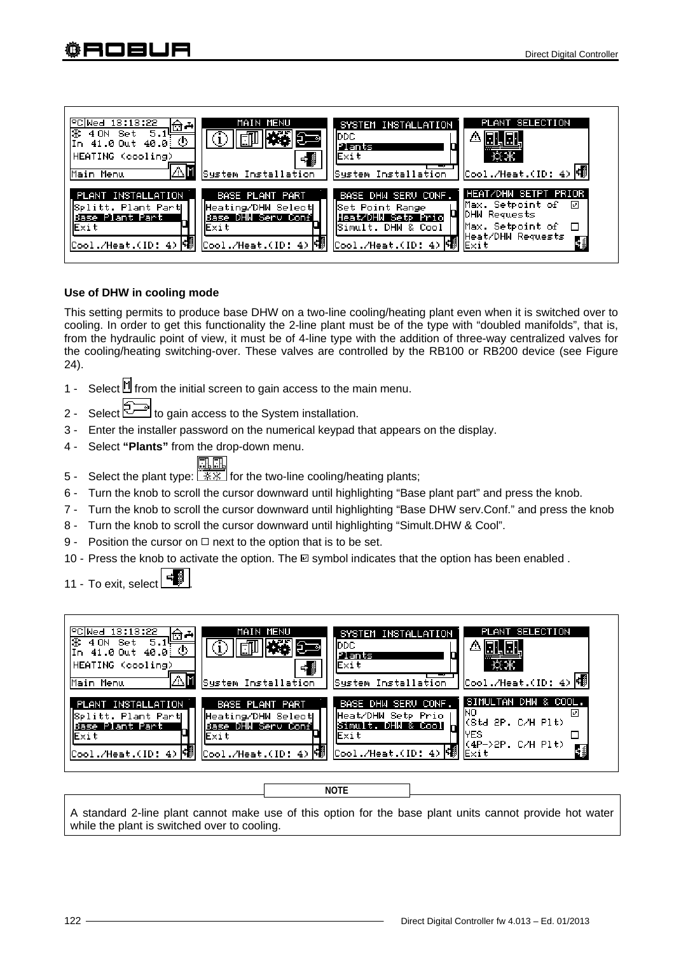| MAIN MENU<br>PC Wed 13:13:22<br><u> 예로</u><br>5.14<br>Set<br>4 ON<br>७<br>41.0 Out 40.0<br>HEATING (cooling)<br>System Installation<br>Main Menu                                            | SYSTEM INSTALLATION<br>IDDC<br>Plants<br>llE×it<br>System Installation                                          | PLANT SELECTION<br>$\overline{\text{Cool./Heat.(ID: 4)}}$                                                      |
|---------------------------------------------------------------------------------------------------------------------------------------------------------------------------------------------|-----------------------------------------------------------------------------------------------------------------|----------------------------------------------------------------------------------------------------------------|
| PLANT INSTALLATION<br>BASE PLANT PART<br>  Splitt. Plant Part <br>Heating/DHW SelectL<br>Base DHW Serv Conf<br>Base Plant Part<br>Exit<br>lExit<br>Cool./Heat.(ID: 4)<br>Cool./Heat.(ID: 4) | BASE DHW SERU CONF.<br>  Set Point Range <br>Heat/DHW Setp Prio<br>Simult. DHW & Cool!<br> Cool./Heat.(ID: 4) 嘟 | HEAT/DHW SETPT PRIOR<br>Max. Setpoint of<br>₽<br>DHW Requests<br>Max. Setpoint of<br>Heat/DHW Requests<br>Exit |

### **Use of DHW in cooling mode**

This setting permits to produce base DHW on a two-line cooling/heating plant even when it is switched over to cooling. In order to get this functionality the 2-line plant must be of the type with "doubled manifolds", that is, from the hydraulic point of view, it must be of 4-line type with the addition of three-way centralized valves for the cooling/heating switching-over. These valves are controlled by the RB100 or RB200 device (see Figure 24).

- 1 Select  $\mathbb H$  from the initial screen to gain access to the main menu.
- 2 Select to gain access to the System installation.
- 3 Enter the installer password on the numerical keypad that appears on the display.
- 4 Select **"Plants"** from the drop-down menu.

- 5 Select the plant type:  $\sqrt{1+\frac{1}{2}x}$  for the two-line cooling/heating plants;
- 6 Turn the knob to scroll the cursor downward until highlighting "Base plant part" and press the knob.
- 7 Turn the knob to scroll the cursor downward until highlighting "Base DHW serv.Conf." and press the knob
- 8 Turn the knob to scroll the cursor downward until highlighting "Simult.DHW & Cool".
- 9 Position the cursor on  $\Box$  next to the option that is to be set.
- 10 Press the knob to activate the option. The  $\Box$  symbol indicates that the option has been enabled .

11 - To exit, select



**NOTE**

A standard 2-line plant cannot make use of this option for the base plant units cannot provide hot water while the plant is switched over to cooling.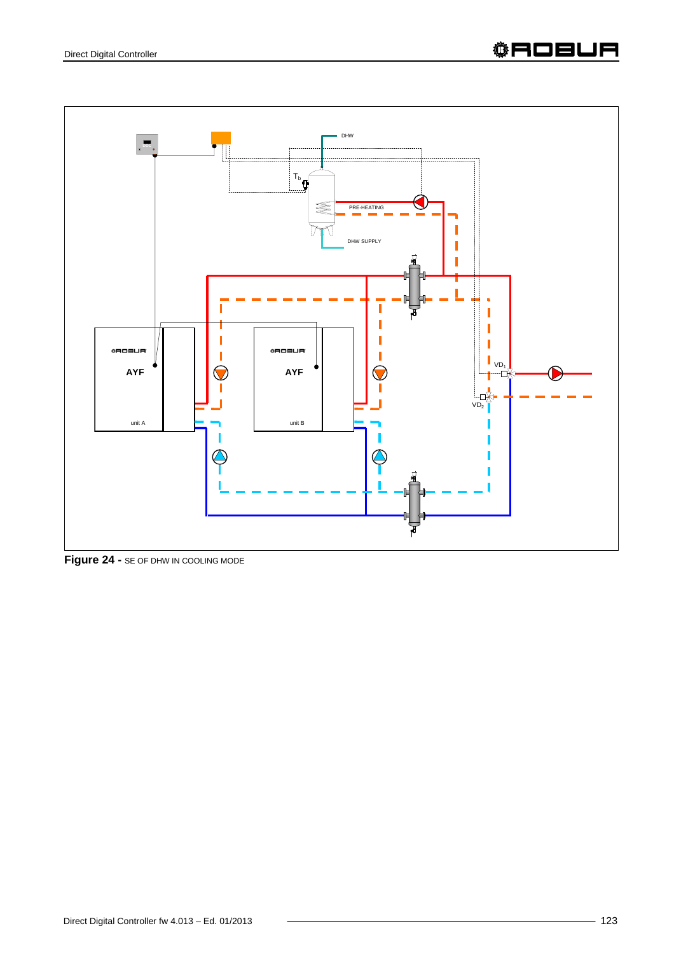

**Figure 24 -** SE OF DHW IN COOLING MODE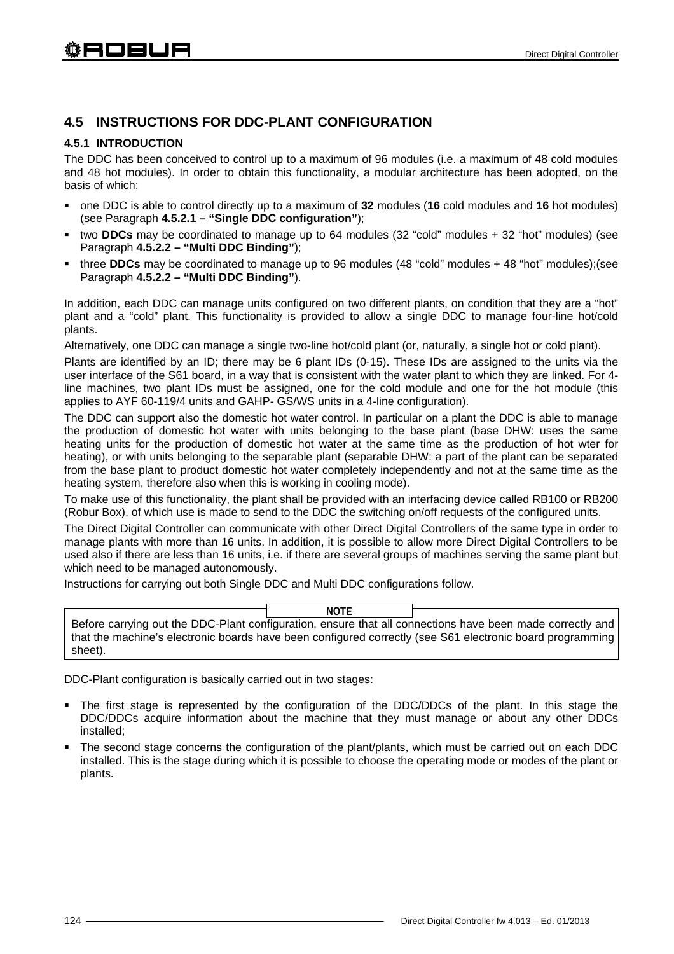# **4.5 INSTRUCTIONS FOR DDC-PLANT CONFIGURATION**

## **4.5.1 INTRODUCTION**

The DDC has been conceived to control up to a maximum of 96 modules (i.e. a maximum of 48 cold modules and 48 hot modules). In order to obtain this functionality, a modular architecture has been adopted, on the basis of which:

- one DDC is able to control directly up to a maximum of **32** modules (**16** cold modules and **16** hot modules) (see Paragraph **4.5.2.1 – "Single DDC configuration"**);
- two **DDCs** may be coordinated to manage up to 64 modules (32 "cold" modules + 32 "hot" modules) (see Paragraph **4.5.2.2 – "Multi DDC Binding"**);
- three **DDCs** may be coordinated to manage up to 96 modules (48 "cold" modules + 48 "hot" modules);(see Paragraph **4.5.2.2 – "Multi DDC Binding"**).

In addition, each DDC can manage units configured on two different plants, on condition that they are a "hot" plant and a "cold" plant. This functionality is provided to allow a single DDC to manage four-line hot/cold plants.

Alternatively, one DDC can manage a single two-line hot/cold plant (or, naturally, a single hot or cold plant).

Plants are identified by an ID; there may be 6 plant IDs (0-15). These IDs are assigned to the units via the user interface of the S61 board, in a way that is consistent with the water plant to which they are linked. For 4 line machines, two plant IDs must be assigned, one for the cold module and one for the hot module (this applies to AYF 60-119/4 units and GAHP- GS/WS units in a 4-line configuration).

The DDC can support also the domestic hot water control. In particular on a plant the DDC is able to manage the production of domestic hot water with units belonging to the base plant (base DHW: uses the same heating units for the production of domestic hot water at the same time as the production of hot wter for heating), or with units belonging to the separable plant (separable DHW: a part of the plant can be separated from the base plant to product domestic hot water completely independently and not at the same time as the heating system, therefore also when this is working in cooling mode).

To make use of this functionality, the plant shall be provided with an interfacing device called RB100 or RB200 (Robur Box), of which use is made to send to the DDC the switching on/off requests of the configured units.

The Direct Digital Controller can communicate with other Direct Digital Controllers of the same type in order to manage plants with more than 16 units. In addition, it is possible to allow more Direct Digital Controllers to be used also if there are less than 16 units, i.e. if there are several groups of machines serving the same plant but which need to be managed autonomously.

Instructions for carrying out both Single DDC and Multi DDC configurations follow.

Before carrying out the DDC-Plant configuration, ensure that all connections have been made correctly and that the machine's electronic boards have been configured correctly (see S61 electronic board programming sheet). **NOTE**

DDC-Plant configuration is basically carried out in two stages:

- The first stage is represented by the configuration of the DDC/DDCs of the plant. In this stage the DDC/DDCs acquire information about the machine that they must manage or about any other DDCs installed;
- The second stage concerns the configuration of the plant/plants, which must be carried out on each DDC installed. This is the stage during which it is possible to choose the operating mode or modes of the plant or plants.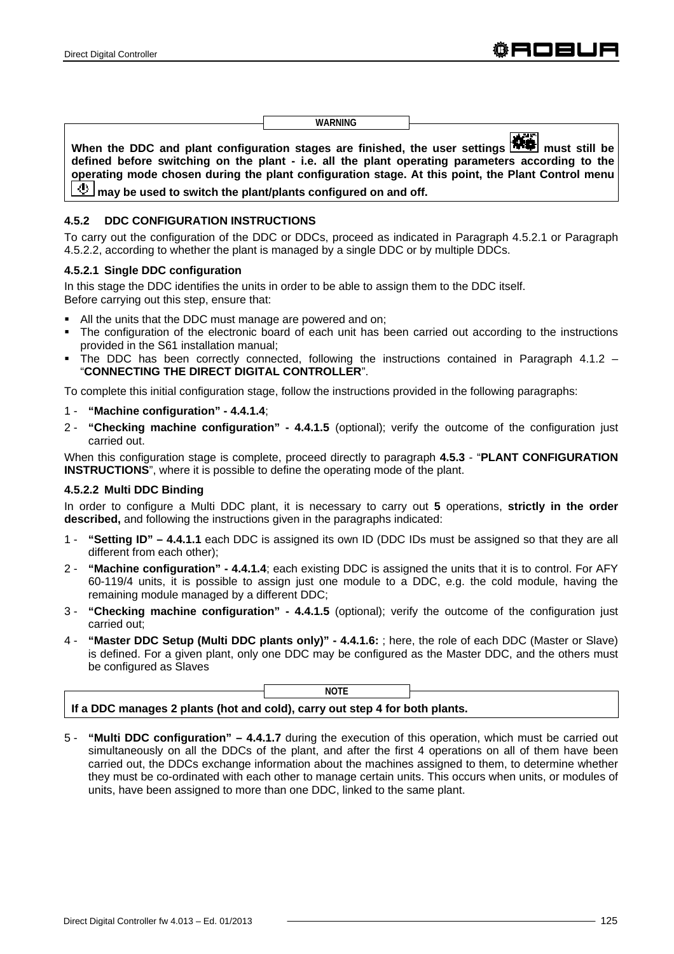**WARNING**

**When the DDC and plant configuration stages are finished, the user settings**  $\frac{1}{2}$  **must still be defined before switching on the plant - i.e. all the plant operating parameters according to the operating mode chosen during the plant configuration stage. At this point, the Plant Control menu**  *I* may be used to switch the plant/plants configured on and off.

## **4.5.2 DDC CONFIGURATION INSTRUCTIONS**

To carry out the configuration of the DDC or DDCs, proceed as indicated in Paragraph 4.5.2.1 or Paragraph 4.5.2.2, according to whether the plant is managed by a single DDC or by multiple DDCs.

#### **4.5.2.1 Single DDC configuration**

In this stage the DDC identifies the units in order to be able to assign them to the DDC itself. Before carrying out this step, ensure that:

- All the units that the DDC must manage are powered and on;
- The configuration of the electronic board of each unit has been carried out according to the instructions provided in the S61 installation manual;
- The DDC has been correctly connected, following the instructions contained in Paragraph 4.1.2 "**CONNECTING THE DIRECT DIGITAL CONTROLLER**".

To complete this initial configuration stage, follow the instructions provided in the following paragraphs:

- 1 **"Machine configuration" 4.4.1.4**;
- 2 **"Checking machine configuration" 4.4.1.5** (optional); verify the outcome of the configuration just carried out.

When this configuration stage is complete, proceed directly to paragraph **4.5.3** - "**PLANT CONFIGURATION INSTRUCTIONS**", where it is possible to define the operating mode of the plant.

## **4.5.2.2 Multi DDC Binding**

In order to configure a Multi DDC plant, it is necessary to carry out **5** operations, **strictly in the order described,** and following the instructions given in the paragraphs indicated:

- 1 **"Setting ID" 4.4.1.1** each DDC is assigned its own ID (DDC IDs must be assigned so that they are all different from each other);
- 2 **"Machine configuration" 4.4.1.4**; each existing DDC is assigned the units that it is to control. For AFY 60-119/4 units, it is possible to assign just one module to a DDC, e.g. the cold module, having the remaining module managed by a different DDC;
- 3 **"Checking machine configuration" 4.4.1.5** (optional); verify the outcome of the configuration just carried out;
- 4 **"Master DDC Setup (Multi DDC plants only)" 4.4.1.6:** ; here, the role of each DDC (Master or Slave) is defined. For a given plant, only one DDC may be configured as the Master DDC, and the others must be configured as Slaves

|                                                                             | <b>NOTE</b> |  |
|-----------------------------------------------------------------------------|-------------|--|
| If a DDC manages 2 plants (hot and cold), carry out step 4 for both plants. |             |  |

5 - **"Multi DDC configuration" – 4.4.1.7** during the execution of this operation, which must be carried out simultaneously on all the DDCs of the plant, and after the first 4 operations on all of them have been carried out, the DDCs exchange information about the machines assigned to them, to determine whether they must be co-ordinated with each other to manage certain units. This occurs when units, or modules of units, have been assigned to more than one DDC, linked to the same plant.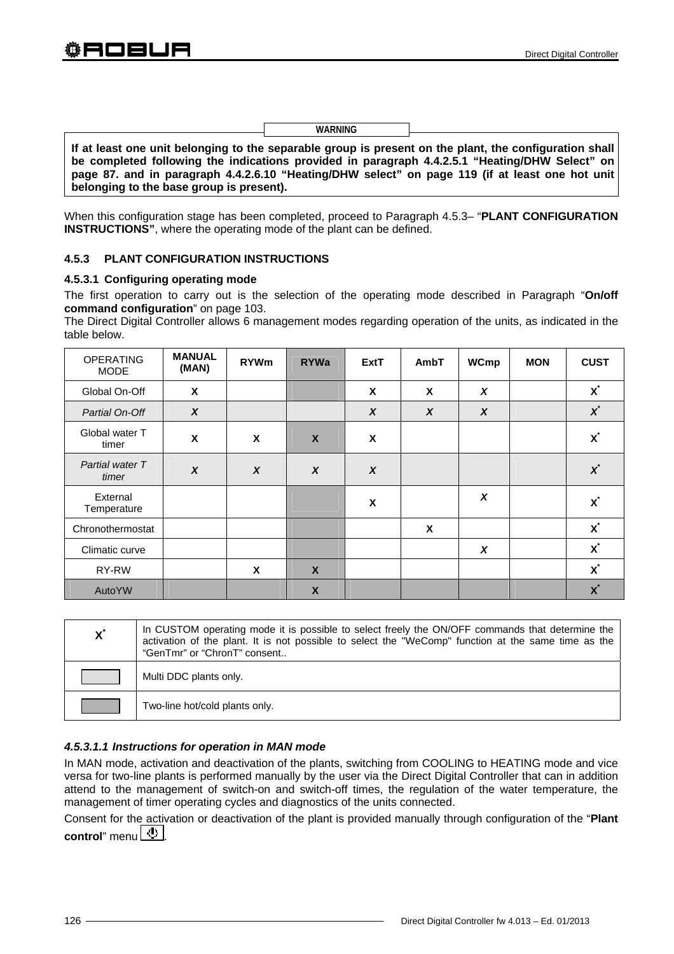| If at least one unit belonging to the separable group is present on the plant, the configuration shall |  |  |  |
|--------------------------------------------------------------------------------------------------------|--|--|--|
| be completed following the indications provided in paragraph 4.4.2.5.1 "Heating/DHW Select" on         |  |  |  |
| page 87. and in paragraph 4.4.2.6.10 "Heating/DHW select" on page 119 (if at least one hot unit        |  |  |  |
| belonging to the base group is present).                                                               |  |  |  |

**WARNING**

When this configuration stage has been completed, proceed to Paragraph 4.5.3– "**PLANT CONFIGURATION INSTRUCTIONS"**, where the operating mode of the plant can be defined.

## **4.5.3 PLANT CONFIGURATION INSTRUCTIONS**

#### **4.5.3.1 Configuring operating mode**

The first operation to carry out is the selection of the operating mode described in Paragraph "**On/off command configuration**" on page 103.

The Direct Digital Controller allows 6 management modes regarding operation of the units, as indicated in the table below.

| <b>OPERATING</b><br><b>MODE</b> | <b>MANUAL</b><br>(MAN) | <b>RYWm</b>      | <b>RYWa</b>               | <b>ExtT</b>      | AmbT             | <b>WCmp</b>      | <b>MON</b> | <b>CUST</b>        |
|---------------------------------|------------------------|------------------|---------------------------|------------------|------------------|------------------|------------|--------------------|
| Global On-Off                   | X                      |                  |                           | X                | X                | $\boldsymbol{x}$ |            | $\mathbf{x}^*$     |
| Partial On-Off                  | $\boldsymbol{x}$       |                  |                           | $\boldsymbol{X}$ | $\boldsymbol{X}$ | $\boldsymbol{X}$ |            | $\boldsymbol{x}^*$ |
| Global water T<br>timer         | X                      | X                | $\mathbf{x}$              | X                |                  |                  |            | $\mathbf{x}^*$     |
| Partial water T<br>timer        | $\boldsymbol{x}$       | $\boldsymbol{x}$ | $\boldsymbol{x}$          | $\boldsymbol{x}$ |                  |                  |            | $\boldsymbol{x}^*$ |
| External<br>Temperature         |                        |                  |                           | X                |                  | X                |            | $\mathbf{x}$       |
| Chronothermostat                |                        |                  |                           |                  | X                |                  |            | $\mathbf{x}^*$     |
| Climatic curve                  |                        |                  |                           |                  |                  | X                |            | $\mathbf{x}^*$     |
| RY-RW                           |                        | X                | $\boldsymbol{\mathsf{X}}$ |                  |                  |                  |            | $\mathbf{x}^*$     |
| <b>AutoYW</b>                   |                        |                  | X                         |                  |                  |                  |            | $\mathbf{x}^*$     |

| $\mathbf{X}^{\prime}$ | In CUSTOM operating mode it is possible to select freely the ON/OFF commands that determine the<br>activation of the plant. It is not possible to select the "WeComp" function at the same time as the<br>"GenTmr" or "ChronT" consent |
|-----------------------|----------------------------------------------------------------------------------------------------------------------------------------------------------------------------------------------------------------------------------------|
|                       | Multi DDC plants only.                                                                                                                                                                                                                 |
|                       | Two-line hot/cold plants only.                                                                                                                                                                                                         |

## *4.5.3.1.1 Instructions for operation in MAN mode*

In MAN mode, activation and deactivation of the plants, switching from COOLING to HEATING mode and vice versa for two-line plants is performed manually by the user via the Direct Digital Controller that can in addition attend to the management of switch-on and switch-off times, the regulation of the water temperature, the management of timer operating cycles and diagnostics of the units connected.

Consent for the activation or deactivation of the plant is provided manually through configuration of the "**Plant control**" menu  $\lfloor \frac{b}{2} \rfloor$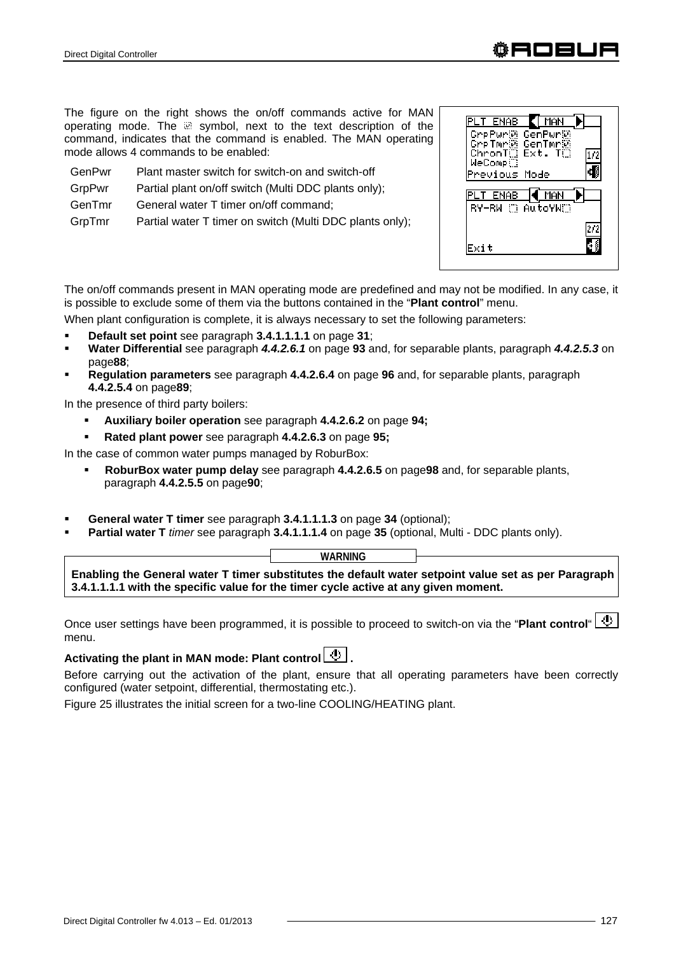The figure on the right shows the on/off commands active for MAN operating mode. The a symbol, next to the text description of the command, indicates that the command is enabled. The MAN operating mode allows 4 commands to be enabled:

| Plant master switch for switch-on and switch-off |
|--------------------------------------------------|
|                                                  |

- GrpPwr Partial plant on/off switch (Multi DDC plants only);
- GenTmr General water T timer on/off command;

GrpTmr Partial water T timer on switch (Multi DDC plants only);

The on/off commands present in MAN operating mode are predefined and may not be modified. In any case, it is possible to exclude some of them via the buttons contained in the "**Plant control**" menu.

When plant configuration is complete, it is always necessary to set the following parameters:

- **Default set point** see paragraph **3.4.1.1.1.1** on page **31**;
- **Water Differential** see paragraph *4.4.2.6.1* on page **93** and, for separable plants, paragraph *4.4.2.5.3* on page**88**;
- **Regulation parameters** see paragraph **4.4.2.6.4** on page **96** and, for separable plants, paragraph **4.4.2.5.4** on page**89**;

In the presence of third party boilers:

- **Auxiliary boiler operation** see paragraph **4.4.2.6.2** on page **94;**
- **Rated plant power** see paragraph **4.4.2.6.3** on page **95;**

In the case of common water pumps managed by RoburBox:

- **RoburBox water pump delay** see paragraph **4.4.2.6.5** on page**98** and, for separable plants, paragraph **4.4.2.5.5** on page**90**;
- **General water T timer** see paragraph **3.4.1.1.1.3** on page **34** (optional);
- **Partial water T** *timer* see paragraph **3.4.1.1.1.4** on page **35** (optional, Multi DDC plants only).

| <b>WARNING</b> |  |
|----------------|--|
|                |  |

**Enabling the General water T timer substitutes the default water setpoint value set as per Paragraph 3.4.1.1.1.1 with the specific value for the timer cycle active at any given moment.**

Once user settings have been programmed, it is possible to proceed to switch-on via the "Plant control" **4** menu.

# Activating the plant in MAN mode: Plant control  $\boxed{\mathbf{\Phi}}$ .

Before carrying out the activation of the plant, ensure that all operating parameters have been correctly configured (water setpoint, differential, thermostating etc.).

Figure 25 illustrates the initial screen for a two-line COOLING/HEATING plant.





 $\sqrt{MAN}$ 

 $1/2$ Ð

272 Шś

**PLT ENAB** 

Exit

Comprise Confluence<br>Comprise Confluence<br>Chronic Ext. The<br>MeComprise

Previous Mode PLT ENAB 4 MAN RY-RN C AutoYNC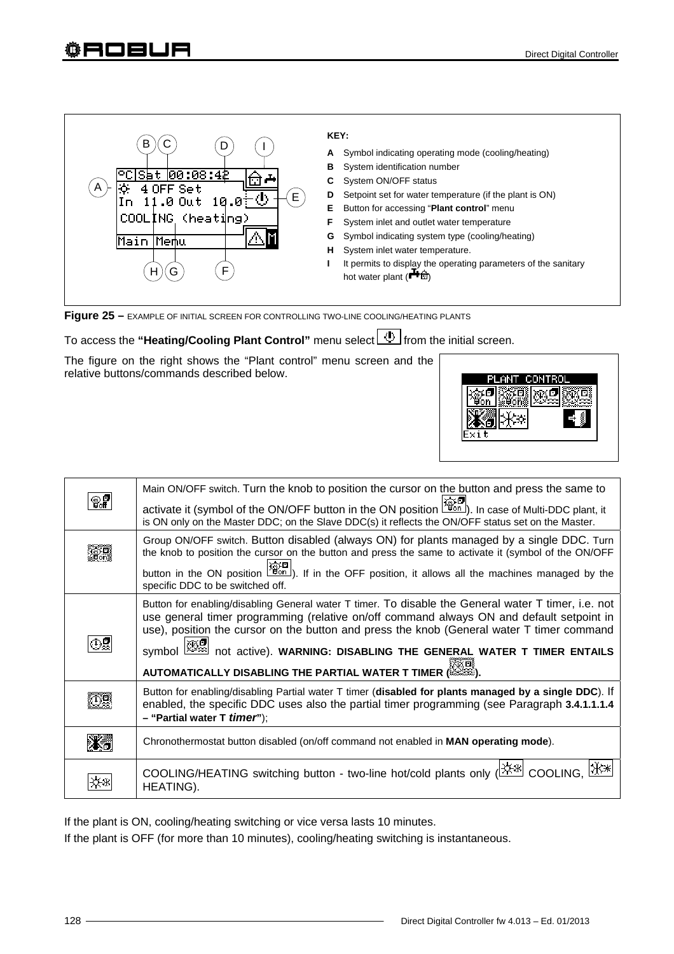# ҈OBUA

| в                            | KEY:                                                                                                  |
|------------------------------|-------------------------------------------------------------------------------------------------------|
| U                            | Symbol indicating operating mode (cooling/heating)<br>A                                               |
|                              | System identification number<br>в                                                                     |
| ISat 100:08:42               | System ON/OFF status<br>C                                                                             |
| A<br>÷.<br>4 OFF Set<br>E    | Setpoint set for water temperature (if the plant is ON)<br>D                                          |
| 11.0 Out 10.0 $\oplus$<br>Iп | Е<br>Button for accessing "Plant control" menu                                                        |
| COOLING (heating)            | System inlet and outlet water temperature                                                             |
| Main Memu                    | Symbol indicating system type (cooling/heating)<br>G                                                  |
|                              | н<br>System inlet water temperature.                                                                  |
| F<br>G<br>н                  | It permits to display the operating parameters of the sanitary<br>hot water plant ( <sup>+1</sup> ft) |
|                              |                                                                                                       |

**Figure 25 –** EXAMPLE OF INITIAL SCREEN FOR CONTROLLING TWO-LINE COOLING/HEATING PLANTS

# To access the "Heating/Cooling Plant Control" menu select **4** from the initial screen.

The figure on the right shows the "Plant control" menu screen and the relative buttons/commands described below.



| ©7 | Main ON/OFF switch. Turn the knob to position the cursor on the button and press the same to<br>activate it (symbol of the ON/OFF button in the ON position $\left[\frac{\text{max}}{46n}\right]$ ). In case of Multi-DDC plant, it<br>is ON only on the Master DDC; on the Slave DDC(s) it reflects the ON/OFF status set on the Master.                                                                                                   |
|----|---------------------------------------------------------------------------------------------------------------------------------------------------------------------------------------------------------------------------------------------------------------------------------------------------------------------------------------------------------------------------------------------------------------------------------------------|
|    | Group ON/OFF switch. Button disabled (always ON) for plants managed by a single DDC. Turn<br>the knob to position the cursor on the button and press the same to activate it (symbol of the ON/OFF<br>button in the ON position $\sqrt{2\pi}$ ). If in the OFF position, it allows all the machines managed by the<br>specific DDC to be switched off.                                                                                      |
|    | Button for enabling/disabling General water T timer. To disable the General water T timer, i.e. not<br>use general timer programming (relative on/off command always ON and default setpoint in<br>use), position the cursor on the button and press the knob (General water T timer command<br>Symbol $\boxtimes$ not active). WARNING: DISABLING THE GENERAL WATER T TIMER ENTAILS<br>AUTOMATICALLY DISABLING THE PARTIAL WATER T TIMER ( |
|    | Button for enabling/disabling Partial water T timer (disabled for plants managed by a single DDC). If<br>enabled, the specific DDC uses also the partial timer programming (see Paragraph 3.4.1.1.1.4<br>- "Partial water T <i>timer</i> ");                                                                                                                                                                                                |
|    | Chronothermostat button disabled (on/off command not enabled in <b>MAN operating mode</b> ).                                                                                                                                                                                                                                                                                                                                                |
|    | COOLING/HEATING switching button - two-line hot/cold plants only (ER <sup>386</sup> COOLING,<br>HEATING).                                                                                                                                                                                                                                                                                                                                   |

If the plant is ON, cooling/heating switching or vice versa lasts 10 minutes.

If the plant is OFF (for more than 10 minutes), cooling/heating switching is instantaneous.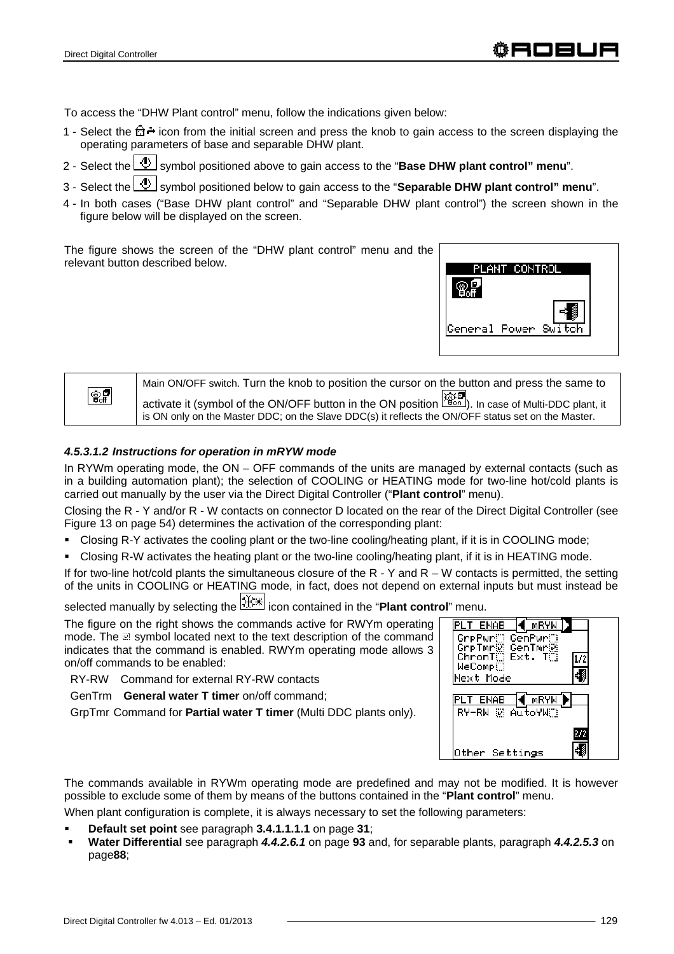To access the "DHW Plant control" menu, follow the indications given below:

- 1 Select the  $\hat{\mathbb{G}}$  icon from the initial screen and press the knob to gain access to the screen displaying the operating parameters of base and separable DHW plant.
- 2 Select the  $\boxed{\bigcircled{4}}$  symbol positioned above to gain access to the "**Base DHW plant control" menu**".
- 3 Select the **U** symbol positioned below to gain access to the "**Separable DHW plant control**" menu".
- 4 In both cases ("Base DHW plant control" and "Separable DHW plant control") the screen shown in the figure below will be displayed on the screen.

The figure shows the screen of the "DHW plant control" menu and the relevant button described below.



|               | Main ON/OFF switch. Turn the knob to position the cursor on the button and press the same to                                                                                                                       |
|---------------|--------------------------------------------------------------------------------------------------------------------------------------------------------------------------------------------------------------------|
| $\circledast$ | activate it (symbol of the ON/OFF button in the ON position $\frac{1}{200}$ . In case of Multi-DDC plant, it<br>is ON only on the Master DDC; on the Slave DDC(s) it reflects the ON/OFF status set on the Master. |

#### *4.5.3.1.2 Instructions for operation in mRYW mode*

In RYWm operating mode, the ON – OFF commands of the units are managed by external contacts (such as in a building automation plant); the selection of COOLING or HEATING mode for two-line hot/cold plants is carried out manually by the user via the Direct Digital Controller ("**Plant control**" menu).

Closing the R - Y and/or R - W contacts on connector D located on the rear of the Direct Digital Controller (see Figure 13 on page 54) determines the activation of the corresponding plant:

- Closing R-Y activates the cooling plant or the two-line cooling/heating plant, if it is in COOLING mode;
- Closing R-W activates the heating plant or the two-line cooling/heating plant, if it is in HEATING mode.

If for two-line hot/cold plants the simultaneous closure of the  $R - Y$  and  $R - W$  contacts is permitted, the setting of the units in COOLING or HEATING mode, in fact, does not depend on external inputs but must instead be

selected manually by selecting the icon contained in the "**Plant control**" menu.

The figure on the right shows the commands active for RWYm operating mode. The a symbol located next to the text description of the command indicates that the command is enabled. RWYm operating mode allows 3 on/off commands to be enabled:

RY-RW Command for external RY-RW contacts

GenTrm **General water T timer** on/off command;

GrpTmr Command for **Partial water T timer** (Multi DDC plants only).

| ENAB                                 | mRYW |  |
|--------------------------------------|------|--|
| GrpPwr∭ GenPwr∭                      |      |  |
| GrpTmr@ GenTmr@<br>ChronT() Ext. T() |      |  |
| WeComp.                              |      |  |
| Next Mode                            |      |  |
| ENAB                                 | mRYW |  |
| RY-RW ® AutoYWO                      |      |  |
|                                      |      |  |
|                                      |      |  |
| er Settings                          |      |  |

The commands available in RYWm operating mode are predefined and may not be modified. It is however possible to exclude some of them by means of the buttons contained in the "**Plant control**" menu.

When plant configuration is complete, it is always necessary to set the following parameters:

- **Default set point** see paragraph **3.4.1.1.1.1** on page **31**;
- **Water Differential** see paragraph *4.4.2.6.1* on page **93** and, for separable plants, paragraph *4.4.2.5.3* on page**88**;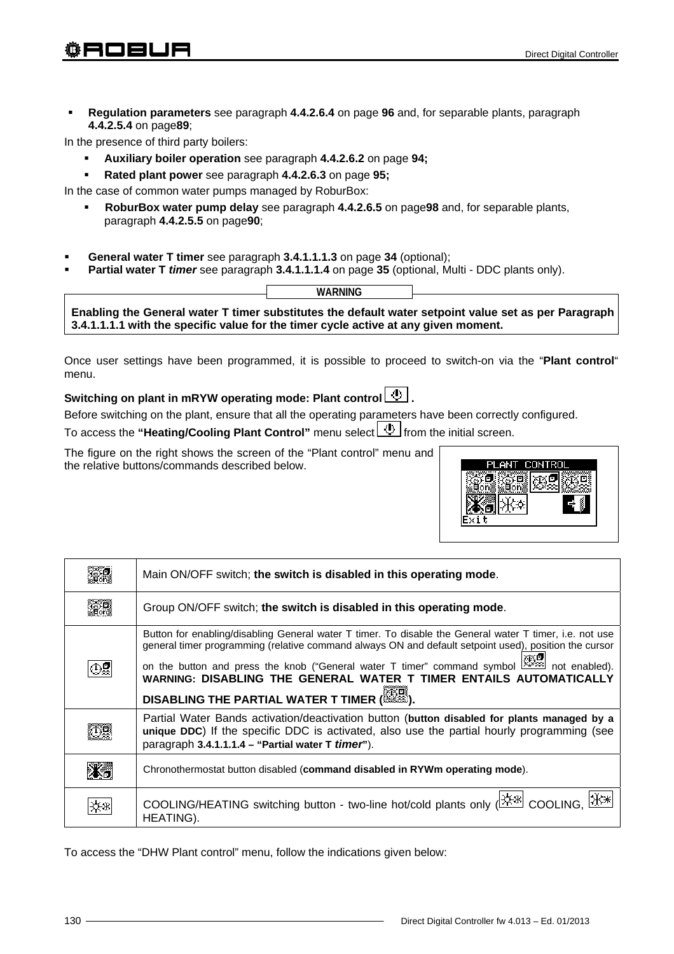**Regulation parameters** see paragraph **4.4.2.6.4** on page **96** and, for separable plants, paragraph **4.4.2.5.4** on page**89**;

In the presence of third party boilers:

- **Auxiliary boiler operation** see paragraph **4.4.2.6.2** on page **94;**
- **Rated plant power** see paragraph **4.4.2.6.3** on page **95;**

In the case of common water pumps managed by RoburBox:

- **RoburBox water pump delay** see paragraph **4.4.2.6.5** on page**98** and, for separable plants, paragraph **4.4.2.5.5** on page**90**;
- **General water T timer** see paragraph **3.4.1.1.1.3** on page **34** (optional);
- **Partial water T** *timer* see paragraph **3.4.1.1.1.4** on page **35** (optional, Multi DDC plants only).

|                                                                                     | WARNING |                                                                                                      |
|-------------------------------------------------------------------------------------|---------|------------------------------------------------------------------------------------------------------|
|                                                                                     |         | Enabling the General water T timer substitutes the default water setpoint value set as per Paragraph |
| 3.4.1.1.1.1 with the specific value for the timer cycle active at any given moment. |         |                                                                                                      |

Once user settings have been programmed, it is possible to proceed to switch-on via the "**Plant control**" menu.

# Switching on plant in mRYW operating mode: Plant control  $\boxed{\Phi}$ .

Before switching on the plant, ensure that all the operating parameters have been correctly configured.

To access the "Heating/Cooling Plant Control" menu select **4** from the initial screen.

The figure on the right shows the screen of the "Plant control" menu and the relative buttons/commands described below.



| Main ON/OFF switch; the switch is disabled in this operating mode.                                                                                                                                                                                                                                                                                                                                                                     |
|----------------------------------------------------------------------------------------------------------------------------------------------------------------------------------------------------------------------------------------------------------------------------------------------------------------------------------------------------------------------------------------------------------------------------------------|
| Group ON/OFF switch; the switch is disabled in this operating mode.                                                                                                                                                                                                                                                                                                                                                                    |
| Button for enabling/disabling General water T timer. To disable the General water T timer, i.e. not use<br>general timer programming (relative command always ON and default setpoint used), position the cursor<br>on the button and press the knob ("General water T timer" command symbol $\mathbb{Z}$ not enabled).<br>WARNING: DISABLING THE GENERAL WATER T TIMER ENTAILS AUTOMATICALLY<br>DISABLING THE PARTIAL WATER T TIMER ( |
| Partial Water Bands activation/deactivation button (button disabled for plants managed by a<br>unique DDC) If the specific DDC is activated, also use the partial hourly programming (see<br>paragraph 3.4.1.1.1.4 - "Partial water T timer").                                                                                                                                                                                         |
| Chronothermostat button disabled (command disabled in RYWm operating mode).                                                                                                                                                                                                                                                                                                                                                            |
| COOLING/HEATING switching button - two-line hot/cold plants only ( <del>茶</del> COOLING, X*<br>HEATING).                                                                                                                                                                                                                                                                                                                               |

To access the "DHW Plant control" menu, follow the indications given below: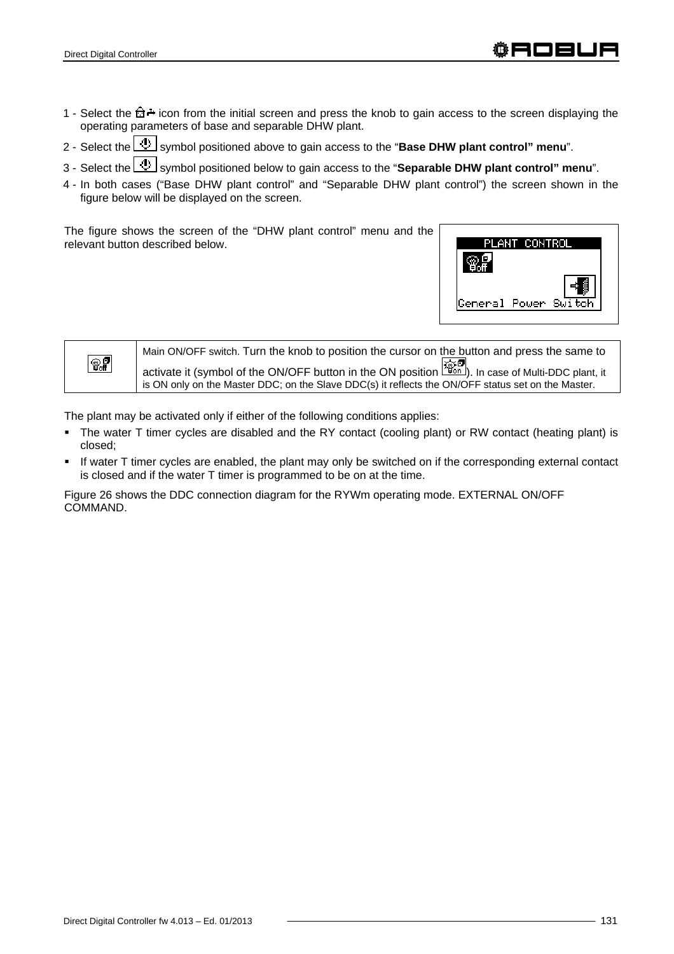- 1 Select the  $\hat{\mathbb{G}}$  icon from the initial screen and press the knob to gain access to the screen displaying the operating parameters of base and separable DHW plant.
- 2 Select the **4** symbol positioned above to gain access to the "**Base DHW plant control" menu**".
- 3 Select the **U** symbol positioned below to gain access to the "**Separable DHW plant control**" menu".
- 4 In both cases ("Base DHW plant control" and "Separable DHW plant control") the screen shown in the figure below will be displayed on the screen.

The figure shows the screen of the "DHW plant control" menu and the relevant button described below.





The plant may be activated only if either of the following conditions applies:

- The water T timer cycles are disabled and the RY contact (cooling plant) or RW contact (heating plant) is closed;
- If water T timer cycles are enabled, the plant may only be switched on if the corresponding external contact is closed and if the water T timer is programmed to be on at the time.

Figure 26 shows the DDC connection diagram for the RYWm operating mode. EXTERNAL ON/OFF COMMAND.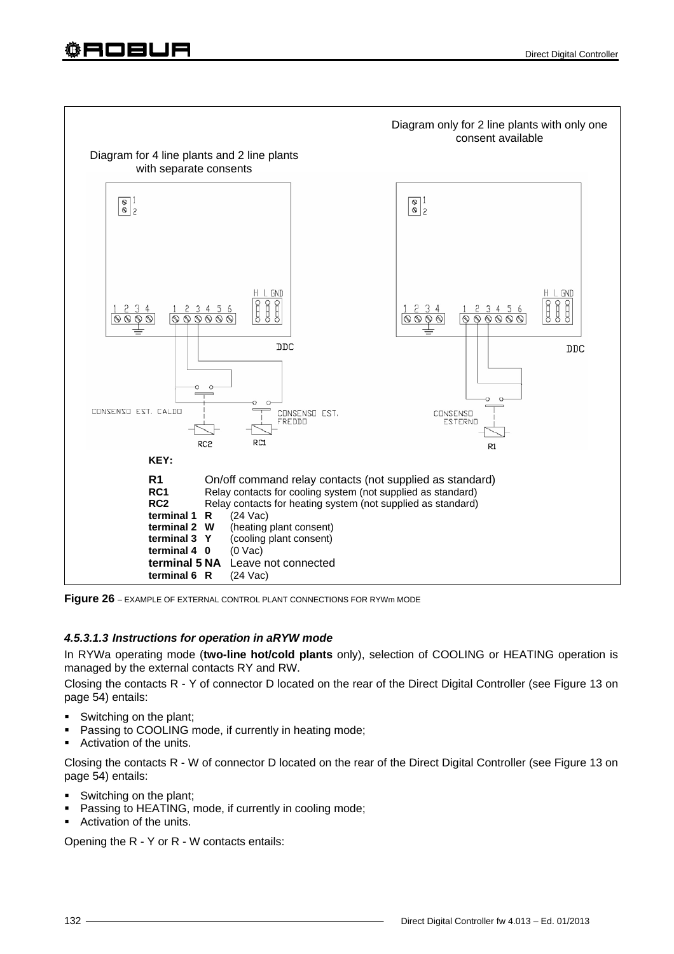

**Figure 26** – EXAMPLE OF EXTERNAL CONTROL PLANT CONNECTIONS FOR RYWm MODE

# *4.5.3.1.3 Instructions for operation in aRYW mode*

In RYWa operating mode (**two-line hot/cold plants** only), selection of COOLING or HEATING operation is managed by the external contacts RY and RW.

Closing the contacts R - Y of connector D located on the rear of the Direct Digital Controller (see Figure 13 on page 54) entails:

- Switching on the plant;
- Passing to COOLING mode, if currently in heating mode;
- Activation of the units.

Closing the contacts R - W of connector D located on the rear of the Direct Digital Controller (see Figure 13 on page 54) entails:

- Switching on the plant;
- Passing to HEATING, mode, if currently in cooling mode;
- Activation of the units.

Opening the R - Y or R - W contacts entails: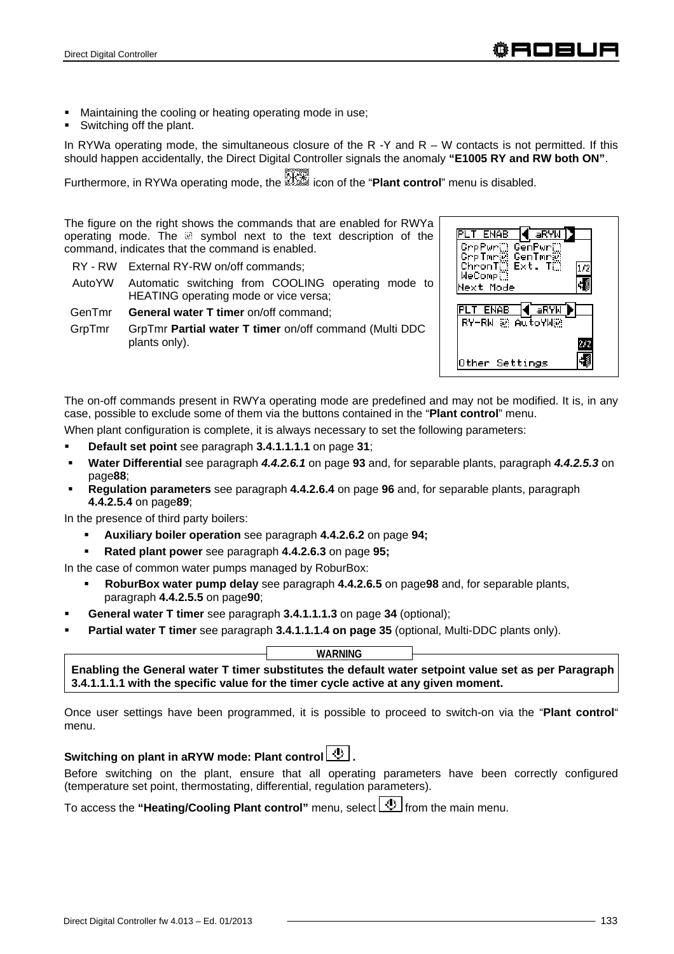- Maintaining the cooling or heating operating mode in use;
- Switching off the plant.

In RYWa operating mode, the simultaneous closure of the R  $-Y$  and R  $-$  W contacts is not permitted. If this should happen accidentally, the Direct Digital Controller signals the anomaly **"E1005 RY and RW both ON"**.

Furthermore, in RYWa operating mode, the icon of the "**Plant control**" menu is disabled.

The figure on the right shows the commands that are enabled for RWYa operating mode. The a symbol next to the text description of the command, indicates that the command is enabled.

- RY RW External RY-RW on/off commands;
- AutoYW Automatic switching from COOLING operating mode to HEATING operating mode or vice versa;
- GenTmr **General water T timer** on/off command;
- GrpTmr GrpTmr **Partial water T timer** on/off command (Multi DDC plants only).



The on-off commands present in RWYa operating mode are predefined and may not be modified. It is, in any case, possible to exclude some of them via the buttons contained in the "**Plant control**" menu.

When plant configuration is complete, it is always necessary to set the following parameters:

- **Default set point** see paragraph **3.4.1.1.1.1** on page **31**;
- **Water Differential** see paragraph *4.4.2.6.1* on page **93** and, for separable plants, paragraph *4.4.2.5.3* on page**88**;
- **Regulation parameters** see paragraph **4.4.2.6.4** on page **96** and, for separable plants, paragraph **4.4.2.5.4** on page**89**;

In the presence of third party boilers:

- **Auxiliary boiler operation** see paragraph **4.4.2.6.2** on page **94;**
- **Rated plant power** see paragraph **4.4.2.6.3** on page **95;**
- In the case of common water pumps managed by RoburBox:
	- **RoburBox water pump delay** see paragraph **4.4.2.6.5** on page**98** and, for separable plants, paragraph **4.4.2.5.5** on page**90**;
- **General water T timer** see paragraph **3.4.1.1.1.3** on page **34** (optional);
- **Partial water T timer** see paragraph **3.4.1.1.1.4 on page 35** (optional, Multi-DDC plants only).

**WARNING**

**Enabling the General water T timer substitutes the default water setpoint value set as per Paragraph 3.4.1.1.1.1 with the specific value for the timer cycle active at any given moment.**

Once user settings have been programmed, it is possible to proceed to switch-on via the "**Plant control**" menu.

# Switching on plant in aRYW mode: Plant control **.**

Before switching on the plant, ensure that all operating parameters have been correctly configured (temperature set point, thermostating, differential, regulation parameters).

To access the "Heating/Cooling Plant control" menu, select **the from the main menu.**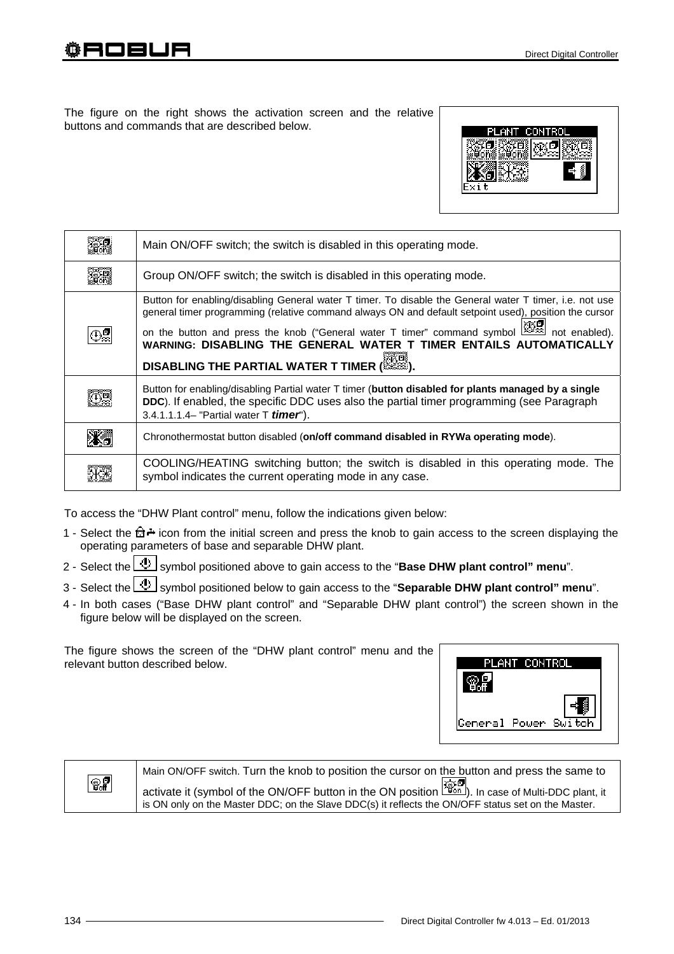The figure on the right shows the activation screen and the relative buttons and commands that are described below.



| Main ON/OFF switch; the switch is disabled in this operating mode.                                                                                                                                                                                                                                                                                                                                                                                |  |  |
|---------------------------------------------------------------------------------------------------------------------------------------------------------------------------------------------------------------------------------------------------------------------------------------------------------------------------------------------------------------------------------------------------------------------------------------------------|--|--|
| Group ON/OFF switch; the switch is disabled in this operating mode.                                                                                                                                                                                                                                                                                                                                                                               |  |  |
| Button for enabling/disabling General water T timer. To disable the General water T timer, i.e. not use<br>general timer programming (relative command always ON and default setpoint used), position the cursor<br>on the button and press the knob ("General water T timer" command symbol water and enabled).<br>WARNING: DISABLING THE GENERAL WATER T TIMER ENTAILS AUTOMATICALLY<br><b>DISABLING THE PARTIAL WATER T TIMER (AND EXAMPLE</b> |  |  |
| Button for enabling/disabling Partial water T timer (button disabled for plants managed by a single<br>DDC). If enabled, the specific DDC uses also the partial timer programming (see Paragraph<br>3.4.1.1.1.4- "Partial water T <i>timer</i> ").                                                                                                                                                                                                |  |  |
| Chronothermostat button disabled (on/off command disabled in RYWa operating mode).                                                                                                                                                                                                                                                                                                                                                                |  |  |
| COOLING/HEATING switching button; the switch is disabled in this operating mode. The<br>symbol indicates the current operating mode in any case.                                                                                                                                                                                                                                                                                                  |  |  |

To access the "DHW Plant control" menu, follow the indications given below:

- 1 Select the  $\hat{\mathbb{G}}$  icon from the initial screen and press the knob to gain access to the screen displaying the operating parameters of base and separable DHW plant.
- 2 Select the **U** symbol positioned above to gain access to the "**Base DHW plant control" menu**".
- 3 Select the **U** symbol positioned below to gain access to the "**Separable DHW plant control**" menu".
- 4 In both cases ("Base DHW plant control" and "Separable DHW plant control") the screen shown in the figure below will be displayed on the screen.

The figure shows the screen of the "DHW plant control" menu and the relevant button described below.



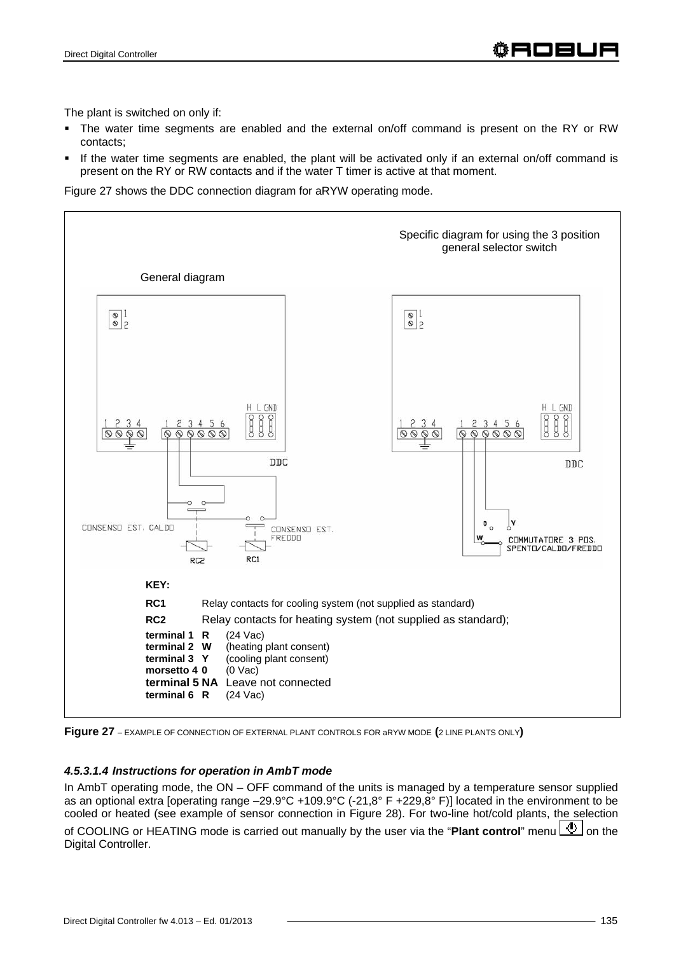The plant is switched on only if:

- The water time segments are enabled and the external on/off command is present on the RY or RW contacts;
- If the water time segments are enabled, the plant will be activated only if an external on/off command is present on the RY or RW contacts and if the water T timer is active at that moment.

Figure 27 shows the DDC connection diagram for aRYW operating mode.





#### *4.5.3.1.4 Instructions for operation in AmbT mode*

In AmbT operating mode, the ON – OFF command of the units is managed by a temperature sensor supplied as an optional extra [operating range –29.9°C +109.9°C (-21,8° F +229,8° F)] located in the environment to be cooled or heated (see example of sensor connection in Figure 28). For two-line hot/cold plants, the selection of COOLING or HEATING mode is carried out manually by the user via the "**Plant control**" menu **0** on the Digital Controller.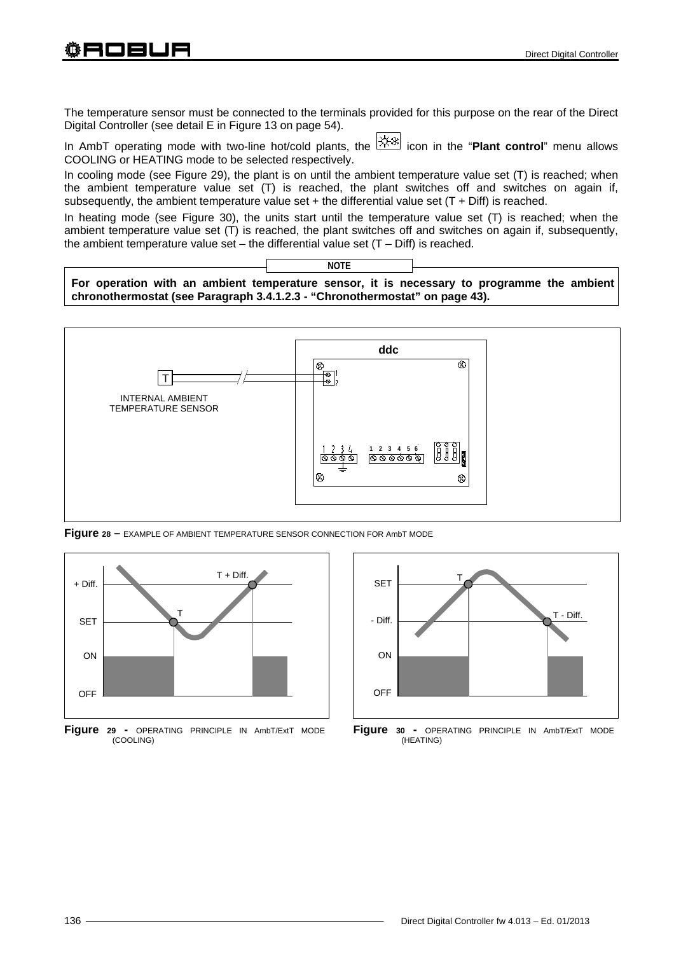The temperature sensor must be connected to the terminals provided for this purpose on the rear of the Direct Digital Controller (see detail E in Figure 13 on page 54).

In AmbT operating mode with two-line hot/cold plants, the  $\frac{|\mathcal{X}_i|\mathcal{X}_j|}{|\mathcal{X}_j|}$  icon in the "**Plant control**" menu allows COOLING or HEATING mode to be selected respectively.

In cooling mode (see Figure 29), the plant is on until the ambient temperature value set (T) is reached; when the ambient temperature value set (T) is reached, the plant switches off and switches on again if, subsequently, the ambient temperature value set  $+$  the differential value set (T + Diff) is reached.

In heating mode (see Figure 30), the units start until the temperature value set (T) is reached; when the ambient temperature value set (T) is reached, the plant switches off and switches on again if, subsequently, the ambient temperature value set – the differential value set  $(T - Diff)$  is reached.

**For operation with an ambient temperature sensor, it is necessary to programme the ambient chronothermostat (see Paragraph 3.4.1.2.3 - "Chronothermostat" on page 43).**

**NOTE**



**Figure 28 –** EXAMPLE OF AMBIENT TEMPERATURE SENSOR CONNECTION FOR AmbT MODE



**Figure 29 -** OPERATING PRINCIPLE IN AmbT/ExtT MODE (COOLING)



**Figure 30 -** OPERATING PRINCIPLE IN AmbT/ExtT MODE (HEATING)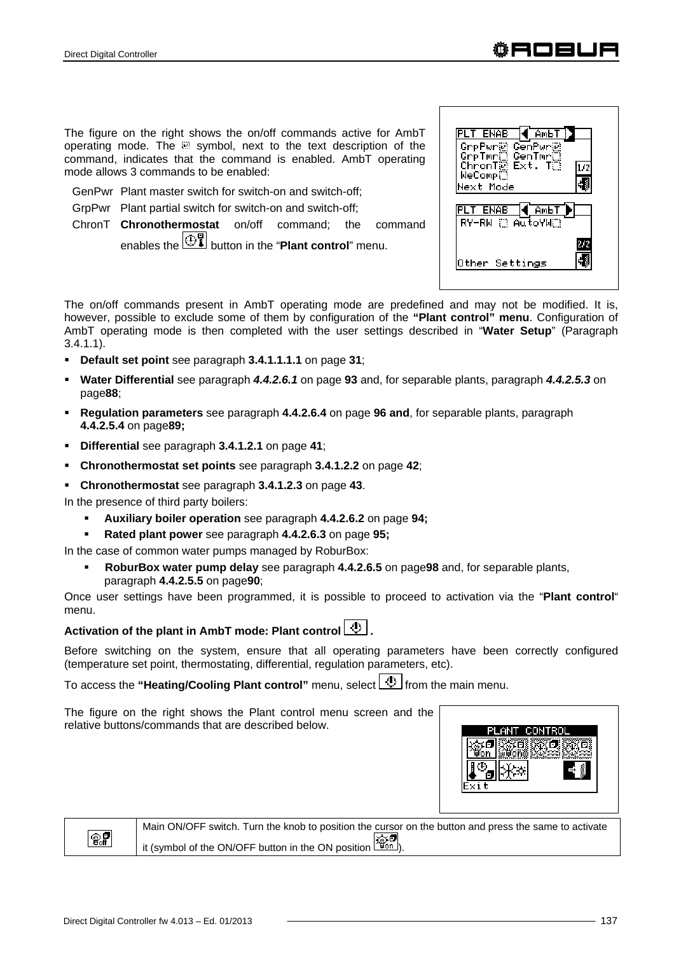The figure on the right shows the on/off commands active for AmbT operating mode. The  $\mathbb{R}$  symbol, next to the text description of the command, indicates that the command is enabled. AmbT operating mode allows 3 commands to be enabled:

- GenPwr Plant master switch for switch-on and switch-off;
- GrpPwr Plant partial switch for switch-on and switch-off;
- ChronT **Chronothermostat** on/off command; the command enables the  $\boxed{\bigoplus_{n=0}^{n}}$  button in the "**Plant control**" menu.

| AмЬ <sup>-</sup><br>ENAB                              |  |
|-------------------------------------------------------|--|
| GrpPwr@ GenPwr@<br>GrpTmr© GenTmr©<br>ChronT@ Ext. T© |  |
| WeComp<br><b>Mext Mode</b>                            |  |
|                                                       |  |
|                                                       |  |
| AmЬ'<br>RY−RW ∷ АutoYW∷                               |  |
| Other Settings                                        |  |

The on/off commands present in AmbT operating mode are predefined and may not be modified. It is, however, possible to exclude some of them by configuration of the **"Plant control" menu**. Configuration of AmbT operating mode is then completed with the user settings described in "**Water Setup**" (Paragraph 3.4.1.1).

- **Default set point** see paragraph **3.4.1.1.1.1** on page **31**;
- **Water Differential** see paragraph *4.4.2.6.1* on page **93** and, for separable plants, paragraph *4.4.2.5.3* on page**88**;
- **Regulation parameters** see paragraph **4.4.2.6.4** on page **96 and**, for separable plants, paragraph **4.4.2.5.4** on page**89;**
- **Differential** see paragraph **3.4.1.2.1** on page **41**;
- **Chronothermostat set points** see paragraph **3.4.1.2.2** on page **42**;
- **Chronothermostat** see paragraph **3.4.1.2.3** on page **43**.

In the presence of third party boilers:

**Auxiliary boiler operation** see paragraph **4.4.2.6.2** on page **94;** 

**Rated plant power** see paragraph **4.4.2.6.3** on page **95;** 

In the case of common water pumps managed by RoburBox:

 **RoburBox water pump delay** see paragraph **4.4.2.6.5** on page**98** and, for separable plants, paragraph **4.4.2.5.5** on page**90**;

Once user settings have been programmed, it is possible to proceed to activation via the "**Plant control**" menu.

# Activation of the plant in AmbT mode: Plant control  $\boxed{\Phi}$ .

Before switching on the system, ensure that all operating parameters have been correctly configured (temperature set point, thermostating, differential, regulation parameters, etc).

To access the "**Heating/Cooling Plant control**" menu, select **the from the main menu.** 

The figure on the right shows the Plant control menu screen and the relative buttons/commands that are described below.





Main ON/OFF switch. Turn the knob to position the cursor on the button and press the same to activate 公司 it (symbol of the ON/OFF button in the ON position  $\frac{|\mathcal{L}_{\text{QCD}}|}{|\mathcal{L}_{\text{QCD}}|}$ ).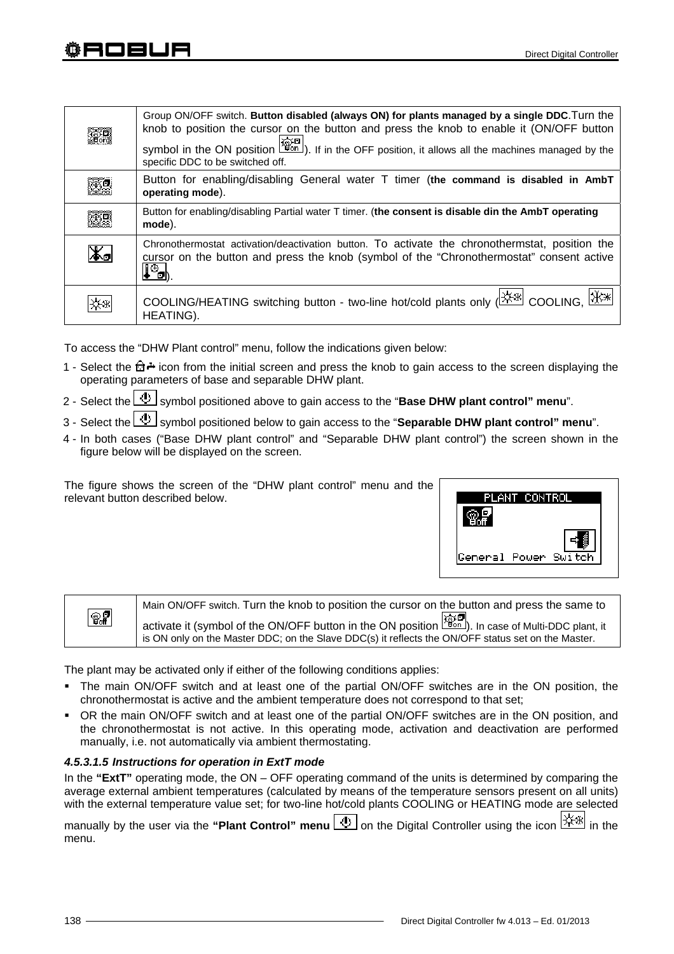|    | Group ON/OFF switch. Button disabled (always ON) for plants managed by a single DDC. Turn the<br>knob to position the cursor on the button and press the knob to enable it (ON/OFF button<br>symbol in the ON position $\left \overrightarrow{a} \right $ . If in the OFF position, it allows all the machines managed by the<br>specific DDC to be switched off. |
|----|-------------------------------------------------------------------------------------------------------------------------------------------------------------------------------------------------------------------------------------------------------------------------------------------------------------------------------------------------------------------|
|    | Button for enabling/disabling General water T timer (the command is disabled in AmbT<br>operating mode).                                                                                                                                                                                                                                                          |
|    | Button for enabling/disabling Partial water T timer. (the consent is disable din the AmbT operating<br>mode).                                                                                                                                                                                                                                                     |
| Жэ | Chronothermostat activation/deactivation button. To activate the chronothermstat, position the<br>cursor on the button and press the knob (symbol of the "Chronothermostat" consent active<br>$\mathbf{I}^{\oplus}$                                                                                                                                               |
|    | COOLING/HEATING switching button - two-line hot/cold plants only ( XXX COOLING, XXX<br>HEATING).                                                                                                                                                                                                                                                                  |

To access the "DHW Plant control" menu, follow the indications given below:

- 1 Select the  $\hat{\mathbb{G}}$  + icon from the initial screen and press the knob to gain access to the screen displaying the operating parameters of base and separable DHW plant.
- 2 Select the  $\bigcup$  symbol positioned above to gain access to the "**Base DHW plant control" menu**".
- 3 Select the **U** symbol positioned below to gain access to the "**Separable DHW plant control**" menu".
- 4 In both cases ("Base DHW plant control" and "Separable DHW plant control") the screen shown in the figure below will be displayed on the screen.

The figure shows the screen of the "DHW plant control" menu and the relevant button described below.



| $\overline{\mathcal{C}}$ | Main ON/OFF switch. Turn the knob to position the cursor on the button and press the same to                  |
|--------------------------|---------------------------------------------------------------------------------------------------------------|
|                          | activate it (symbol of the ON/OFF button in the ON position $\frac{1}{200}$ ). In case of Multi-DDC plant, it |
|                          | is ON only on the Master DDC; on the Slave DDC(s) it reflects the ON/OFF status set on the Master.            |

The plant may be activated only if either of the following conditions applies:

- The main ON/OFF switch and at least one of the partial ON/OFF switches are in the ON position, the chronothermostat is active and the ambient temperature does not correspond to that set;
- OR the main ON/OFF switch and at least one of the partial ON/OFF switches are in the ON position, and the chronothermostat is not active. In this operating mode, activation and deactivation are performed manually, i.e. not automatically via ambient thermostating.

## *4.5.3.1.5 Instructions for operation in ExtT mode*

In the **"ExtT"** operating mode, the ON – OFF operating command of the units is determined by comparing the average external ambient temperatures (calculated by means of the temperature sensors present on all units) with the external temperature value set; for two-line hot/cold plants COOLING or HEATING mode are selected

manually by the user via the "**Plant Control" menu (!)** on the Digital Controller using the icon  $\frac{|\mathcal{X}|\mathcal{X}|}{|\mathcal{X}|}$  in the menu.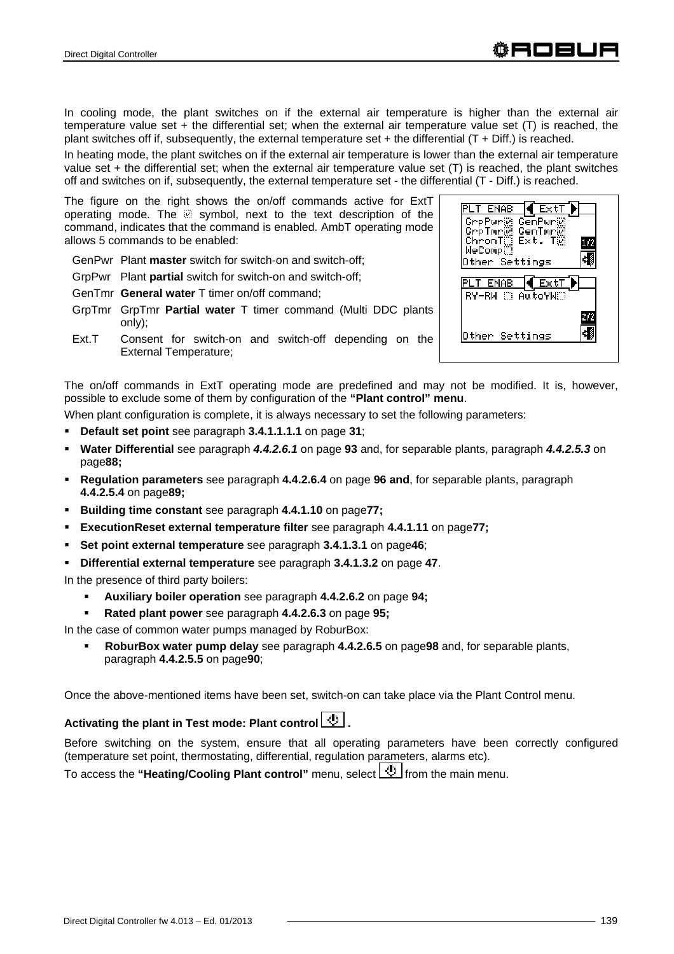In cooling mode, the plant switches on if the external air temperature is higher than the external air temperature value set + the differential set; when the external air temperature value set (T) is reached, the plant switches off if, subsequently, the external temperature set  $+$  the differential (T  $+$  Diff.) is reached.

In heating mode, the plant switches on if the external air temperature is lower than the external air temperature value set + the differential set; when the external air temperature value set (T) is reached, the plant switches off and switches on if, subsequently, the external temperature set - the differential (T - Diff.) is reached.

The figure on the right shows the on/off commands active for ExtT operating mode. The a symbol, next to the text description of the command, indicates that the command is enabled. AmbT operating mode allows 5 commands to be enabled:

GenPwr Plant **master** switch for switch-on and switch-off;

GrpPwr Plant **partial** switch for switch-on and switch-off;

GenTmr **General water** T timer on/off command;

- GrpTmr GrpTmr **Partial water** T timer command (Multi DDC plants only);
- Ext.T Consent for switch-on and switch-off depending on the External Temperature;



The on/off commands in ExtT operating mode are predefined and may not be modified. It is, however, possible to exclude some of them by configuration of the **"Plant control" menu**.

When plant configuration is complete, it is always necessary to set the following parameters:

- **Default set point** see paragraph **3.4.1.1.1.1** on page **31**;
- **Water Differential** see paragraph *4.4.2.6.1* on page **93** and, for separable plants, paragraph *4.4.2.5.3* on page**88;**
- **Regulation parameters** see paragraph **4.4.2.6.4** on page **96 and**, for separable plants, paragraph **4.4.2.5.4** on page**89;**
- **Building time constant** see paragraph **4.4.1.10** on page**77;**
- **ExecutionReset external temperature filter** see paragraph **4.4.1.11** on page**77;**
- **Set point external temperature** see paragraph **3.4.1.3.1** on page**46**;
- **Differential external temperature** see paragraph **3.4.1.3.2** on page **47**.

In the presence of third party boilers:

- **Auxiliary boiler operation** see paragraph **4.4.2.6.2** on page **94;**
- **Rated plant power** see paragraph **4.4.2.6.3** on page **95;**
- In the case of common water pumps managed by RoburBox:
	- **RoburBox water pump delay** see paragraph **4.4.2.6.5** on page**98** and, for separable plants, paragraph **4.4.2.5.5** on page**90**;

Once the above-mentioned items have been set, switch-on can take place via the Plant Control menu.

## Activating the plant in Test mode: Plant control  $\boxed{\mathcal{D}}$ .

Before switching on the system, ensure that all operating parameters have been correctly configured (temperature set point, thermostating, differential, regulation parameters, alarms etc).

To access the "**Heating/Cooling Plant control**" menu, select full from the main menu.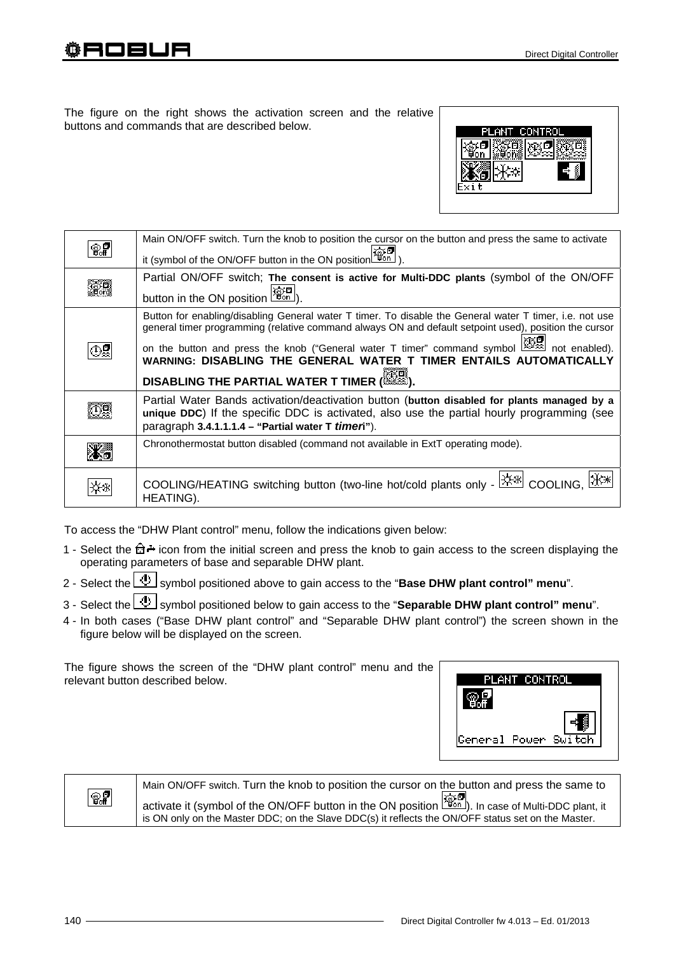The figure on the right shows the activation screen and the relative buttons and commands that are described below.



| କୃ≨ | Main ON/OFF switch. Turn the knob to position the cursor on the button and press the same to activate<br>it (symbol of the ON/OFF button in the ON position                                                                                                                                                                                                                                                                                   |
|-----|-----------------------------------------------------------------------------------------------------------------------------------------------------------------------------------------------------------------------------------------------------------------------------------------------------------------------------------------------------------------------------------------------------------------------------------------------|
|     | Partial ON/OFF switch; The consent is active for Multi-DDC plants (symbol of the ON/OFF<br>button in the ON position $\boxed{\frac{26.5}{260}}$                                                                                                                                                                                                                                                                                               |
|     | Button for enabling/disabling General water T timer. To disable the General water T timer, i.e. not use<br>general timer programming (relative command always ON and default setpoint used), position the cursor<br>on the button and press the knob ("General water T timer" command symbol $\mathbb{Z}$ not enabled).<br>WARNING: DISABLING THE GENERAL WATER T TIMER ENTAILS AUTOMATICALLY<br><b>DISABLING THE PARTIAL WATER T TIMER (</b> |
|     | Partial Water Bands activation/deactivation button (button disabled for plants managed by a<br>unique DDC) If the specific DDC is activated, also use the partial hourly programming (see<br>paragraph 3.4.1.1.1.4 - "Partial water T timen").                                                                                                                                                                                                |
|     | Chronothermostat button disabled (command not available in ExtT operating mode).                                                                                                                                                                                                                                                                                                                                                              |
|     | COOLING/HEATING switching button (two-line hot/cold plants only - $\frac{ \mathcal{X} \mathcal{X} }{ \mathcal{X} }$ COOLING,<br>HEATING).                                                                                                                                                                                                                                                                                                     |

To access the "DHW Plant control" menu, follow the indications given below:

- 1 Select the  $\hat{\mathbb{G}}$  icon from the initial screen and press the knob to gain access to the screen displaying the operating parameters of base and separable DHW plant.
- 2 Select the **U** symbol positioned above to gain access to the "**Base DHW plant control" menu**".
- 3 Select the **U** symbol positioned below to gain access to the "**Separable DHW plant control" menu**".
- 4 In both cases ("Base DHW plant control" and "Separable DHW plant control") the screen shown in the figure below will be displayed on the screen.

The figure shows the screen of the "DHW plant control" menu and the relevant button described below.





Main ON/OFF switch. Turn the knob to position the cursor on the button and press the same to activate it (symbol of the ON/OFF button in the ON position  $\overline{\mathbb{R}}$  ). In case of Multi-DDC plant, it is ON only on the Master DDC; on the Slave DDC(s) it reflects the ON/OFF status set on the Master.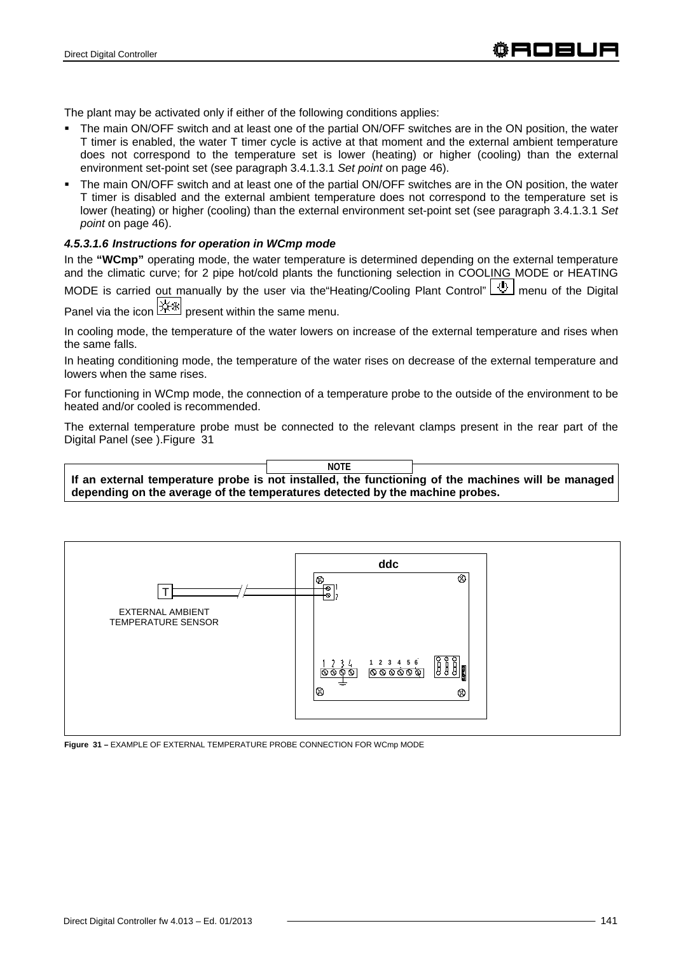The plant may be activated only if either of the following conditions applies:

- The main ON/OFF switch and at least one of the partial ON/OFF switches are in the ON position, the water T timer is enabled, the water T timer cycle is active at that moment and the external ambient temperature does not correspond to the temperature set is lower (heating) or higher (cooling) than the external environment set-point set (see paragraph 3.4.1.3.1 *Set point* on page 46).
- The main ON/OFF switch and at least one of the partial ON/OFF switches are in the ON position, the water T timer is disabled and the external ambient temperature does not correspond to the temperature set is lower (heating) or higher (cooling) than the external environment set-point set (see paragraph 3.4.1.3.1 *Set point* on page 46).

## *4.5.3.1.6 Instructions for operation in WCmp mode*

In the **"WCmp"** operating mode, the water temperature is determined depending on the external temperature and the climatic curve; for 2 pipe hot/cold plants the functioning selection in COOLING MODE or HEATING MODE is carried out manually by the user via the "Heating/Cooling Plant Control" 4 menu of the Digital Panel via the icon  $\mathbb{R}^*$  present within the same menu.

In cooling mode, the temperature of the water lowers on increase of the external temperature and rises when the same falls.

In heating conditioning mode, the temperature of the water rises on decrease of the external temperature and lowers when the same rises.

For functioning in WCmp mode, the connection of a temperature probe to the outside of the environment to be heated and/or cooled is recommended.

The external temperature probe must be connected to the relevant clamps present in the rear part of the Digital Panel (see ).Figure 31

**If an external temperature probe is not installed, the functioning of the machines will be managed depending on the average of the temperatures detected by the machine probes. NOTE**



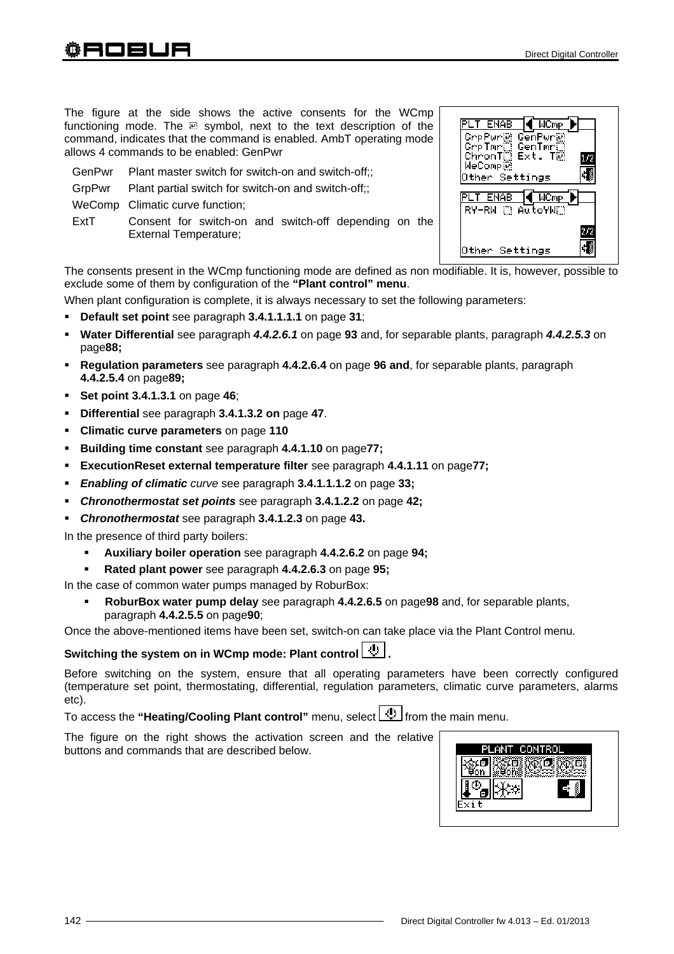The figure at the side shows the active consents for the WCmp functioning mode. The a symbol, next to the text description of the command, indicates that the command is enabled. AmbT operating mode allows 4 commands to be enabled: GenPwr

- GenPwr Plant master switch for switch-on and switch-off;;
- GrpPwr Plant partial switch for switch-on and switch-off:

WeComp Climatic curve function;

ExtT Consent for switch-on and switch-off depending on the External Temperature;

The consents present in the WCmp functioning mode are defined as non modifiable. It is, however, possible to exclude some of them by configuration of the **"Plant control" menu**.

When plant configuration is complete, it is always necessary to set the following parameters:

- **Default set point** see paragraph **3.4.1.1.1.1** on page **31**;
- **Water Differential** see paragraph *4.4.2.6.1* on page **93** and, for separable plants, paragraph *4.4.2.5.3* on page**88;**
- **Regulation parameters** see paragraph **4.4.2.6.4** on page **96 and**, for separable plants, paragraph **4.4.2.5.4** on page**89;**
- **Set point 3.4.1.3.1** on page **46**;
- **Differential** see paragraph **3.4.1.3.2 on** page **47**.
- **Climatic curve parameters** on page **110**
- **Building time constant** see paragraph **4.4.1.10** on page**77;**
- **ExecutionReset external temperature filter** see paragraph **4.4.1.11** on page**77;**
- *Enabling of climatic curve* see paragraph **3.4.1.1.1.2** on page **33;**
- *Chronothermostat set points* see paragraph **3.4.1.2.2** on page **42;**
- *Chronothermostat* see paragraph **3.4.1.2.3** on page **43.**

In the presence of third party boilers:

- **Auxiliary boiler operation** see paragraph **4.4.2.6.2** on page **94;**
- **Rated plant power** see paragraph **4.4.2.6.3** on page **95;**

In the case of common water pumps managed by RoburBox:

 **RoburBox water pump delay** see paragraph **4.4.2.6.5** on page**98** and, for separable plants, paragraph **4.4.2.5.5** on page**90**;

Once the above-mentioned items have been set, switch-on can take place via the Plant Control menu.

# Switching the system on in WCmp mode: Plant control **.**

Before switching on the system, ensure that all operating parameters have been correctly configured (temperature set point, thermostating, differential, regulation parameters, climatic curve parameters, alarms etc).

To access the "Heating/Cooling Plant control" menu, select **4** from the main menu.

The figure on the right shows the activation screen and the relative buttons and commands that are described below.

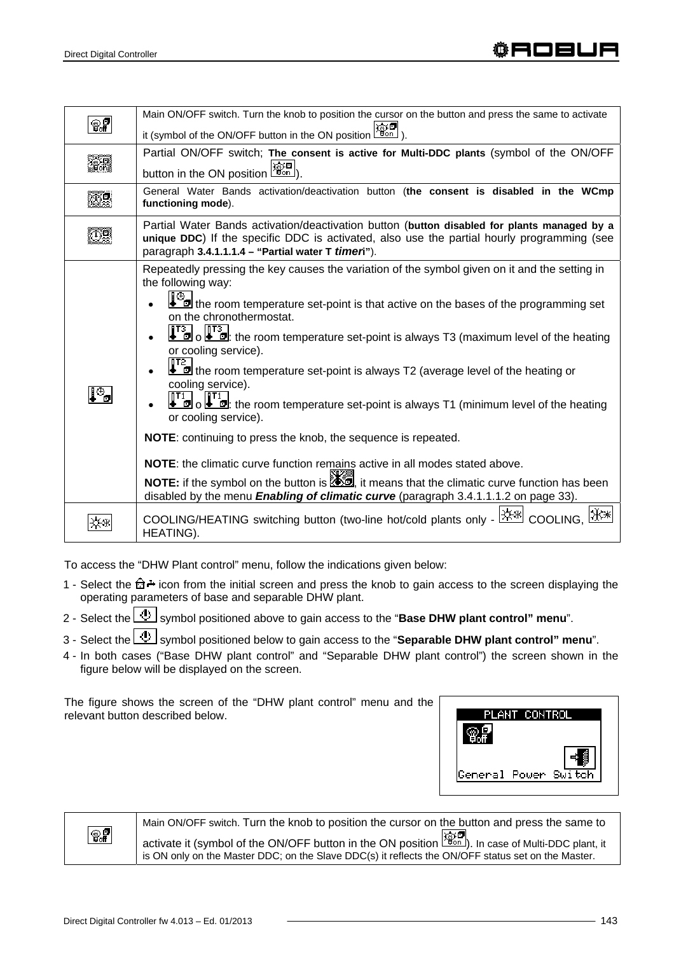| 87  | Main ON/OFF switch. Turn the knob to position the cursor on the button and press the same to activate                                                                                     |  |  |  |
|-----|-------------------------------------------------------------------------------------------------------------------------------------------------------------------------------------------|--|--|--|
|     | it (symbol of the ON/OFF button in the ON position $\lfloor \frac{m}{2} \rfloor$ )                                                                                                        |  |  |  |
|     | Partial ON/OFF switch; The consent is active for Multi-DDC plants (symbol of the ON/OFF                                                                                                   |  |  |  |
|     | button in the ON position $\left \frac{\widehat{\mathcal{P}}_{\text{on}}}{\widehat{\mathcal{P}}_{\text{on}}}\right $                                                                      |  |  |  |
|     |                                                                                                                                                                                           |  |  |  |
|     | General Water Bands activation/deactivation button (the consent is disabled in the WCmp<br>functioning mode).                                                                             |  |  |  |
|     |                                                                                                                                                                                           |  |  |  |
|     | Partial Water Bands activation/deactivation button (button disabled for plants managed by a<br>unique DDC) If the specific DDC is activated, also use the partial hourly programming (see |  |  |  |
|     | paragraph 3.4.1.1.1.4 - "Partial water T timen").                                                                                                                                         |  |  |  |
|     | Repeatedly pressing the key causes the variation of the symbol given on it and the setting in                                                                                             |  |  |  |
|     | the following way:                                                                                                                                                                        |  |  |  |
|     | the room temperature set-point is that active on the bases of the programming set                                                                                                         |  |  |  |
|     | on the chronothermostat.                                                                                                                                                                  |  |  |  |
|     |                                                                                                                                                                                           |  |  |  |
|     | at a local component of the room temperature set-point is always T3 (maximum level of the heating<br>or cooling service).                                                                 |  |  |  |
|     | 115                                                                                                                                                                                       |  |  |  |
|     | the room temperature set-point is always T2 (average level of the heating or<br>cooling service).                                                                                         |  |  |  |
| l%, |                                                                                                                                                                                           |  |  |  |
|     | $\begin{bmatrix} 1 & 1 \\ 0 & 0 \end{bmatrix}$ of the room temperature set-point is always T1 (minimum level of the heating                                                               |  |  |  |
|     | or cooling service).                                                                                                                                                                      |  |  |  |
|     | <b>NOTE:</b> continuing to press the knob, the sequence is repeated.                                                                                                                      |  |  |  |
|     | <b>NOTE:</b> the climatic curve function remains active in all modes stated above.                                                                                                        |  |  |  |
|     | NOTE: if the symbol on the button is <b>AD</b> , it means that the climatic curve function has been                                                                                       |  |  |  |
|     | disabled by the menu <i>Enabling of climatic curve</i> (paragraph 3.4.1.1.1.2 on page 33).                                                                                                |  |  |  |
|     |                                                                                                                                                                                           |  |  |  |
|     | COOLING/HEATING switching button (two-line hot/cold plants only - <sup>[※※]</sup> COOLING,                                                                                                |  |  |  |
|     | HEATING).                                                                                                                                                                                 |  |  |  |

To access the "DHW Plant control" menu, follow the indications given below:

- 1 Select the  $\hat{\mathbb{G}}$  icon from the initial screen and press the knob to gain access to the screen displaying the operating parameters of base and separable DHW plant.
- 2 Select the **U** symbol positioned above to gain access to the "**Base DHW plant control" menu**".
- 3 Select the **U** symbol positioned below to gain access to the "**Separable DHW plant control**" menu".
- 4 In both cases ("Base DHW plant control" and "Separable DHW plant control") the screen shown in the figure below will be displayed on the screen.

The figure shows the screen of the "DHW plant control" menu and the relevant button described below.





Main ON/OFF switch. Turn the knob to position the cursor on the button and press the same to activate it (symbol of the ON/OFF button in the ON position  $\overline{\mathbb{R}}$  In case of Multi-DDC plant, it is ON only on the Master DDC; on the Slave DDC(s) it reflects the ON/OFF status set on the Master.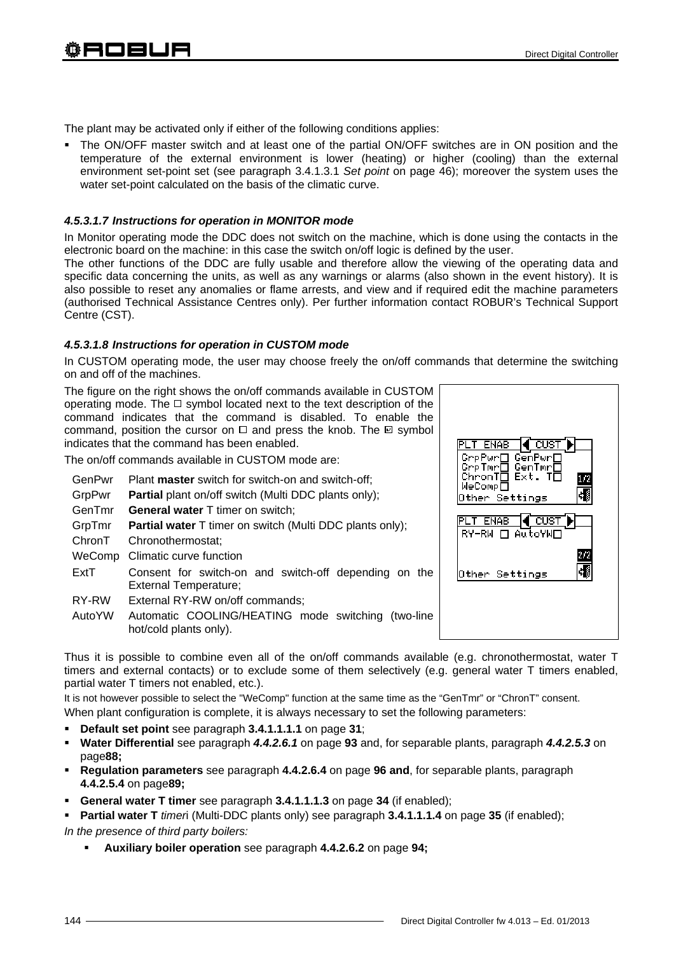The plant may be activated only if either of the following conditions applies:

 The ON/OFF master switch and at least one of the partial ON/OFF switches are in ON position and the temperature of the external environment is lower (heating) or higher (cooling) than the external environment set-point set (see paragraph 3.4.1.3.1 *Set point* on page 46); moreover the system uses the water set-point calculated on the basis of the climatic curve.

#### *4.5.3.1.7 Instructions for operation in MONITOR mode*

In Monitor operating mode the DDC does not switch on the machine, which is done using the contacts in the electronic board on the machine: in this case the switch on/off logic is defined by the user.

The other functions of the DDC are fully usable and therefore allow the viewing of the operating data and specific data concerning the units, as well as any warnings or alarms (also shown in the event history). It is also possible to reset any anomalies or flame arrests, and view and if required edit the machine parameters (authorised Technical Assistance Centres only). Per further information contact ROBUR's Technical Support Centre (CST).

#### *4.5.3.1.8 Instructions for operation in CUSTOM mode*

In CUSTOM operating mode, the user may choose freely the on/off commands that determine the switching on and off of the machines.

The figure on the right shows the on/off commands available in CUSTOM operating mode. The  $\Box$  symbol located next to the text description of the command indicates that the command is disabled. To enable the command, position the cursor on  $\Box$  and press the knob. The  $\Box$  symbol indicates that the command has been enabled.

The on/off commands available in CUSTOM mode are:

- GenPwr Plant **master** switch for switch-on and switch-off;
- GrpPwr **Partial** plant on/off switch (Multi DDC plants only);
- GenTmr **General water** T timer on switch;
- GrpTmr **Partial water** T timer on switch (Multi DDC plants only);
- ChronT Chronothermostat;
- WeComp Climatic curve function
- ExtT Consent for switch-on and switch-off depending on the External Temperature;
- RY-RW External RY-RW on/off commands;
- AutoYW Automatic COOLING/HEATING mode switching (two-line hot/cold plants only).

[¶ cust PLT ENAB GrpPwrO GenPwrO<br>GrpTmrO GenTmrO<br>ChronTO Ext. TO<br>WeCompO  $1/2$ Ŀ. Other Settings PLT ENAB **(CUST** RY-RW □ AutoYW□  $2/2$ ₹₫ Other Settings

Thus it is possible to combine even all of the on/off commands available (e.g. chronothermostat, water T timers and external contacts) or to exclude some of them selectively (e.g. general water T timers enabled, partial water T timers not enabled, etc.).

It is not however possible to select the "WeComp" function at the same time as the "GenTmr" or "ChronT" consent.

When plant configuration is complete, it is always necessary to set the following parameters:

- **Default set point** see paragraph **3.4.1.1.1.1** on page **31**;
- **Water Differential** see paragraph *4.4.2.6.1* on page **93** and, for separable plants, paragraph *4.4.2.5.3* on page**88;**
- **Regulation parameters** see paragraph **4.4.2.6.4** on page **96 and**, for separable plants, paragraph **4.4.2.5.4** on page**89;**
- **General water T timer** see paragraph **3.4.1.1.1.3** on page **34** (if enabled);
- **Partial water T** *timer*i (Multi-DDC plants only) see paragraph **3.4.1.1.1.4** on page **35** (if enabled);

*In the presence of third party boilers:* 

**Auxiliary boiler operation** see paragraph **4.4.2.6.2** on page **94;**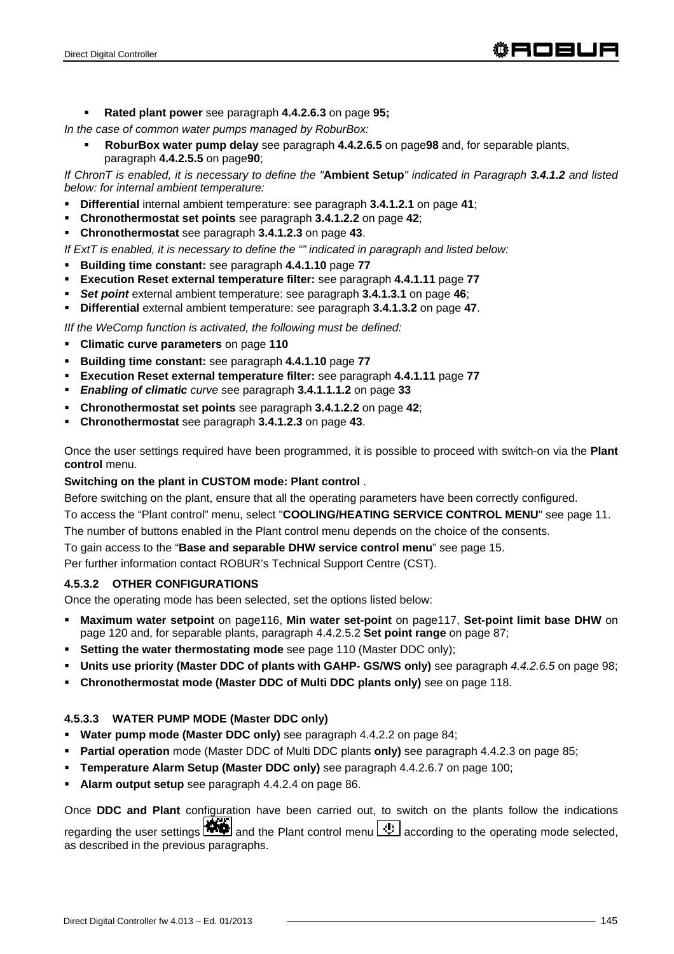**Rated plant power** see paragraph **4.4.2.6.3** on page **95;** 

*In the case of common water pumps managed by RoburBox:* 

 **RoburBox water pump delay** see paragraph **4.4.2.6.5** on page**98** and, for separable plants, paragraph **4.4.2.5.5** on page**90**;

*If ChronT is enabled, it is necessary to define the "***Ambient Setup***" indicated in Paragraph 3.4.1.2 and listed below: for internal ambient temperature:* 

- **Differential** internal ambient temperature: see paragraph **3.4.1.2.1** on page **41**;
- **Chronothermostat set points** see paragraph **3.4.1.2.2** on page **42**;
- **Chronothermostat** see paragraph **3.4.1.2.3** on page **43**.

*If ExtT is enabled, it is necessary to define the "" indicated in paragraph and listed below:* 

- **Building time constant:** see paragraph **4.4.1.10** page **77**
- **Execution Reset external temperature filter:** see paragraph **4.4.1.11** page **77**
- *Set point* external ambient temperature: see paragraph **3.4.1.3.1** on page **46**;
- **Differential** external ambient temperature: see paragraph **3.4.1.3.2** on page **47**.

*IIf the WeComp function is activated, the following must be defined:* 

- **Climatic curve parameters** on page **110**
- **Building time constant:** see paragraph **4.4.1.10** page **77**
- **Execution Reset external temperature filter:** see paragraph **4.4.1.11** page **77**
- *Enabling of climatic curve* see paragraph **3.4.1.1.1.2** on page **33**
- **Chronothermostat set points** see paragraph **3.4.1.2.2** on page **42**;
- **Chronothermostat** see paragraph **3.4.1.2.3** on page **43**.

Once the user settings required have been programmed, it is possible to proceed with switch-on via the **Plant control** menu.

#### **Switching on the plant in CUSTOM mode: Plant control** .

Before switching on the plant, ensure that all the operating parameters have been correctly configured.

To access the "Plant control" menu, select "**COOLING/HEATING SERVICE CONTROL MENU**" see page 11. The number of buttons enabled in the Plant control menu depends on the choice of the consents.

To gain access to the "**Base and separable DHW service control menu**" see page 15.

Per further information contact ROBUR's Technical Support Centre (CST).

## **4.5.3.2 OTHER CONFIGURATIONS**

Once the operating mode has been selected, set the options listed below:

- **Maximum water setpoint** on page116, **Min water set-point** on page117, **Set-point limit base DHW** on page 120 and, for separable plants, paragraph 4.4.2.5.2 **Set point range** on page 87;
- **Setting the water thermostating mode** see page 110 (Master DDC only);
- **Units use priority (Master DDC of plants with GAHP- GS/WS only)** see paragraph *4.4.2.6.5* on page 98;
- **Chronothermostat mode (Master DDC of Multi DDC plants only)** see on page 118.

## **4.5.3.3 WATER PUMP MODE (Master DDC only)**

- **Water pump mode (Master DDC only)** see paragraph 4.4.2.2 on page 84;
- **Partial operation** mode (Master DDC of Multi DDC plants **only)** see paragraph 4.4.2.3 on page 85;
- **Temperature Alarm Setup (Master DDC only)** see paragraph 4.4.2.6.7 on page 100;
- **Alarm output setup** see paragraph 4.4.2.4 on page 86.

Once **DDC and Plant** configuration have been carried out, to switch on the plants follow the indications regarding the user settings  $\mathbf{F}$  and the Plant control menu  $\mathbf{F}$  according to the operating mode selected. as described in the previous paragraphs.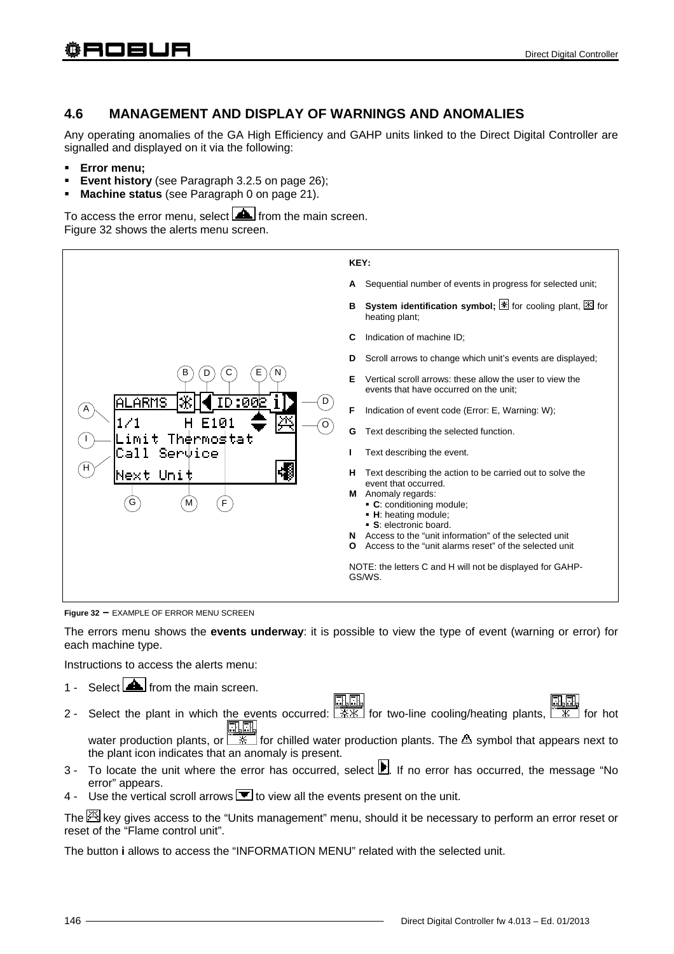# **4.6 MANAGEMENT AND DISPLAY OF WARNINGS AND ANOMALIES**

Any operating anomalies of the GA High Efficiency and GAHP units linked to the Direct Digital Controller are signalled and displayed on it via the following:

- **Error menu;**
- **Event history** (see Paragraph 3.2.5 on page 26);
- **Machine status** (see Paragraph 0 on page 21).

To access the error menu, select  $\Box$  from the main screen. Figure 32 shows the alerts menu screen.



**Figure 32 –** EXAMPLE OF ERROR MENU SCREEN

The errors menu shows the **events underway**: it is possible to view the type of event (warning or error) for each machine type.

Instructions to access the alerts menu:

- 1 Select  $\Box$  from the main screen.
- 2 Select the plant in which the events occurred: for two-line cooling/heating plants, for hot 風風 water production plants, or  $\sqrt{2\pi}$  for chilled water production plants. The  $\Delta$  symbol that appears next to the plant icon indicates that an anomaly is present.
- 3 To locate the unit where the error has occurred, select  $\blacksquare$ . If no error has occurred, the message "No error" appears.
- 4 Use the vertical scroll arrows  $\blacksquare$  to view all the events present on the unit.

The  $\mathbb{H}$  key gives access to the "Units management" menu, should it be necessary to perform an error reset or reset of the "Flame control unit".

The button **i** allows to access the "INFORMATION MENU" related with the selected unit.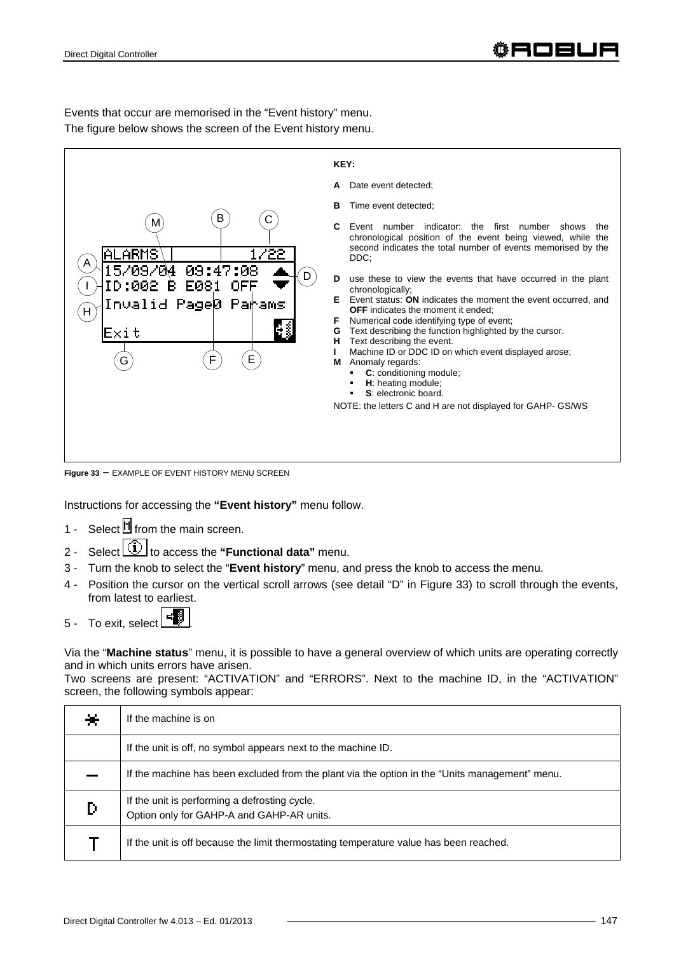

Events that occur are memorised in the "Event history" menu.

The figure below shows the screen of the Event history menu.

**Figure 33 –** EXAMPLE OF EVENT HISTORY MENU SCREEN

Instructions for accessing the **"Event history"** menu follow.

- 1 Select  $\mathbb M$  from the main screen.
- 2 Select **1** to access the "Functional data" menu.
- 3 Turn the knob to select the "**Event history**" menu, and press the knob to access the menu.
- 4 Position the cursor on the vertical scroll arrows (see detail "D" in Figure 33) to scroll through the events, from latest to earliest.
- $5 -$  To exit, select  $\begin{array}{|c|c|} \hline \end{array}$

Via the "**Machine status**" menu, it is possible to have a general overview of which units are operating correctly and in which units errors have arisen.

Two screens are present: "ACTIVATION" and "ERRORS". Next to the machine ID, in the "ACTIVATION" screen, the following symbols appear:

| ⋇ | If the machine is on                                                                           |  |  |
|---|------------------------------------------------------------------------------------------------|--|--|
|   | If the unit is off, no symbol appears next to the machine ID.                                  |  |  |
|   | If the machine has been excluded from the plant via the option in the "Units management" menu. |  |  |
| D | If the unit is performing a defrosting cycle.<br>Option only for GAHP-A and GAHP-AR units.     |  |  |
|   | If the unit is off because the limit thermostating temperature value has been reached.         |  |  |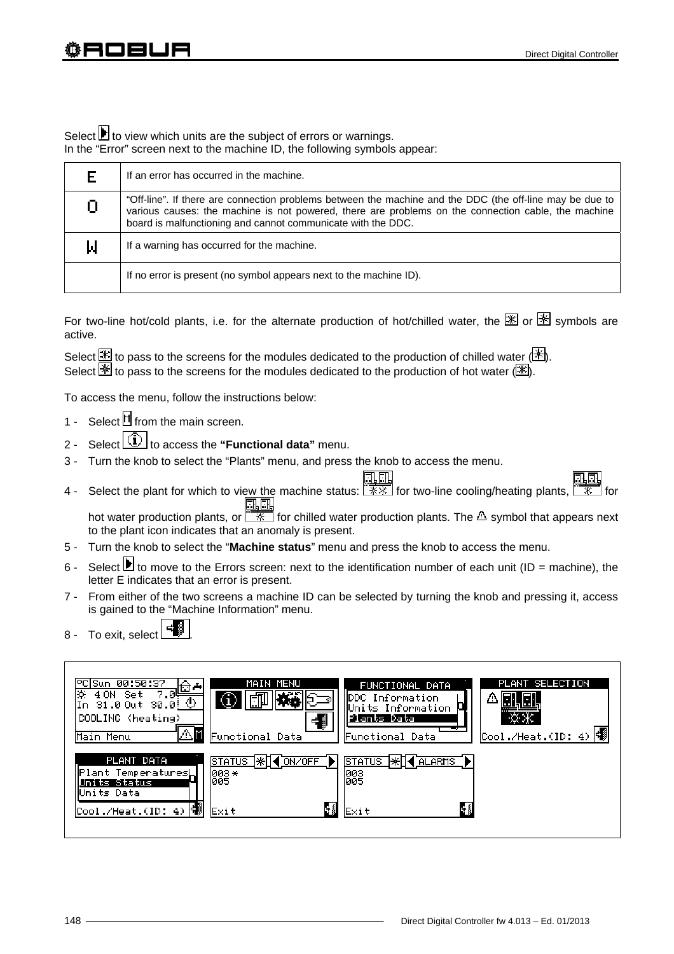Select **b** to view which units are the subject of errors or warnings. In the "Error" screen next to the machine ID, the following symbols appear:

| F  | If an error has occurred in the machine.                                                                                                                                                                                                                                        |  |  |
|----|---------------------------------------------------------------------------------------------------------------------------------------------------------------------------------------------------------------------------------------------------------------------------------|--|--|
| 0. | "Off-line". If there are connection problems between the machine and the DDC (the off-line may be due to<br>various causes: the machine is not powered, there are problems on the connection cable, the machine<br>board is malfunctioning and cannot communicate with the DDC. |  |  |
| Ы  | If a warning has occurred for the machine.                                                                                                                                                                                                                                      |  |  |
|    | If no error is present (no symbol appears next to the machine ID).                                                                                                                                                                                                              |  |  |

For two-line hot/cold plants, i.e. for the alternate production of hot/chilled water, the  $\mathbb K$  or  $\mathbb K$  symbols are active.

Select  $\mathbb{E}$  to pass to the screens for the modules dedicated to the production of chilled water ( $\mathbb{H}$ ). Select  $\mathbb{\mathbb{F}}$  to pass to the screens for the modules dedicated to the production of hot water  $(\mathbb{\mathbb{F}})$ .

To access the menu, follow the instructions below:

- 1 Select form the main screen.
- 2 Select  $\boxed{1}$  to access the "**Functional data**" menu.
- 3 Turn the knob to select the "Plants" menu, and press the knob to access the menu.

4 - Select the plant for which to view the machine status:  $\frac{\Box \Box \Box \Box}{\mathcal{X} \mathcal{X}}$  for two-line cooling/heating plants,

hot water production plants, or  $\frac{1}{x}$  for chilled water production plants. The  $\Delta$  symbol that appears next to the plant icon indicates that an anomaly is present.

- 5 Turn the knob to select the "**Machine status**" menu and press the knob to access the menu.
- 6 Select  $\blacksquare$  to move to the Errors screen: next to the identification number of each unit (ID = machine), the letter E indicates that an error is present.
- 7 From either of the two screens a machine ID can be selected by turning the knob and pressing it, access is gained to the "Machine Information" menu.
- 8 To exit, select

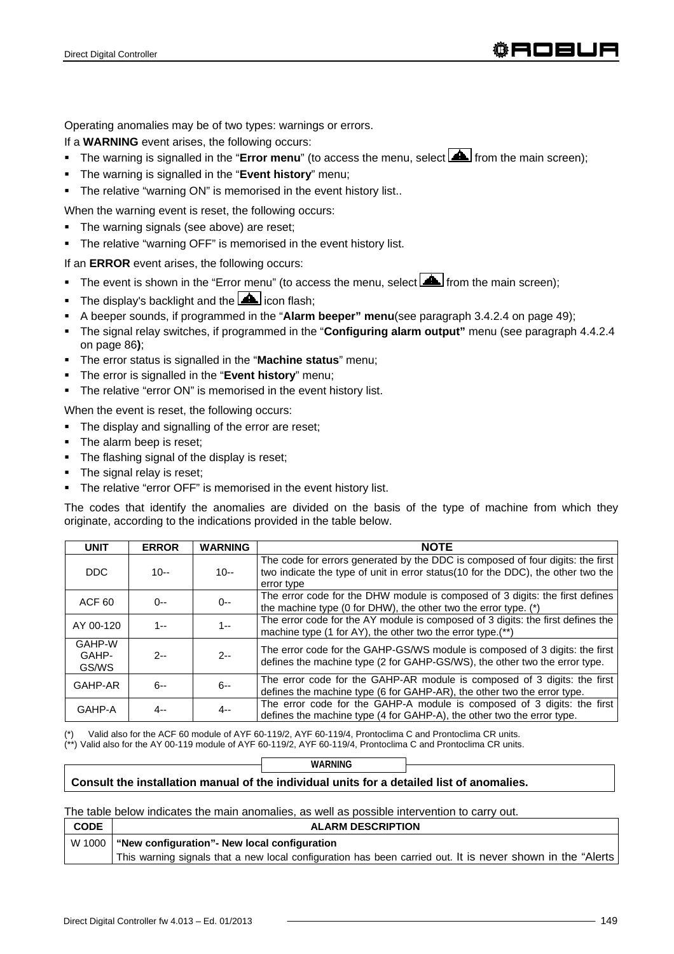Operating anomalies may be of two types: warnings or errors.

If a **WARNING** event arises, the following occurs:

- The warning is signalled in the "**Error menu**" (to access the menu, select **A** from the main screen);
- The warning is signalled in the "**Event history**" menu;
- The relative "warning ON" is memorised in the event history list..

When the warning event is reset, the following occurs:

- The warning signals (see above) are reset;
- The relative "warning OFF" is memorised in the event history list.

If an **ERROR** event arises, the following occurs:

- The event is shown in the "Error menu" (to access the menu, select  $\Box$  from the main screen);
- The display's backlight and the  $\triangle$  icon flash;
- A beeper sounds, if programmed in the "**Alarm beeper" menu**(see paragraph 3.4.2.4 on page 49);
- The signal relay switches, if programmed in the "**Configuring alarm output"** menu (see paragraph 4.4.2.4 on page 86**)**;
- The error status is signalled in the "**Machine status**" menu;
- The error is signalled in the "**Event history**" menu;
- The relative "error ON" is memorised in the event history list.

When the event is reset, the following occurs:

- The display and signalling of the error are reset;
- The alarm beep is reset;
- The flashing signal of the display is reset;
- The signal relay is reset;
- **The relative "error OFF" is memorised in the event history list.**

The codes that identify the anomalies are divided on the basis of the type of machine from which they originate, according to the indications provided in the table below.

| <b>UNIT</b>              | <b>ERROR</b> | <b>WARNING</b> | <b>NOTE</b>                                                                                                                                                                      |
|--------------------------|--------------|----------------|----------------------------------------------------------------------------------------------------------------------------------------------------------------------------------|
| DDC.                     | $10 -$       | $10 -$         | The code for errors generated by the DDC is composed of four digits: the first<br>two indicate the type of unit in error status(10 for the DDC), the other two the<br>error type |
| ACF <sub>60</sub>        | $0 - -$      | $O - -$        | The error code for the DHW module is composed of 3 digits: the first defines<br>the machine type (0 for DHW), the other two the error type. (*)                                  |
| AY 00-120                | $1 -$        | 1--            | The error code for the AY module is composed of 3 digits: the first defines the<br>machine type (1 for AY), the other two the error type.(**)                                    |
| GAHP-W<br>GAHP-<br>GS/WS | $2 -$        | $2 -$          | The error code for the GAHP-GS/WS module is composed of 3 digits: the first<br>defines the machine type (2 for GAHP-GS/WS), the other two the error type.                        |
| GAHP-AR                  | $6 -$        | $6 -$          | The error code for the GAHP-AR module is composed of 3 digits: the first<br>defines the machine type (6 for GAHP-AR), the other two the error type.                              |
| GAHP-A                   | $4 -$        | 4--            | The error code for the GAHP-A module is composed of 3 digits: the first<br>defines the machine type (4 for GAHP-A), the other two the error type.                                |

Valid also for the ACF 60 module of AYF 60-119/2, AYF 60-119/4, Prontoclima C and Prontoclima CR units.

(\*\*) Valid also for the AY 00-119 module of AYF 60-119/2, AYF 60-119/4, Prontoclima C and Prontoclima CR units.

|                                                                                           | WARNING |  |  |
|-------------------------------------------------------------------------------------------|---------|--|--|
| Consult the installation manual of the individual units for a detailed list of anomalies. |         |  |  |
|                                                                                           |         |  |  |

The table below indicates the main anomalies, as well as possible intervention to carry out.

| <b>CODE</b> | <b>ALARM DESCRIPTION</b>                                                                                   |
|-------------|------------------------------------------------------------------------------------------------------------|
|             | W 1000   "New configuration" - New local configuration                                                     |
|             | This warning signals that a new local configuration has been carried out. It is never shown in the "Alerts |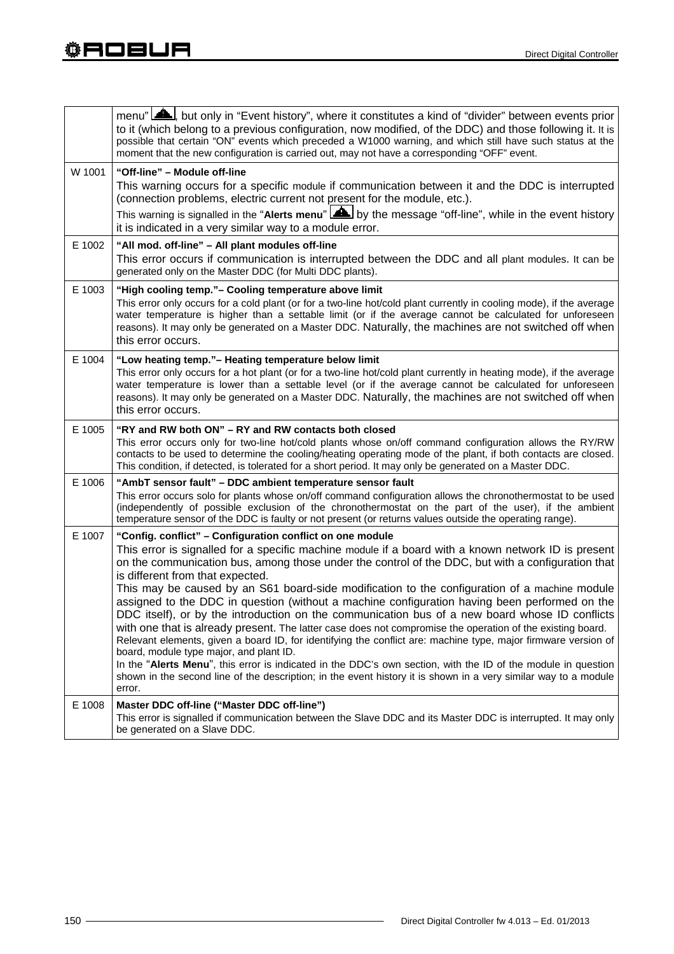|        | menu" <b>AL</b> , but only in "Event history", where it constitutes a kind of "divider" between events prior<br>to it (which belong to a previous configuration, now modified, of the DDC) and those following it. It is<br>possible that certain "ON" events which preceded a W1000 warning, and which still have such status at the<br>moment that the new configuration is carried out, may not have a corresponding "OFF" event.                                                                                                                                                                          |
|--------|---------------------------------------------------------------------------------------------------------------------------------------------------------------------------------------------------------------------------------------------------------------------------------------------------------------------------------------------------------------------------------------------------------------------------------------------------------------------------------------------------------------------------------------------------------------------------------------------------------------|
| W 1001 | "Off-line" - Module off-line<br>This warning occurs for a specific module if communication between it and the DDC is interrupted<br>(connection problems, electric current not present for the module, etc.).<br>This warning is signalled in the "Alerts menu" <b>AL</b> by the message "off-line", while in the event history<br>it is indicated in a very similar way to a module error.                                                                                                                                                                                                                   |
| E 1002 | "All mod. off-line" - All plant modules off-line<br>This error occurs if communication is interrupted between the DDC and all plant modules. It can be<br>generated only on the Master DDC (for Multi DDC plants).                                                                                                                                                                                                                                                                                                                                                                                            |
| E 1003 | "High cooling temp."- Cooling temperature above limit<br>This error only occurs for a cold plant (or for a two-line hot/cold plant currently in cooling mode), if the average<br>water temperature is higher than a settable limit (or if the average cannot be calculated for unforeseen<br>reasons). It may only be generated on a Master DDC. Naturally, the machines are not switched off when<br>this error occurs.                                                                                                                                                                                      |
| E 1004 | "Low heating temp."- Heating temperature below limit<br>This error only occurs for a hot plant (or for a two-line hot/cold plant currently in heating mode), if the average<br>water temperature is lower than a settable level (or if the average cannot be calculated for unforeseen<br>reasons). It may only be generated on a Master DDC. Naturally, the machines are not switched off when<br>this error occurs.                                                                                                                                                                                         |
| E 1005 | "RY and RW both ON" - RY and RW contacts both closed<br>This error occurs only for two-line hot/cold plants whose on/off command configuration allows the RY/RW<br>contacts to be used to determine the cooling/heating operating mode of the plant, if both contacts are closed.<br>This condition, if detected, is tolerated for a short period. It may only be generated on a Master DDC.                                                                                                                                                                                                                  |
| E 1006 | "AmbT sensor fault" – DDC ambient temperature sensor fault<br>This error occurs solo for plants whose on/off command configuration allows the chronothermostat to be used<br>(independently of possible exclusion of the chronothermostat on the part of the user), if the ambient<br>temperature sensor of the DDC is faulty or not present (or returns values outside the operating range).                                                                                                                                                                                                                 |
| E 1007 | "Config. conflict" - Configuration conflict on one module<br>This error is signalled for a specific machine module if a board with a known network ID is present<br>on the communication bus, among those under the control of the DDC, but with a configuration that<br>is different from that expected.<br>This may be caused by an S61 board-side modification to the configuration of a machine module<br>assigned to the DDC in question (without a machine configuration having been performed on the<br>DDC itself), or by the introduction on the communication bus of a new board whose ID conflicts |
| E 1008 | with one that is already present. The latter case does not compromise the operation of the existing board.<br>Relevant elements, given a board ID, for identifying the conflict are: machine type, major firmware version of<br>board, module type major, and plant ID.<br>In the "Alerts Menu", this error is indicated in the DDC's own section, with the ID of the module in question<br>shown in the second line of the description; in the event history it is shown in a very similar way to a module<br>error.<br>Master DDC off-line ("Master DDC off-line")                                          |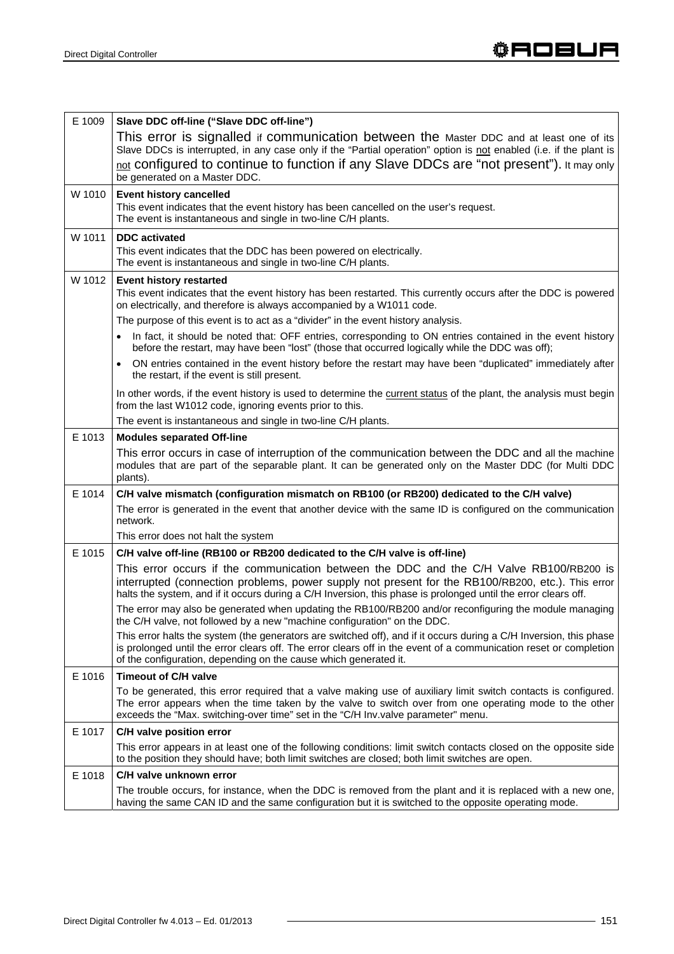| E 1009 | Slave DDC off-line ("Slave DDC off-line")<br>This error is signalled if communication between the Master DDC and at least one of its<br>Slave DDCs is interrupted, in any case only if the "Partial operation" option is not enabled (i.e. if the plant is<br>not configured to continue to function if any Slave DDCs are "not present"). It may only<br>be generated on a Master DDC. |
|--------|-----------------------------------------------------------------------------------------------------------------------------------------------------------------------------------------------------------------------------------------------------------------------------------------------------------------------------------------------------------------------------------------|
| W 1010 | <b>Event history cancelled</b><br>This event indicates that the event history has been cancelled on the user's request.<br>The event is instantaneous and single in two-line C/H plants.                                                                                                                                                                                                |
| W 1011 | <b>DDC</b> activated<br>This event indicates that the DDC has been powered on electrically.<br>The event is instantaneous and single in two-line C/H plants.                                                                                                                                                                                                                            |
| W 1012 | <b>Event history restarted</b><br>This event indicates that the event history has been restarted. This currently occurs after the DDC is powered<br>on electrically, and therefore is always accompanied by a W1011 code.<br>The purpose of this event is to act as a "divider" in the event history analysis.                                                                          |
|        | In fact, it should be noted that: OFF entries, corresponding to ON entries contained in the event history<br>before the restart, may have been "lost" (those that occurred logically while the DDC was off);                                                                                                                                                                            |
|        | ON entries contained in the event history before the restart may have been "duplicated" immediately after<br>the restart, if the event is still present.                                                                                                                                                                                                                                |
|        | In other words, if the event history is used to determine the current status of the plant, the analysis must begin<br>from the last W1012 code, ignoring events prior to this.                                                                                                                                                                                                          |
|        | The event is instantaneous and single in two-line C/H plants.                                                                                                                                                                                                                                                                                                                           |
| E 1013 | <b>Modules separated Off-line</b>                                                                                                                                                                                                                                                                                                                                                       |
|        | This error occurs in case of interruption of the communication between the DDC and all the machine<br>modules that are part of the separable plant. It can be generated only on the Master DDC (for Multi DDC<br>plants).                                                                                                                                                               |
| E 1014 | C/H valve mismatch (configuration mismatch on RB100 (or RB200) dedicated to the C/H valve)                                                                                                                                                                                                                                                                                              |
|        | The error is generated in the event that another device with the same ID is configured on the communication<br>network.                                                                                                                                                                                                                                                                 |
|        | This error does not halt the system                                                                                                                                                                                                                                                                                                                                                     |
| E 1015 | C/H valve off-line (RB100 or RB200 dedicated to the C/H valve is off-line)                                                                                                                                                                                                                                                                                                              |
|        | This error occurs if the communication between the DDC and the C/H Valve RB100/RB200 is<br>interrupted (connection problems, power supply not present for the RB100/RB200, etc.). This error<br>halts the system, and if it occurs during a C/H Inversion, this phase is prolonged until the error clears off.                                                                          |
|        | The error may also be generated when updating the RB100/RB200 and/or reconfiguring the module managing<br>the C/H valve, not followed by a new "machine configuration" on the DDC.                                                                                                                                                                                                      |
|        | This error halts the system (the generators are switched off), and if it occurs during a C/H Inversion, this phase<br>is prolonged until the error clears off. The error clears off in the event of a communication reset or completion<br>of the configuration, depending on the cause which generated it.                                                                             |
| E 1016 | <b>Timeout of C/H valve</b>                                                                                                                                                                                                                                                                                                                                                             |
|        | To be generated, this error required that a valve making use of auxiliary limit switch contacts is configured.<br>The error appears when the time taken by the valve to switch over from one operating mode to the other<br>exceeds the "Max. switching-over time" set in the "C/H Inv.valve parameter" menu.                                                                           |
| E 1017 | C/H valve position error                                                                                                                                                                                                                                                                                                                                                                |
|        | This error appears in at least one of the following conditions: limit switch contacts closed on the opposite side<br>to the position they should have; both limit switches are closed; both limit switches are open.                                                                                                                                                                    |
| E 1018 | C/H valve unknown error                                                                                                                                                                                                                                                                                                                                                                 |
|        | The trouble occurs, for instance, when the DDC is removed from the plant and it is replaced with a new one,<br>having the same CAN ID and the same configuration but it is switched to the opposite operating mode.                                                                                                                                                                     |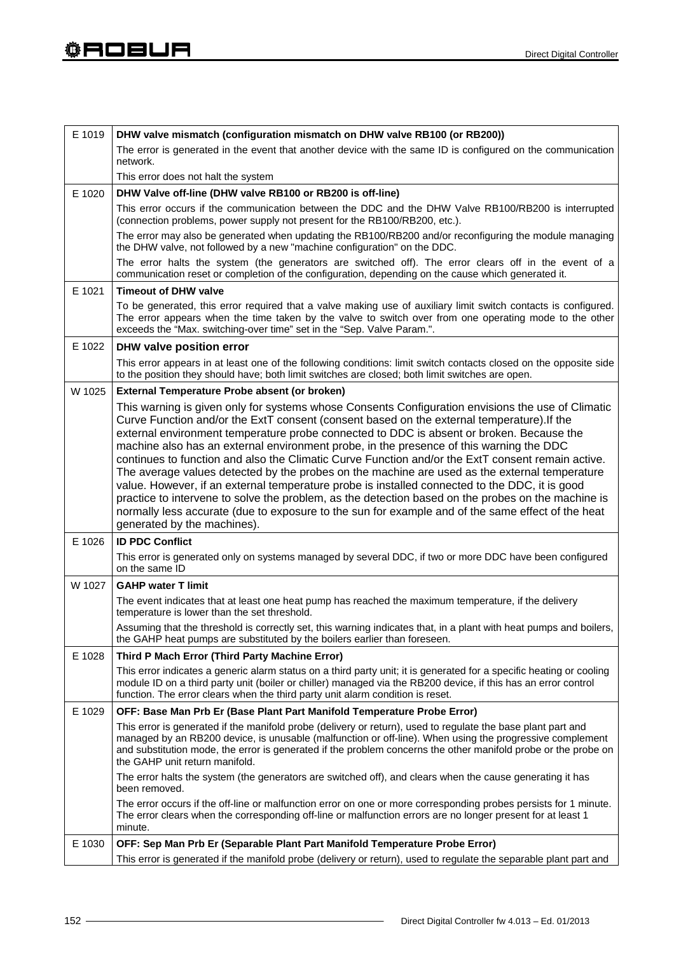| E 1019 | DHW valve mismatch (configuration mismatch on DHW valve RB100 (or RB200))                                                                                                                                                                                                                                                                                                                                                                                                                                                                      |
|--------|------------------------------------------------------------------------------------------------------------------------------------------------------------------------------------------------------------------------------------------------------------------------------------------------------------------------------------------------------------------------------------------------------------------------------------------------------------------------------------------------------------------------------------------------|
|        | The error is generated in the event that another device with the same ID is configured on the communication<br>network.                                                                                                                                                                                                                                                                                                                                                                                                                        |
|        | This error does not halt the system                                                                                                                                                                                                                                                                                                                                                                                                                                                                                                            |
| E 1020 | DHW Valve off-line (DHW valve RB100 or RB200 is off-line)                                                                                                                                                                                                                                                                                                                                                                                                                                                                                      |
|        | This error occurs if the communication between the DDC and the DHW Valve RB100/RB200 is interrupted<br>(connection problems, power supply not present for the RB100/RB200, etc.).                                                                                                                                                                                                                                                                                                                                                              |
|        | The error may also be generated when updating the RB100/RB200 and/or reconfiguring the module managing<br>the DHW valve, not followed by a new "machine configuration" on the DDC.                                                                                                                                                                                                                                                                                                                                                             |
|        | The error halts the system (the generators are switched off). The error clears off in the event of a<br>communication reset or completion of the configuration, depending on the cause which generated it.                                                                                                                                                                                                                                                                                                                                     |
| E 1021 | <b>Timeout of DHW valve</b>                                                                                                                                                                                                                                                                                                                                                                                                                                                                                                                    |
|        | To be generated, this error required that a valve making use of auxiliary limit switch contacts is configured.<br>The error appears when the time taken by the valve to switch over from one operating mode to the other<br>exceeds the "Max. switching-over time" set in the "Sep. Valve Param.".                                                                                                                                                                                                                                             |
| E 1022 | DHW valve position error                                                                                                                                                                                                                                                                                                                                                                                                                                                                                                                       |
|        | This error appears in at least one of the following conditions: limit switch contacts closed on the opposite side<br>to the position they should have; both limit switches are closed; both limit switches are open.                                                                                                                                                                                                                                                                                                                           |
| W 1025 | External Temperature Probe absent (or broken)                                                                                                                                                                                                                                                                                                                                                                                                                                                                                                  |
|        | This warning is given only for systems whose Consents Configuration envisions the use of Climatic<br>Curve Function and/or the ExtT consent (consent based on the external temperature). If the<br>external environment temperature probe connected to DDC is absent or broken. Because the<br>machine also has an external environment probe, in the presence of this warning the DDC                                                                                                                                                         |
|        | continues to function and also the Climatic Curve Function and/or the ExtT consent remain active.<br>The average values detected by the probes on the machine are used as the external temperature<br>value. However, if an external temperature probe is installed connected to the DDC, it is good<br>practice to intervene to solve the problem, as the detection based on the probes on the machine is<br>normally less accurate (due to exposure to the sun for example and of the same effect of the heat<br>generated by the machines). |
| E 1026 | <b>ID PDC Conflict</b>                                                                                                                                                                                                                                                                                                                                                                                                                                                                                                                         |
|        | This error is generated only on systems managed by several DDC, if two or more DDC have been configured<br>on the same ID                                                                                                                                                                                                                                                                                                                                                                                                                      |
| W 1027 | <b>GAHP water T limit</b>                                                                                                                                                                                                                                                                                                                                                                                                                                                                                                                      |
|        | The event indicates that at least one heat pump has reached the maximum temperature, if the delivery<br>temperature is lower than the set threshold.                                                                                                                                                                                                                                                                                                                                                                                           |
|        | Assuming that the threshold is correctly set, this warning indicates that, in a plant with heat pumps and boilers,<br>the GAHP heat pumps are substituted by the boilers earlier than foreseen.                                                                                                                                                                                                                                                                                                                                                |
| E 1028 | Third P Mach Error (Third Party Machine Error)                                                                                                                                                                                                                                                                                                                                                                                                                                                                                                 |
|        | This error indicates a generic alarm status on a third party unit; it is generated for a specific heating or cooling<br>module ID on a third party unit (boiler or chiller) managed via the RB200 device, if this has an error control<br>function. The error clears when the third party unit alarm condition is reset.                                                                                                                                                                                                                       |
| E 1029 | OFF: Base Man Prb Er (Base Plant Part Manifold Temperature Probe Error)                                                                                                                                                                                                                                                                                                                                                                                                                                                                        |
|        | This error is generated if the manifold probe (delivery or return), used to regulate the base plant part and<br>managed by an RB200 device, is unusable (malfunction or off-line). When using the progressive complement<br>and substitution mode, the error is generated if the problem concerns the other manifold probe or the probe on<br>the GAHP unit return manifold.                                                                                                                                                                   |
|        | The error halts the system (the generators are switched off), and clears when the cause generating it has<br>been removed.                                                                                                                                                                                                                                                                                                                                                                                                                     |
|        | The error occurs if the off-line or malfunction error on one or more corresponding probes persists for 1 minute.<br>The error clears when the corresponding off-line or malfunction errors are no longer present for at least 1<br>minute.                                                                                                                                                                                                                                                                                                     |
| E 1030 | OFF: Sep Man Prb Er (Separable Plant Part Manifold Temperature Probe Error)                                                                                                                                                                                                                                                                                                                                                                                                                                                                    |
|        | This error is generated if the manifold probe (delivery or return), used to regulate the separable plant part and                                                                                                                                                                                                                                                                                                                                                                                                                              |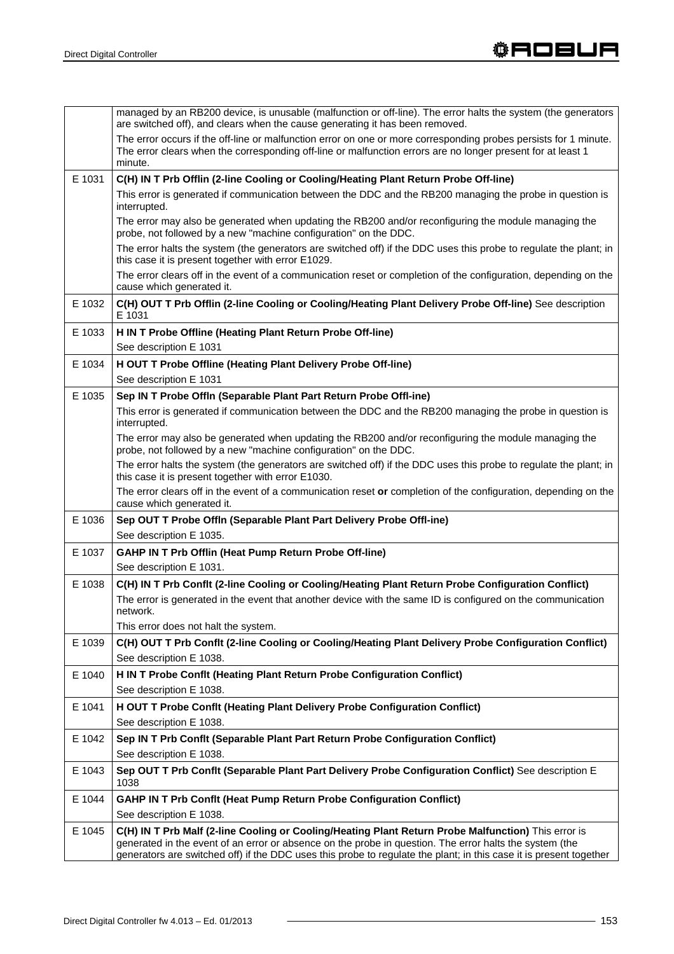|        | managed by an RB200 device, is unusable (malfunction or off-line). The error halts the system (the generators<br>are switched off), and clears when the cause generating it has been removed.                                                                                                                                        |
|--------|--------------------------------------------------------------------------------------------------------------------------------------------------------------------------------------------------------------------------------------------------------------------------------------------------------------------------------------|
|        | The error occurs if the off-line or malfunction error on one or more corresponding probes persists for 1 minute.<br>The error clears when the corresponding off-line or malfunction errors are no longer present for at least 1<br>minute.                                                                                           |
| E 1031 | C(H) IN T Prb Offlin (2-line Cooling or Cooling/Heating Plant Return Probe Off-line)                                                                                                                                                                                                                                                 |
|        | This error is generated if communication between the DDC and the RB200 managing the probe in question is<br>interrupted.                                                                                                                                                                                                             |
|        | The error may also be generated when updating the RB200 and/or reconfiguring the module managing the<br>probe, not followed by a new "machine configuration" on the DDC.                                                                                                                                                             |
|        | The error halts the system (the generators are switched off) if the DDC uses this probe to regulate the plant; in<br>this case it is present together with error E1029.                                                                                                                                                              |
|        | The error clears off in the event of a communication reset or completion of the configuration, depending on the<br>cause which generated it.                                                                                                                                                                                         |
| E 1032 | C(H) OUT T Prb Offlin (2-line Cooling or Cooling/Heating Plant Delivery Probe Off-line) See description<br>E 1031                                                                                                                                                                                                                    |
| E 1033 | H IN T Probe Offline (Heating Plant Return Probe Off-line)                                                                                                                                                                                                                                                                           |
|        | See description E 1031                                                                                                                                                                                                                                                                                                               |
| E 1034 | H OUT T Probe Offline (Heating Plant Delivery Probe Off-line)                                                                                                                                                                                                                                                                        |
|        | See description E 1031                                                                                                                                                                                                                                                                                                               |
| E 1035 | Sep IN T Probe Offin (Separable Plant Part Return Probe Offi-ine)                                                                                                                                                                                                                                                                    |
|        | This error is generated if communication between the DDC and the RB200 managing the probe in question is<br>interrupted.                                                                                                                                                                                                             |
|        | The error may also be generated when updating the RB200 and/or reconfiguring the module managing the<br>probe, not followed by a new "machine configuration" on the DDC.                                                                                                                                                             |
|        | The error halts the system (the generators are switched off) if the DDC uses this probe to regulate the plant; in<br>this case it is present together with error E1030.                                                                                                                                                              |
|        | The error clears off in the event of a communication reset or completion of the configuration, depending on the<br>cause which generated it.                                                                                                                                                                                         |
| E 1036 | Sep OUT T Probe Offin (Separable Plant Part Delivery Probe Offi-ine)                                                                                                                                                                                                                                                                 |
|        | See description E 1035.                                                                                                                                                                                                                                                                                                              |
| E 1037 | <b>GAHP IN T Prb Offlin (Heat Pump Return Probe Off-line)</b>                                                                                                                                                                                                                                                                        |
|        | See description E 1031.                                                                                                                                                                                                                                                                                                              |
| E 1038 | C(H) IN T Prb Conflt (2-line Cooling or Cooling/Heating Plant Return Probe Configuration Conflict)                                                                                                                                                                                                                                   |
|        | The error is generated in the event that another device with the same ID is configured on the communication<br>network.                                                                                                                                                                                                              |
|        | This error does not halt the system.                                                                                                                                                                                                                                                                                                 |
| E 1039 | C(H) OUT T Prb Conflt (2-line Cooling or Cooling/Heating Plant Delivery Probe Configuration Conflict)                                                                                                                                                                                                                                |
|        | See description E 1038.                                                                                                                                                                                                                                                                                                              |
| E 1040 | H IN T Probe Conflt (Heating Plant Return Probe Configuration Conflict)                                                                                                                                                                                                                                                              |
|        | See description E 1038.                                                                                                                                                                                                                                                                                                              |
| E 1041 | H OUT T Probe Conflt (Heating Plant Delivery Probe Configuration Conflict)                                                                                                                                                                                                                                                           |
|        | See description E 1038.                                                                                                                                                                                                                                                                                                              |
| E 1042 | Sep IN T Prb Conflt (Separable Plant Part Return Probe Configuration Conflict)                                                                                                                                                                                                                                                       |
|        | See description E 1038.                                                                                                                                                                                                                                                                                                              |
| E 1043 | Sep OUT T Prb Conflt (Separable Plant Part Delivery Probe Configuration Conflict) See description E<br>1038                                                                                                                                                                                                                          |
| E 1044 | <b>GAHP IN T Prb Conflt (Heat Pump Return Probe Configuration Conflict)</b>                                                                                                                                                                                                                                                          |
|        | See description E 1038.                                                                                                                                                                                                                                                                                                              |
| E 1045 | C(H) IN T Prb Malf (2-line Cooling or Cooling/Heating Plant Return Probe Malfunction) This error is<br>generated in the event of an error or absence on the probe in question. The error halts the system (the<br>generators are switched off) if the DDC uses this probe to regulate the plant; in this case it is present together |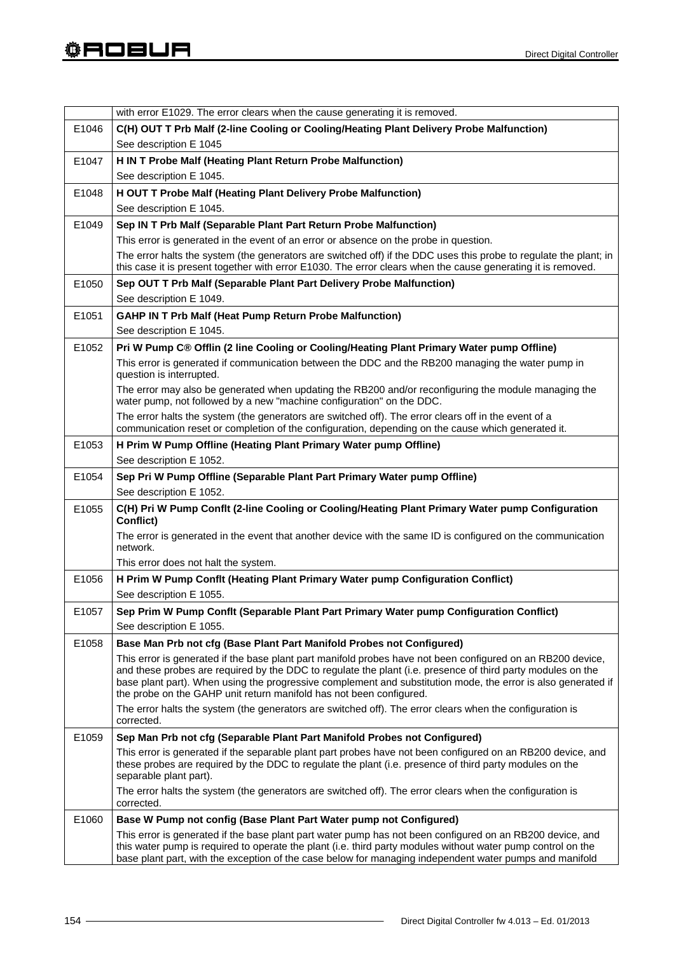|       | with error E1029. The error clears when the cause generating it is removed.                                                                                                                                                                                                                                                                                                                                        |
|-------|--------------------------------------------------------------------------------------------------------------------------------------------------------------------------------------------------------------------------------------------------------------------------------------------------------------------------------------------------------------------------------------------------------------------|
| E1046 | C(H) OUT T Prb Malf (2-line Cooling or Cooling/Heating Plant Delivery Probe Malfunction)                                                                                                                                                                                                                                                                                                                           |
|       | See description E 1045                                                                                                                                                                                                                                                                                                                                                                                             |
| E1047 | H IN T Probe Malf (Heating Plant Return Probe Malfunction)                                                                                                                                                                                                                                                                                                                                                         |
|       | See description E 1045.                                                                                                                                                                                                                                                                                                                                                                                            |
| E1048 | H OUT T Probe Malf (Heating Plant Delivery Probe Malfunction)                                                                                                                                                                                                                                                                                                                                                      |
|       | See description E 1045.                                                                                                                                                                                                                                                                                                                                                                                            |
| E1049 | Sep IN T Prb Malf (Separable Plant Part Return Probe Malfunction)                                                                                                                                                                                                                                                                                                                                                  |
|       | This error is generated in the event of an error or absence on the probe in question.                                                                                                                                                                                                                                                                                                                              |
|       | The error halts the system (the generators are switched off) if the DDC uses this probe to regulate the plant; in<br>this case it is present together with error E1030. The error clears when the cause generating it is removed.                                                                                                                                                                                  |
| E1050 | Sep OUT T Prb Malf (Separable Plant Part Delivery Probe Malfunction)                                                                                                                                                                                                                                                                                                                                               |
|       | See description E 1049.                                                                                                                                                                                                                                                                                                                                                                                            |
| E1051 | <b>GAHP IN T Prb Malf (Heat Pump Return Probe Malfunction)</b>                                                                                                                                                                                                                                                                                                                                                     |
|       | See description E 1045.                                                                                                                                                                                                                                                                                                                                                                                            |
| E1052 | Pri W Pump C® Offlin (2 line Cooling or Cooling/Heating Plant Primary Water pump Offline)                                                                                                                                                                                                                                                                                                                          |
|       | This error is generated if communication between the DDC and the RB200 managing the water pump in<br>question is interrupted.                                                                                                                                                                                                                                                                                      |
|       | The error may also be generated when updating the RB200 and/or reconfiguring the module managing the<br>water pump, not followed by a new "machine configuration" on the DDC.                                                                                                                                                                                                                                      |
|       | The error halts the system (the generators are switched off). The error clears off in the event of a<br>communication reset or completion of the configuration, depending on the cause which generated it.                                                                                                                                                                                                         |
| E1053 | H Prim W Pump Offline (Heating Plant Primary Water pump Offline)                                                                                                                                                                                                                                                                                                                                                   |
|       | See description E 1052.                                                                                                                                                                                                                                                                                                                                                                                            |
| E1054 | Sep Pri W Pump Offline (Separable Plant Part Primary Water pump Offline)                                                                                                                                                                                                                                                                                                                                           |
|       | See description E 1052.                                                                                                                                                                                                                                                                                                                                                                                            |
| E1055 | C(H) Pri W Pump Conflt (2-line Cooling or Cooling/Heating Plant Primary Water pump Configuration<br>Conflict)                                                                                                                                                                                                                                                                                                      |
|       | The error is generated in the event that another device with the same ID is configured on the communication<br>network.                                                                                                                                                                                                                                                                                            |
|       | This error does not halt the system.                                                                                                                                                                                                                                                                                                                                                                               |
| E1056 | H Prim W Pump Conflt (Heating Plant Primary Water pump Configuration Conflict)                                                                                                                                                                                                                                                                                                                                     |
|       | See description E 1055.                                                                                                                                                                                                                                                                                                                                                                                            |
| E1057 | Sep Prim W Pump Conflt (Separable Plant Part Primary Water pump Configuration Conflict)                                                                                                                                                                                                                                                                                                                            |
|       | See description E 1055.                                                                                                                                                                                                                                                                                                                                                                                            |
| E1058 | Base Man Prb not cfg (Base Plant Part Manifold Probes not Configured)                                                                                                                                                                                                                                                                                                                                              |
|       | This error is generated if the base plant part manifold probes have not been configured on an RB200 device,<br>and these probes are required by the DDC to regulate the plant (i.e. presence of third party modules on the<br>base plant part). When using the progressive complement and substitution mode, the error is also generated if<br>the probe on the GAHP unit return manifold has not been configured. |
|       | The error halts the system (the generators are switched off). The error clears when the configuration is<br>corrected.                                                                                                                                                                                                                                                                                             |
| E1059 | Sep Man Prb not cfg (Separable Plant Part Manifold Probes not Configured)                                                                                                                                                                                                                                                                                                                                          |
|       | This error is generated if the separable plant part probes have not been configured on an RB200 device, and<br>these probes are required by the DDC to regulate the plant (i.e. presence of third party modules on the<br>separable plant part).                                                                                                                                                                   |
|       | The error halts the system (the generators are switched off). The error clears when the configuration is<br>corrected.                                                                                                                                                                                                                                                                                             |
| E1060 | Base W Pump not config (Base Plant Part Water pump not Configured)                                                                                                                                                                                                                                                                                                                                                 |
|       | This error is generated if the base plant part water pump has not been configured on an RB200 device, and<br>this water pump is required to operate the plant (i.e. third party modules without water pump control on the<br>base plant part, with the exception of the case below for managing independent water pumps and manifold                                                                               |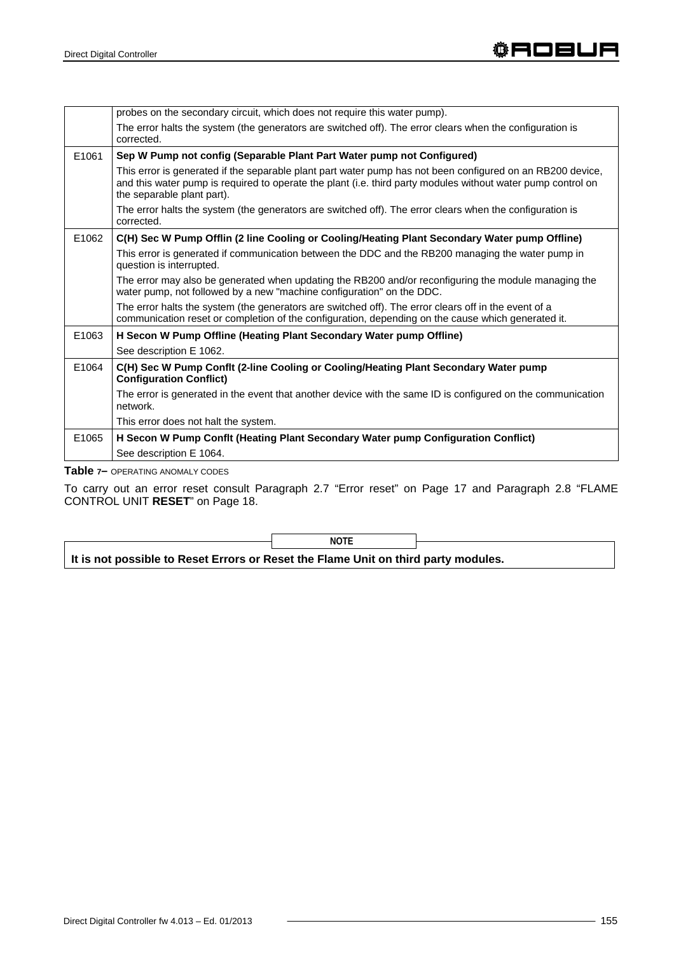|       | probes on the secondary circuit, which does not require this water pump).                                                                                                                                                                                |
|-------|----------------------------------------------------------------------------------------------------------------------------------------------------------------------------------------------------------------------------------------------------------|
|       | The error halts the system (the generators are switched off). The error clears when the configuration is<br>corrected.                                                                                                                                   |
| E1061 | Sep W Pump not config (Separable Plant Part Water pump not Configured)                                                                                                                                                                                   |
|       | This error is generated if the separable plant part water pump has not been configured on an RB200 device,<br>and this water pump is required to operate the plant (i.e. third party modules without water pump control on<br>the separable plant part). |
|       | The error halts the system (the generators are switched off). The error clears when the configuration is<br>corrected.                                                                                                                                   |
| E1062 | C(H) Sec W Pump Offlin (2 line Cooling or Cooling/Heating Plant Secondary Water pump Offline)                                                                                                                                                            |
|       | This error is generated if communication between the DDC and the RB200 managing the water pump in<br>question is interrupted.                                                                                                                            |
|       | The error may also be generated when updating the RB200 and/or reconfiguring the module managing the<br>water pump, not followed by a new "machine configuration" on the DDC.                                                                            |
|       | The error halts the system (the generators are switched off). The error clears off in the event of a<br>communication reset or completion of the configuration, depending on the cause which generated it.                                               |
| E1063 | H Secon W Pump Offline (Heating Plant Secondary Water pump Offline)                                                                                                                                                                                      |
|       | See description E 1062.                                                                                                                                                                                                                                  |
| E1064 | C(H) Sec W Pump Conflt (2-line Cooling or Cooling/Heating Plant Secondary Water pump<br><b>Configuration Conflict)</b>                                                                                                                                   |
|       | The error is generated in the event that another device with the same ID is configured on the communication<br>network.                                                                                                                                  |
|       | This error does not halt the system.                                                                                                                                                                                                                     |
| E1065 | H Secon W Pump Conflt (Heating Plant Secondary Water pump Configuration Conflict)                                                                                                                                                                        |
|       | See description E 1064.                                                                                                                                                                                                                                  |

**Table 7–** OPERATING ANOMALY CODES

To carry out an error reset consult Paragraph 2.7 "Error reset" on Page 17 and Paragraph 2.8 "FLAME CONTROL UNIT **RESET**" on Page 18.

**NOTE** 

**It is not possible to Reset Errors or Reset the Flame Unit on third party modules.**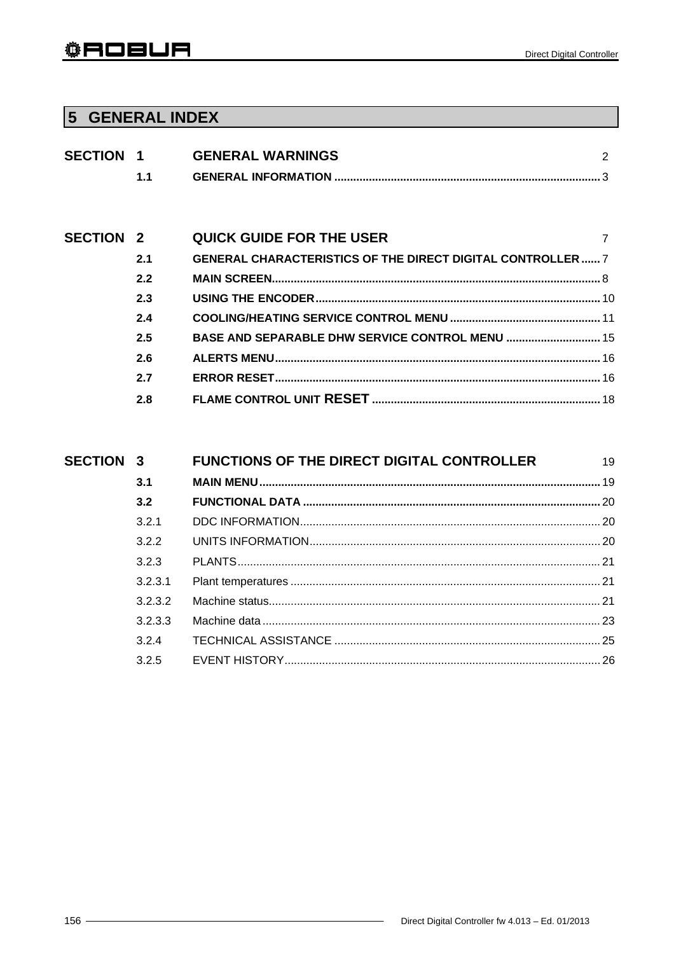# 5 GENERAL INDEX

| <b>SECTION 1</b> |     | <b>GENERAL WARNINGS</b>                                            | 2 |
|------------------|-----|--------------------------------------------------------------------|---|
|                  | 1.1 |                                                                    |   |
|                  |     |                                                                    |   |
|                  |     |                                                                    |   |
| <b>SECTION 2</b> |     | <b>QUICK GUIDE FOR THE USER</b>                                    | 7 |
|                  | 2.1 | <b>GENERAL CHARACTERISTICS OF THE DIRECT DIGITAL CONTROLLER  7</b> |   |
|                  | 2.2 |                                                                    |   |
|                  | 2.3 |                                                                    |   |
|                  | 2.4 |                                                                    |   |
|                  | 2.5 | <b>BASE AND SEPARABLE DHW SERVICE CONTROL MENU  15</b>             |   |
|                  | 2.6 |                                                                    |   |
|                  | 2.7 |                                                                    |   |
|                  | 2.8 |                                                                    |   |
|                  |     |                                                                    |   |

| <b>SECTION 3</b> |         | <b>FUNCTIONS OF THE DIRECT DIGITAL CONTROLLER</b> | 19 |
|------------------|---------|---------------------------------------------------|----|
|                  | 3.1     |                                                   |    |
|                  | 3.2     |                                                   |    |
|                  | 321     |                                                   |    |
|                  | 3.2.2   |                                                   |    |
|                  | 323     |                                                   |    |
|                  | 3.2.3.1 |                                                   |    |
|                  | 3.2.3.2 |                                                   |    |
|                  | 3.2.3.3 |                                                   |    |
|                  | 324     |                                                   |    |
|                  | 3.2.5   |                                                   |    |
|                  |         |                                                   |    |

 $\overline{\phantom{0}}$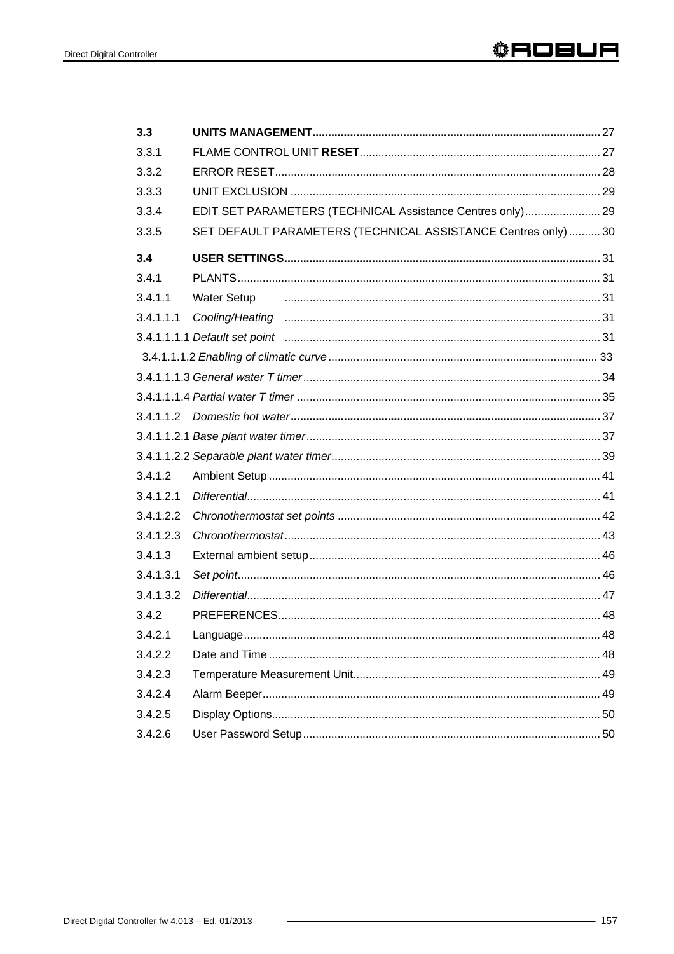| 3.3       |                                                               |  |
|-----------|---------------------------------------------------------------|--|
| 3.3.1     |                                                               |  |
| 3.3.2     |                                                               |  |
| 3.3.3     |                                                               |  |
| 3.3.4     | EDIT SET PARAMETERS (TECHNICAL Assistance Centres only) 29    |  |
| 3.3.5     | SET DEFAULT PARAMETERS (TECHNICAL ASSISTANCE Centres only) 30 |  |
| 3.4       |                                                               |  |
| 3.4.1     |                                                               |  |
| 3.4.1.1   | <b>Water Setup</b>                                            |  |
| 3.4.1.1.1 |                                                               |  |
|           |                                                               |  |
|           |                                                               |  |
|           |                                                               |  |
|           |                                                               |  |
|           |                                                               |  |
|           |                                                               |  |
|           |                                                               |  |
| 3.4.1.2   |                                                               |  |
| 3.4.1.2.1 |                                                               |  |
| 3.4.1.2.2 |                                                               |  |
| 3.4.1.2.3 |                                                               |  |
| 3.4.1.3   |                                                               |  |
| 3.4.1.3.1 |                                                               |  |
| 3.4.1.3.2 |                                                               |  |
| 3.4.2     |                                                               |  |
| 3.4.2.1   |                                                               |  |
| 3.4.2.2   |                                                               |  |
| 3.4.2.3   |                                                               |  |
| 3.4.2.4   |                                                               |  |
| 3.4.2.5   |                                                               |  |
| 3.4.2.6   |                                                               |  |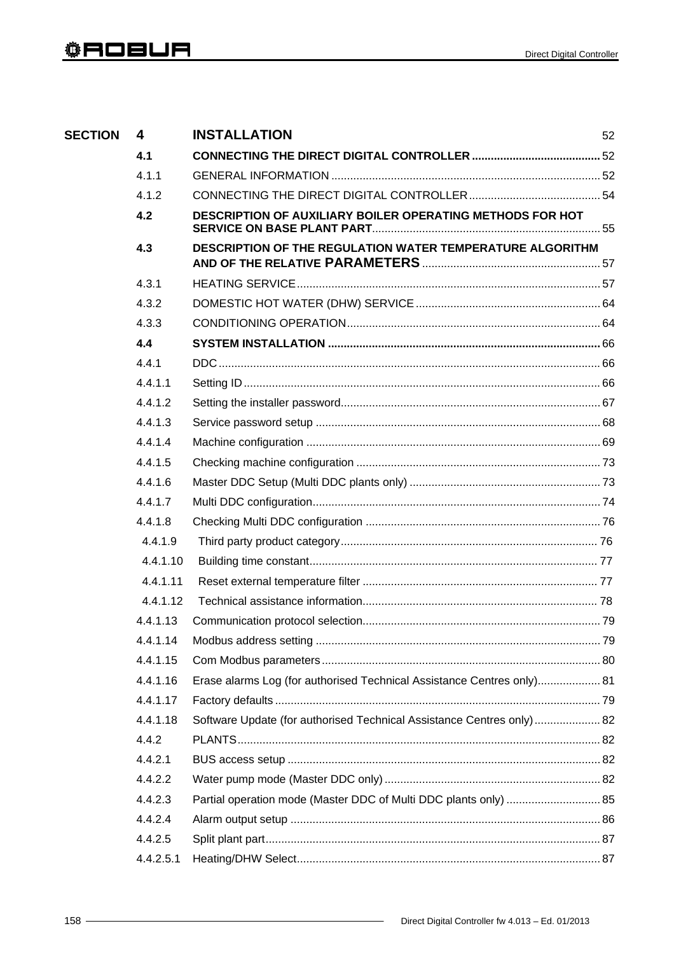| <b>SECTION</b> | 4         | <b>INSTALLATION</b>                                                    | 52 |
|----------------|-----------|------------------------------------------------------------------------|----|
|                | 4.1       |                                                                        |    |
|                | 4.1.1     |                                                                        |    |
|                | 4.1.2     |                                                                        |    |
|                | 4.2       | DESCRIPTION OF AUXILIARY BOILER OPERATING METHODS FOR HOT              |    |
|                | 4.3       | DESCRIPTION OF THE REGULATION WATER TEMPERATURE ALGORITHM              |    |
|                | 4.3.1     |                                                                        |    |
|                | 4.3.2     |                                                                        |    |
|                | 4.3.3     |                                                                        |    |
|                | 4.4       |                                                                        |    |
|                | 4.4.1     |                                                                        |    |
|                | 4.4.1.1   |                                                                        |    |
|                | 4.4.1.2   |                                                                        |    |
|                | 4.4.1.3   |                                                                        |    |
|                | 4.4.1.4   |                                                                        |    |
|                | 4.4.1.5   |                                                                        |    |
|                | 4.4.1.6   |                                                                        |    |
|                | 4.4.1.7   |                                                                        |    |
|                | 4.4.1.8   |                                                                        |    |
|                | 4.4.1.9   |                                                                        |    |
|                | 4.4.1.10  |                                                                        |    |
|                | 4.4.1.11  |                                                                        |    |
|                | 4.4.1.12  |                                                                        |    |
|                | 4.4.1.13  |                                                                        |    |
|                | 4.4.1.14  |                                                                        |    |
|                | 4.4.1.15  |                                                                        |    |
|                | 4.4.1.16  | Erase alarms Log (for authorised Technical Assistance Centres only) 81 |    |
|                | 4.4.1.17  |                                                                        |    |
|                | 4.4.1.18  | Software Update (for authorised Technical Assistance Centres only)  82 |    |
|                | 4.4.2     |                                                                        |    |
|                | 4.4.2.1   |                                                                        |    |
|                | 4.4.2.2   |                                                                        |    |
|                | 4.4.2.3   | Partial operation mode (Master DDC of Multi DDC plants only)  85       |    |
|                | 4.4.2.4   |                                                                        |    |
|                | 4.4.2.5   |                                                                        |    |
|                | 4.4.2.5.1 |                                                                        |    |
|                |           |                                                                        |    |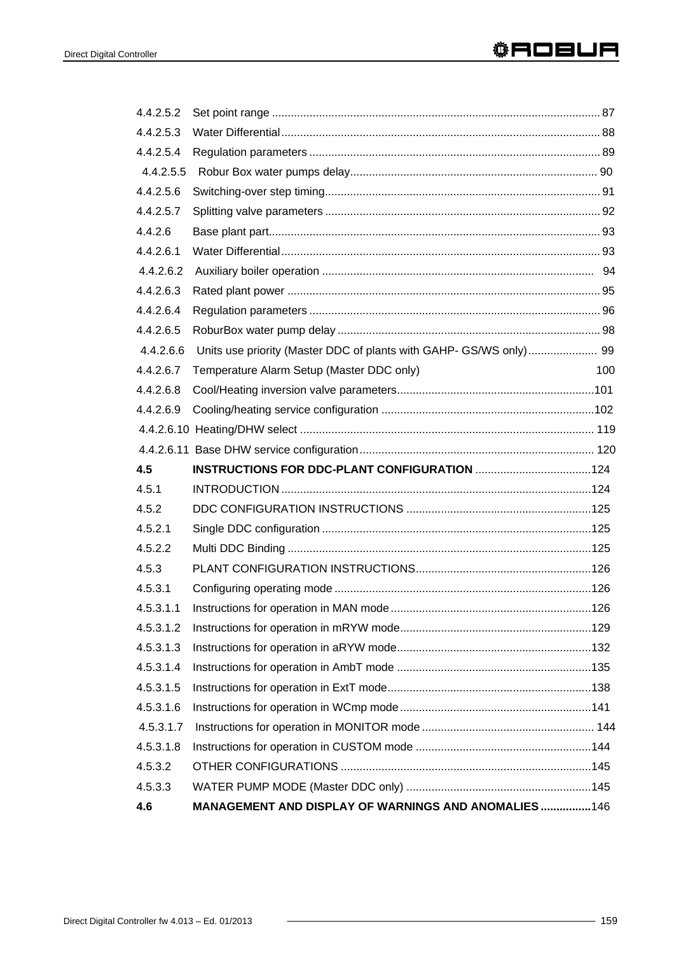| 4.4.2.5.2 |                                                                    |     |
|-----------|--------------------------------------------------------------------|-----|
| 4.4.2.5.3 |                                                                    |     |
| 4.4.2.5.4 |                                                                    |     |
| 4.4.2.5.5 |                                                                    |     |
| 4.4.2.5.6 |                                                                    |     |
| 4.4.2.5.7 |                                                                    |     |
| 4.4.2.6   |                                                                    |     |
| 4.4.2.6.1 |                                                                    |     |
| 4.4.2.6.2 |                                                                    |     |
| 4.4.2.6.3 |                                                                    |     |
| 4.4.2.6.4 |                                                                    |     |
| 4.4.2.6.5 |                                                                    |     |
| 4.4.2.6.6 | Units use priority (Master DDC of plants with GAHP- GS/WS only) 99 |     |
| 4.4.2.6.7 | Temperature Alarm Setup (Master DDC only)                          | 100 |
| 4.4.2.6.8 |                                                                    |     |
| 4.4.2.6.9 |                                                                    |     |
|           |                                                                    |     |
|           |                                                                    |     |
| 4.5       |                                                                    |     |
| 4.5.1     |                                                                    |     |
| 4.5.2     |                                                                    |     |
| 4.5.2.1   |                                                                    |     |
| 4.5.2.2   |                                                                    |     |
|           |                                                                    |     |
| 4.5.3     |                                                                    |     |
| 4.5.3.1   |                                                                    |     |
| 4.5.3.1.1 |                                                                    |     |
| 4.5.3.1.2 |                                                                    |     |
| 4.5.3.1.3 |                                                                    |     |
| 4.5.3.1.4 |                                                                    |     |
| 4.5.3.1.5 |                                                                    |     |
| 4.5.3.1.6 |                                                                    |     |
| 4.5.3.1.7 |                                                                    |     |
| 4.5.3.1.8 |                                                                    |     |
| 4.5.3.2   |                                                                    |     |
| 4.5.3.3   |                                                                    |     |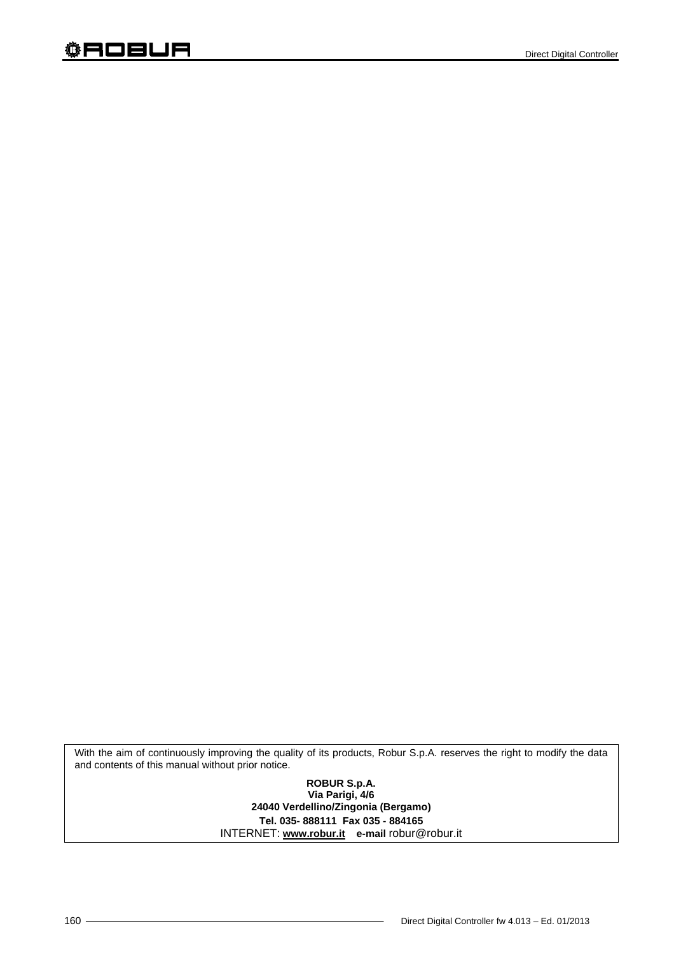With the aim of continuously improving the quality of its products, Robur S.p.A. reserves the right to modify the data and contents of this manual without prior notice.

> **ROBUR S.p.A. Via Parigi, 4/6 24040 Verdellino/Zingonia (Bergamo) Tel. 035- 888111 Fax 035 - 884165** INTERNET: **www.robur.it e-mail** robur@robur.it